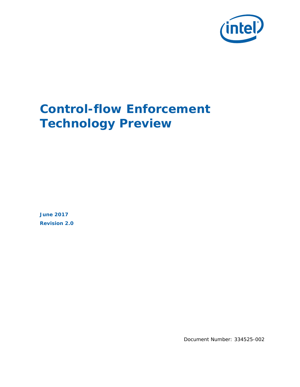

# **Control-flow Enforcement Technology Preview**

**June 2017 Revision 2.0**

Document Number: 334525-002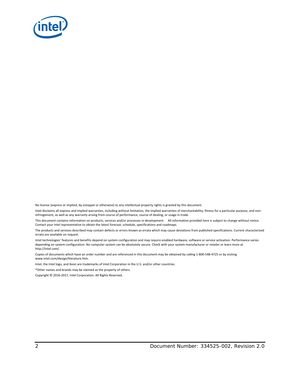

No license (express or implied, by estoppel or otherwise) to any intellectual property rights is granted by this document.

Intel disclaims all express and implied warranties, including without limitation, the implied warranties of merchantability, fitness for a particular purpose, and noninfringement, as well as any warranty arising from course of performance, course of dealing, or usage in trade.

This document contains information on products, services and/or processes in development. All information provided here is subject to change without notice. Contact your Intel representative to obtain the latest forecast, schedule, specifications and roadmaps.

The products and services described may contain defects or errors known as errata which may cause deviations from published specifications. Current characterized errata are available on request.

Intel technologies' features and benefits depend on system configuration and may require enabled hardware, software or service activation. Performance varies depending on system configuration. No computer system can be absolutely secure. Check with your system manufacturer or retailer or learn more at http://intel.com/.

Copies of documents which have an order number and are referenced in this document may be obtained by calling 1-800-548-4725 or by visiting www.intel.com/design/literature.htm.

Intel, the Intel logo, and Xeon are trademarks of Intel Corporation in the U.S. and/or other countries.

\*Other names and brands may be claimed as the property of others.

Copyright © 2016-2017, Intel Corporation. All Rights Reserved.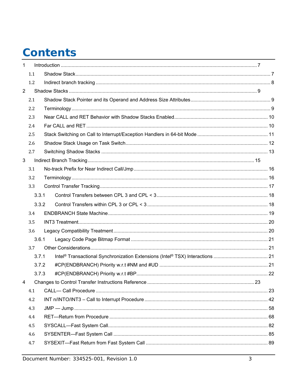# **Contents**

| $\mathbf{1}$   |       |  |  |  |
|----------------|-------|--|--|--|
|                | 1.1   |  |  |  |
|                | 1.2   |  |  |  |
| $\overline{2}$ |       |  |  |  |
|                | 2.1   |  |  |  |
|                | 2.2   |  |  |  |
|                | 2.3   |  |  |  |
|                | 2.4   |  |  |  |
|                | 2.5   |  |  |  |
|                | 2.6   |  |  |  |
|                | 2.7   |  |  |  |
| 3              |       |  |  |  |
|                | 3.1   |  |  |  |
|                | 3.2   |  |  |  |
|                | 3.3   |  |  |  |
|                | 3.3.1 |  |  |  |
|                | 3.3.2 |  |  |  |
|                | 3.4   |  |  |  |
|                | 3.5   |  |  |  |
|                | 3.6   |  |  |  |
|                | 3.6.1 |  |  |  |
|                | 3.7   |  |  |  |
|                | 3.7.1 |  |  |  |
|                | 3.7.2 |  |  |  |
|                | 3.7.3 |  |  |  |
| $\overline{4}$ |       |  |  |  |
|                | 4.1   |  |  |  |
|                | 4.2   |  |  |  |
|                | 4.3   |  |  |  |
|                | 4.4   |  |  |  |
|                | 4.5   |  |  |  |
|                | 4.6   |  |  |  |
|                | 4.7   |  |  |  |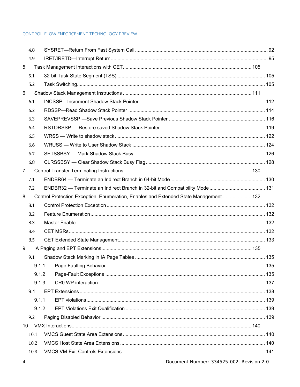|                | 4.8   |                                                                                      |  |
|----------------|-------|--------------------------------------------------------------------------------------|--|
|                | 4.9   |                                                                                      |  |
| 5              |       |                                                                                      |  |
|                | 5.1   |                                                                                      |  |
|                | 5.2   |                                                                                      |  |
| 6              |       |                                                                                      |  |
|                | 6.1   |                                                                                      |  |
|                | 6.2   |                                                                                      |  |
|                | 6.3   |                                                                                      |  |
|                | 6.4   |                                                                                      |  |
|                | 6.5   |                                                                                      |  |
|                | 6.6   |                                                                                      |  |
|                | 6.7   |                                                                                      |  |
|                | 6.8   |                                                                                      |  |
| $\overline{7}$ |       |                                                                                      |  |
|                | 7.1   |                                                                                      |  |
|                | 7.2   |                                                                                      |  |
| 8              |       | Control Protection Exception, Enumeration, Enables and Extended State Management 132 |  |
|                | 8.1   |                                                                                      |  |
|                | 8.2   |                                                                                      |  |
|                | 8.3   |                                                                                      |  |
|                | 8.4   |                                                                                      |  |
|                | 8.5   |                                                                                      |  |
| 9              |       |                                                                                      |  |
|                | 9.1   |                                                                                      |  |
|                | 9.1.1 |                                                                                      |  |
|                | 9.1.2 |                                                                                      |  |
|                | 9.1.3 |                                                                                      |  |
|                | 9.1   |                                                                                      |  |
|                | 9.1.1 |                                                                                      |  |
|                | 9.1.2 |                                                                                      |  |
|                | 9.2   |                                                                                      |  |
| 10             |       |                                                                                      |  |
|                | 10.1  |                                                                                      |  |
|                | 10.2  |                                                                                      |  |
|                | 10.3  |                                                                                      |  |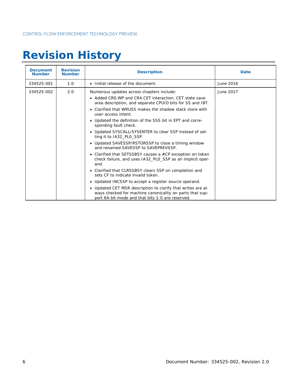# *Revision History*

| <b>Document</b><br><b>Number</b> | <b>Revision</b><br><b>Description</b><br><b>Number</b> |                                                                                                                                                                                                                                                                                                                                                                                                                                                                                                                                                                                                                                                                                                                                                                                                                                                                                                                                                                     | Date      |
|----------------------------------|--------------------------------------------------------|---------------------------------------------------------------------------------------------------------------------------------------------------------------------------------------------------------------------------------------------------------------------------------------------------------------------------------------------------------------------------------------------------------------------------------------------------------------------------------------------------------------------------------------------------------------------------------------------------------------------------------------------------------------------------------------------------------------------------------------------------------------------------------------------------------------------------------------------------------------------------------------------------------------------------------------------------------------------|-----------|
| 334525-001                       | 1.0                                                    | • Initial release of the document.                                                                                                                                                                                                                                                                                                                                                                                                                                                                                                                                                                                                                                                                                                                                                                                                                                                                                                                                  | June 2016 |
| 334525-002                       | 2.0                                                    | Numerous updates across chapters include:<br>• Added CRO.WP and CR4.CET interaction, CET state save<br>area description, and separate CPUID bits for SS and IBT.<br>Clarified that WRUSS makes the shadow stack store with<br>$\bullet$<br>user-access intent.<br>• Updated the definition of the SSS bit in EPT and corre-<br>sponding fault check.<br>• Updated SYSCALL/SYSENTER to clear SSP instead of set-<br>ting it to IA32_PLO_SSP.<br>• Updated SAVESSP/RSTORSSP to close a timing window<br>and renamed SAVESSP to SAVEPREVSSP.<br>• Clarified that SETSSBSY causes a $\#CP$ exception on token<br>check failure, and uses IA32_PL0_SSP as an implicit oper-<br>and.<br>• Clarified that CLRSSBSY clears SSP on completion and<br>sets CF to indicate invalid token.<br>• Updated INCSSP to accept a register source operand.<br>• Updated CET MSR description to clarify that writes are al-<br>ways checked for machine canonicality on parts that sup- | June 2017 |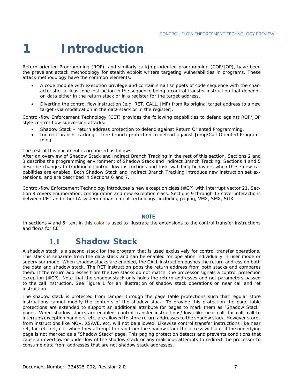# *1 Introduction*

Return-oriented Programming (ROP), and similarly call/jmp-oriented programming (COP/JOP), have been the prevalent attack methodology for stealth exploit writers targeting vulnerabilities in programs. These attack methodology have the common elements:

- A code module with execution privilege and contain small snippets of code sequence with the characteristic: at least one instruction in the sequence being a control transfer instruction that depends on data either in the return stack or in a register for the target address,
- Diverting the control flow instruction (e.g. RET, CALL, JMP) from its original target address to a new target (via modification in the data stack or in the register).

Control-flow Enforcement Technology (CET) provides the following capabilities to defend against ROP/JOP style control-flow subversion attacks:

- Shadow Stack return address protection to defend against Return Oriented Programming,
- Indirect branch tracking free branch protection to defend against Jump/Call Oriented Programming.

The rest of this document is organized as follows:

After an overview of Shadow Stack and Indirect Branch Tracking in the rest of this section. Sections 2 and 3 describe the programming environment of Shadow Stack and Indirect Branch Tracking. Sections 4 and 5 describe changes to traditional control flow instructions and task switching behaviors when these new capabilities are enabled. Both Shadow Stack and Indirect Branch Tracking introduce new instruction set extensions, and are described in Sections 6 and 7.

Control-flow Enforcement Technology introduces a new exception class (#CP) with interrupt vector 21. Section 8 covers enumeration, configuration and new exception class. Sections 9 through 13 cover interactions between CET and other IA system enhancement technology, including paging, VMX, SMX, SGX.

## NOTE

In sections 4 and 5, text in this color is used to illustrate the extensions to the control transfer instructions and flows for CET.

## **1.1 Shadow Stack**

A shadow stack is a second stack for the program that is used exclusively for control transfer operations. This stack is separate from the data stack and can be enabled for operation individually in user mode or supervisor mode. When shadow stacks are enabled, the CALL instruction pushes the return address on both the data and shadow stack. The RET instruction pops the return address from both stacks and compares them. If the return addresses from the two stacks do not match, the processor signals a control protection exception (#CP). Note that the shadow stack only holds the return addresses and not parameters passed to the call instruction. See Figure 1 for an illustration of shadow stack operations on near call and ret instruction.

The shadow stack is protected from tamper through the page table protections such that regular store instructions cannot modify the contents of the shadow stack. To provide this protection the page table protections are extended to support an additional attribute for pages to mark them as "Shadow Stack" pages. When shadow stacks are enabled, control transfer instructions/flows like near call, far call, call to interrupt/exception handlers, etc. are allowed to store return addresses to the shadow stack. However stores from instructions like MOV, XSAVE, etc. will not be allowed. Likewise control transfer instructions like near ret, far ret, iret, etc. when they attempt to read from the shadow stack the access will fault if the underlying page is not marked as a "Shadow Stack" page. This paging protection detects and prevents conditions that cause an overflow or underflow of the shadow stack or any malicious attempts to redirect the processor to consume data from addresses that are not shadow stack addresses.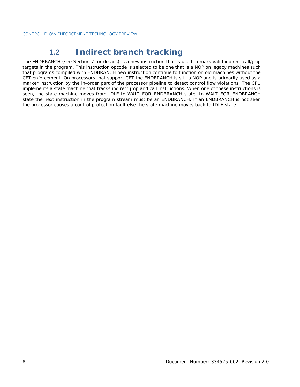## **1.2 Indirect branch tracking**

The ENDBRANCH (see Section 7 for details) is a new instruction that is used to mark valid indirect call/jmp targets in the program. This instruction opcode is selected to be one that is a NOP on legacy machines such that programs compiled with ENDBRANCH new instruction continue to function on old machines without the CET enforcement. On processors that support CET the ENDBRANCH is still a NOP and is primarily used as a marker instruction by the in-order part of the processor pipeline to detect control flow violations. The CPU implements a state machine that tracks indirect jmp and call instructions. When one of these instructions is seen, the state machine moves from IDLE to WAIT\_FOR\_ENDBRANCH state. In WAIT\_FOR\_ENDBRANCH state the next instruction in the program stream must be an ENDBRANCH. If an ENDBRANCH is not seen the processor causes a control protection fault else the state machine moves back to IDLE state.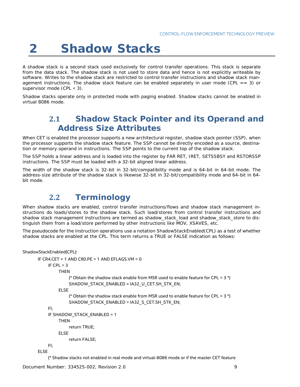# *2 Shadow Stacks*

A shadow stack is a second stack used exclusively for control transfer operations. This stack is separate from the data stack. The shadow stack is not used to store data and hence is not explicitly writeable by software. Writes to the shadow stack are restricted to control transfer instructions and shadow stack management instructions. The shadow stack feature can be enabled separately in user mode (CPL  $=$  = 3) or supervisor mode (CPL < 3).

Shadow stacks operate only in protected mode with paging enabled. Shadow stacks cannot be enabled in virtual 8086 mode.

# **2.1 Shadow Stack Pointer and its Operand and Address Size Attributes**

When CET is enabled the processor supports a new architectural register, shadow stack pointer (SSP), when the processor supports the shadow stack feature. The SSP cannot be directly encoded as a source, destination or memory operand in instructions. The SSP points to the current top of the shadow stack.

The SSP holds a linear address and is loaded into the register by FAR RET, IRET, SETSSBSY and RSTORSSP instructions. The SSP must be loaded with a 32-bit aligned linear address.

The width of the shadow stack is 32-bit in 32-bit/compatibility mode and is 64-bit in 64-bit mode. The address-size attribute of the shadow stack is likewise 32-bit in 32-bit/compatibility mode and 64-bit in 64 bit mode.

## **2.2 Terminology**

When shadow stacks are enabled, control transfer instructions/flows and shadow stack management instructions do loads/stores to the shadow stack. Such load/stores from control transfer instructions and shadow stack management instructions are termed as shadow\_stack\_load and shadow\_stack\_store to distinguish them from a load/store performed by other instructions like MOV, XSAVES, etc.

The pseudocode for the instruction operations use a notation ShadowStackEnabled(CPL) as a test of whether shadow stacks are enabled at the CPL. This term returns a TRUE or FALSE indication as follows:

```
ShadowStackEnabled(CPL): 
       IF CR4.CET = 1 AND CR0.PE = 1 AND EFLAGS.VM = 0 
             IF CPL = 3 
                 THFN
                      (* Obtain the shadow stack enable from MSR used to enable feature for CPL = 3 *)
                       SHADOW_STACK_ENABLED = IA32_U_CET.SH_STK_EN; 
                  ELSE 
                       (* Obtain the shadow stack enable from MSR used to enable feature for CPL < 3 *) 
                       SHADOW_STACK_ENABLED = IA32_S_CET.SH_STK_EN; 
             FI; 
             IF SHADOW_STACK_ENABLED = 1 
                  THEN 
                       return TRUE; 
                  ELSE 
                       return FALSE; 
             FI;
```
ELSE

(\* Shadow stacks not enabled in real mode and virtual-8086 mode or if the master CET feature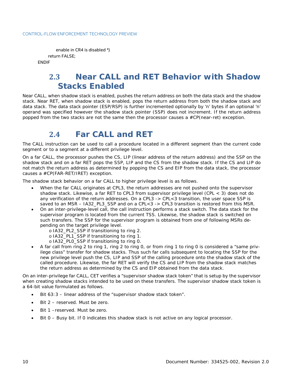enable in CR4 is disabled \*) return FALSE;

ENDIF

# **2.3 Near CALL and RET Behavior with Shadow Stacks Enabled**

Near CALL, when shadow stack is enabled, pushes the return address on both the data stack and the shadow stack. Near RET, when shadow stack is enabled, pops the return address from both the shadow stack and data stack. The data stack pointer (ESP/RSP) is further incremented optionally by 'n' bytes if an optional 'n' operand was specified however the shadow stack pointer (SSP) does not increment. If the return address popped from the two stacks are not the same then the processor causes a #CP(near-ret) exception.

## **2.4 Far CALL and RET**

The CALL instruction can be used to call a procedure located in a different segment than the current code segment or to a segment at a different privilege level.

On a far CALL, the processor pushes the CS, LIP (linear address of the return address) and the SSP on the shadow stack and on a far RET pops the SSP, LIP and the CS from the shadow stack. If the CS and LIP do not match the return address as determined by popping the CS and EIP from the data stack, the processor causes a #CP(FAR-RET/IRET) exception.

The shadow stack behavior on a far CALL to higher privilege level is as follows.

- When the far CALL originates at CPL3, the return addresses are not pushed onto the supervisor shadow stack. Likewise, a far RET to CPL3 from supervisor privilege level (CPL < 3) does not do any verification of the return addresses. On a CPL3 -> CPL<3 transition, the user space SSP is saved to an MSR - IA32\_PL3\_SSP and on a CPL<3 -> CPL3 transition is restored from this MSR.
- On an inter-privilege-level call, the call instruction performs a stack switch. The data stack for the supervisor program is located from the current TSS. Likewise, the shadow stack is switched on such transfers. The SSP for the supervisor program is obtained from one of following MSRs depending on the target privilege level.
	- o IA32\_PL2\_SSP if transitioning to ring 2.
	- o IA32\_PL1\_SSP if transitioning to ring 1.
	- o IA32\_PL0\_SSP if transitioning to ring 0.
- A far call from ring 2 to ring 1, ring 2 to ring 0, or from ring 1 to ring 0 is considered a "same privilege class" transfer for shadow stacks. Thus such far calls subsequent to locating the SSP for the new privilege level push the CS, LIP and SSP of the calling procedure onto the shadow stack of the called procedure. Likewise, the far RET will verify the CS and LIP from the shadow stack matches the return address as determined by the CS and EIP obtained from the data stack.

On an inter-privilege far CALL, CET verifies a "supervisor shadow stack token" that is setup by the supervisor when creating shadow stacks intended to be used on these transfers. The supervisor shadow stack token is a 64-bit value formulated as follows.

- Bit 63:3 linear address of the "supervisor shadow stack token".
- $B$ it 2 reserved. Must be zero.
- Bit 1 –reserved. Must be zero.
- Bit 0 Busy bit. If 0 indicates this shadow stack is not active on any logical processor.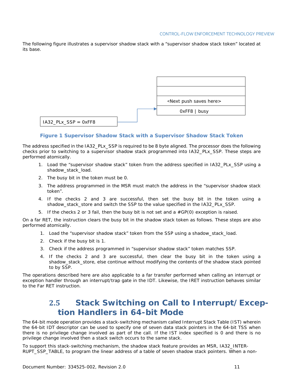The following figure illustrates a supervisor shadow stack with a "supervisor shadow stack token" located at its base.



## **Figure 1 Supervisor Shadow Stack with a Supervisor Shadow Stack Token**

The address specified in the IA32\_PLx\_SSP is required to be 8 byte aligned. The processor does the following checks prior to switching to a supervisor shadow stack programmed into IA32\_PLx\_SSP. These steps are performed atomically.

- 1. Load the "supervisor shadow stack" token from the address specified in IA32\_PLx\_SSP using a shadow stack load.
- 2. The busy bit in the token must be 0.
- 3. The address programmed in the MSR must match the address in the "supervisor shadow stack token".
- 4. If the checks 2 and 3 are successful, then set the busy bit in the token using a shadow\_stack\_store and switch the SSP to the value specified in the IA32\_PLx\_SSP.
- 5. If the checks 2 or 3 fail, then the busy bit is not set and a  $\#GP(0)$  exception is raised.

On a far RET, the instruction clears the busy bit in the shadow stack token as follows. These steps are also performed atomically.

- 1. Load the "supervisor shadow stack" token from the SSP using a shadow\_stack\_load.
- 2. Check if the busy bit is 1.
- 3. Check if the address programmed in "supervisor shadow stack" token matches SSP.
- 4. If the checks 2 and 3 are successful, then clear the busy bit in the token using a shadow stack store, else continue without modifying the contents of the shadow stack pointed to by SSP.

The operations described here are also applicable to a far transfer performed when calling an interrupt or exception handler through an interrupt/trap gate in the IDT. Likewise, the IRET instruction behaves similar to the Far RET instruction.

# **2.5 Stack Switching on Call to Interrupt/Exception Handlers in 64-bit Mode**

The 64-bit mode operation provides a stack-switching mechanism called Interrupt Stack Table (IST) wherein the 64-bit IDT descriptor can be used to specify one of seven data stack pointers in the 64-bit TSS when there is no privilege change involved as part of the call. If the IST index specified is 0 and there is no privilege change involved then a stack switch occurs to the same stack.

To support this stack-switching mechanism, the shadow stack feature provides an MSR, IA32\_INTER-RUPT\_SSP\_TABLE, to program the linear address of a table of seven shadow stack pointers. When a non-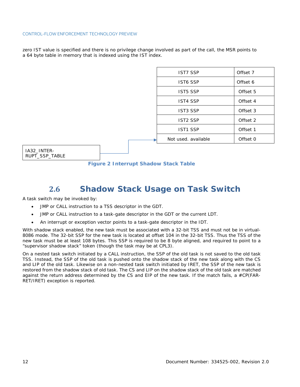zero IST value is specified and there is no privilege change involved as part of the call, the MSR points to a 64 byte table in memory that is indexed using the IST index.

|                               | IST7 SSP            | Offset 7 |  |
|-------------------------------|---------------------|----------|--|
|                               | IST6 SSP            | Offset 6 |  |
|                               | IST5 SSP            | Offset 5 |  |
|                               | IST4 SSP            | Offset 4 |  |
|                               | IST3 SSP            | Offset 3 |  |
|                               | IST2 SSP            | Offset 2 |  |
|                               | IST1 SSP            | Offset 1 |  |
|                               | Not used. available | Offset 0 |  |
| IA32_INTER-<br>RUPT SSP TABLE |                     |          |  |

**Figure 2 Interrupt Shadow Stack Table** 

## **2.6 Shadow Stack Usage on Task Switch**

A task switch may be invoked by:

- JMP or CALL instruction to a TSS descriptor in the GDT.
- JMP or CALL instruction to a task-gate descriptor in the GDT or the current LDT.
- An interrupt or exception vector points to a task-gate descriptor in the IDT.

With shadow stack enabled, the new task must be associated with a 32-bit TSS and must not be in virtual-8086 mode. The 32-bit SSP for the new task is located at offset 104 in the 32-bit TSS. Thus the TSS of the new task must be at least 108 bytes. This SSP is required to be 8 byte aligned, and required to point to a "supervisor shadow stack" token (though the task may be at CPL3).

On a nested task switch initiated by a CALL instruction, the SSP of the old task is not saved to the old task TSS. Instead, the SSP of the old task is pushed onto the shadow stack of the new task along with the CS and LIP of the old task. Likewise on a non-nested task switch initiated by IRET, the SSP of the new task is restored from the shadow stack of old task. The CS and LIP on the shadow stack of the old task are matched against the return address determined by the CS and EIP of the new task. If the match fails, a #CP(FAR-RET/IRET) exception is reported.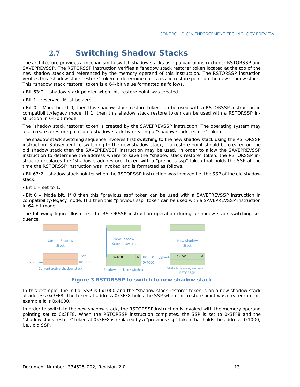# **2.7 Switching Shadow Stacks**

The architecture provides a mechanism to switch shadow stacks using a pair of instructions; RSTORSSP and SAVEPREVSSP. The RSTORSSP instruction verifies a "shadow stack restore" token located at the top of the new shadow stack and referenced by the memory operand of this instruction. The RSTORSSP insruction verifies this "shadow stack restore" token to determine if it is a valid restore point on the new shadow stack. This "shadow stack restore" token is a 64-bit value formatted as follows.

Bit 63:2 – shadow stack pointer when this restore point was created.

Bit 1 –reserved. Must be zero.

 Bit 0 – Mode bit. If 0, then this shadow stack restore token can be used with a RSTORSSP instruction in compatibility/legacy mode. If 1, then this shadow stack restore token can be used with a RSTORSSP instruction in 64-bit mode.

The "shadow stack restore" token is created by the SAVEPREVSSP instruction. The operating system may also create a restore point on a shadow stack by creating a "shadow stack restore" token.

The shadow stack switching sequence involves first switching to the new shadow stack using the RSTORSSP instruction. Subsequent to switching to the new shadow stack, if a restore point should be created on the old shadow stack then the SAVEPREVSSP instruction may be used. In order to allow the SAVEPREVSSP instruction to determine the address where to save the "shadow stack restore" token, the RSTORSSP instruction replaces the "shadow stack restore" token with a "previous ssp" token that holds the SSP at the time the RSTORSSP instruction was invoked and is formatted as follows.

 Bit 63:2 – shadow stack pointer when the RSTORSSP instruction was invoked i.e. the SSP of the old shadow stack.

 $\bullet$  Bit 1 – set to 1.

 Bit 0 – Mode bit. If 0 then this "previous ssp" token can be used with a SAVEPREVSSP instruction in compatibility/legacy mode. If 1 then this "previous ssp" token can be used with a SAVEPREVSSP instruction in 64-bit mode.

The following figure illustrates the RSTORSSP instruction operation during a shadow stack switching sequence.



**Figure 3 RSTORSSP to switch to new shadow stack** 

In this example, the initial SSP is 0x1000 and the "shadow stack restore" token is on a new shadow stack at address 0x3FF8. The token at address 0x3FF8 holds the SSP when this restore point was created; in this example it is 0x4000.

In order to switch to the new shadow stack, the RSTORSSP instruction is invoked with the memory operand pointing set to 0x3FF8. When the RSTORSSP instruction completes, the SSP is set to 0x3FF8 and the "shadow stack restore" token at 0x3FF8 is replaced by a "previous ssp" token that holds the address 0x1000, i.e., old SSP.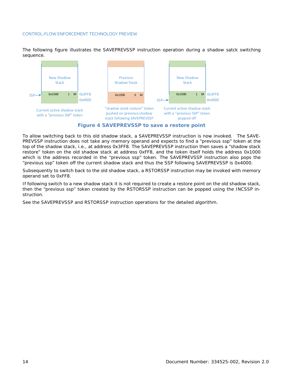The following figure illustrates the SAVEPREVSSP instruction operation during a shadow satck switching sequence.



**Figure 4 SAVEPREVSSP to save a restore point** 

To allow switching back to this old shadow stack, a SAVEPREVSSP instruction is now invoked. The SAVE-PREVSSP instruction does not take any memory operand and expects to find a "previous ssp" token at the top of the shadow stack, i.e., at address 0x3FF8. The SAVEPREVSSP instruction then saves a "shadow stack restore" token on the old shadow stack at address 0xFF8, and the token itself holds the address 0x1000 which is the address recorded in the "previous ssp" token. The SAVEPREVSSP instruction also pops the "previous ssp" token off the current shadow stack and thus the SSP following SAVEPREVSSP is 0x4000.

Subsequently to switch back to the old shadow stack, a RSTORSSP instruction may be invoked with memory operand set to 0xFF8.

If following switch to a new shadow stack it is not required to create a restore point on the old shadow stack, then the "previous ssp" token created by the RSTORSSP instruction can be popped using the INCSSP instruction.

See the SAVEPREVSSP and RSTORSSP instruction operations for the detailed algorithm.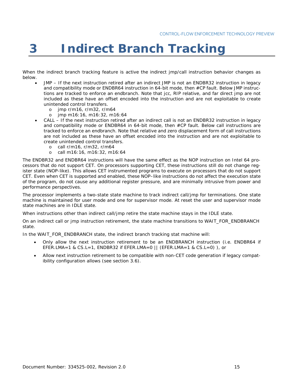# *3 Indirect Branch Tracking*

When the indirect branch tracking feature is active the indirect jmp/call instruction behavior changes as below.

- JMP If the next instruction retired after an indirect JMP is not an ENDBR32 instruction in legacy and compatibility mode or ENDBR64 instruction in 64-bit mode, then #CP fault. Below JMP instructions are tracked to enforce an endbranch. Note that jcc, RIP relative, and far direct jmp are not included as these have an offset encoded into the instruction and are not exploitable to create unintended control transfers.
	- o jmp r/m16, r/m32, r/m64
	- o jmp m16:16, m16:32, m16:64
- CALL If the next instruction retired after an indirect call is not an ENDBR32 instruction in legacy and compatibility mode or ENDBR64 in 64-bit mode, then #CP fault. Below call instructions are tracked to enforce an endbranch. Note that relative and zero displacement form of call instructions are not included as these have an offset encoded into the instruction and are not exploitable to create unintended control transfers.
	-
	- o call r/m16, r/m32, r/m64 o call m16:16, m16:32, m16:64

The ENDBR32 and ENDBR64 instructions will have the same effect as the NOP instruction on Intel 64 processors that do not support CET. On processors supporting CET, these instructions still do not change register state (NOP-like). This allows CET instrumented programs to execute on processors that do not support CET. Even when CET is supported and enabled, these NOP–like instructions do not affect the execution state of the program, do not cause any additional register pressure, and are minimally intrusive from power and performance perspectives.

The processor implements a two-state state machine to track indirect call/jmp for terminations. One state machine is maintained for user mode and one for supervisor mode. At reset the user and supervisor mode state machines are in IDLE state.

When instructions other than indirect call/jmp retire the state machine stays in the IDLE state.

On an indirect call or jmp instruction retirement, the state machine transitions to WAIT\_FOR\_ENDBRANCH state.

In the WAIT\_FOR\_ENDBRANCH state, the indirect branch tracking stat machine will:

- Only allow the next instruction retirement to be an ENDBRANCH instruction (i.e. ENDBR64 if EFER.LMA=1 & CS.L=1, ENDBR32 if EFER.LMA=0 || (EFER.LMA=1 & CS.L=0) ), or
- Allow next instruction retirement to be compatible with non-CET code generation if legacy compatibility configuration allows (see section 3.6).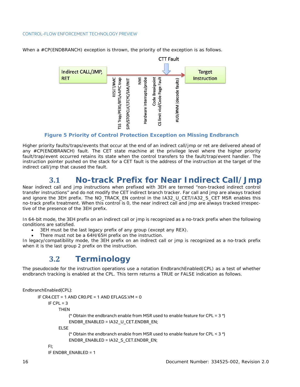When a #CP(ENDBRANCH) exception is thrown, the priority of the exception is as follows.



## **Figure 5 Priority of Control Protection Exception on Missing Endbranch**

Higher priority faults/traps/events that occur at the end of an indirect call/jmp or ret are delivered ahead of any #CP(ENDBRANCH) fault. The CET state machine at the privilege level where the higher priority fault/trap/event occurred retains its state when the control transfers to the fault/trap/event handler. The instruction pointer pushed on the stack for a CET fault is the address of the instruction at the target of the indirect call/jmp that caused the fault.

## **3.1 No-track Prefix for Near Indirect Call/Jmp**

Near indirect call and jmp instructions when prefixed with 3EH are termed "non-tracked indirect control transfer instructions" and do not modify the CET indirect branch tracker. Far call and jmp are always tracked and ignore the 3EH prefix. The NO\_TRACK\_EN control in the IA32\_U\_CET/IA32\_S\_CET MSR enables this no-track prefix treatment. When this control is 0, the near indirect call and jmp are always tracked irrespective of the presence of the 3EH prefix.

In 64-bit mode, the 3EH prefix on an indirect call or jmp is recognized as a no-track prefix when the following conditions are satisfied.

- 3EH must be the last legacy prefix of any group (except any REX).
- There must not be a 64H/65H prefix on the instruction.

In legacy/compatibility mode, the 3EH prefix on an indirect call or jmp is recognized as a no-track prefix when it is the last group 2 prefix on the instruction.

## **3.2 Terminology**

The pseudocode for the instruction operations use a notation EndbranchEnabled(CPL) as a test of whether endbranch tracking is enabled at the CPL. This term returns a TRUE or FALSE indication as follows.

```
EndbranchEnabled(CPL): 
       IF CR4.CFT = 1 AND CR0.PF = 1 AND FFLAGS.VM = 0
           IF CPL = 3 THEN 
                     (* Obtain the endbranch enable from MSR used to enable feature for CPL = 3*)
                       ENDBR_ENABLED = IA32_U_CET.ENDBR_EN; 
                 ELSE 
                      (* Obtain the endbranch enable from MSR used to enable feature for CPL < 3 *) 
                     ENDBR_ENABLED = IA32_S_CET.ENDBR_EN;
            FI; 
            IF ENDBR_ENABLED = 1
```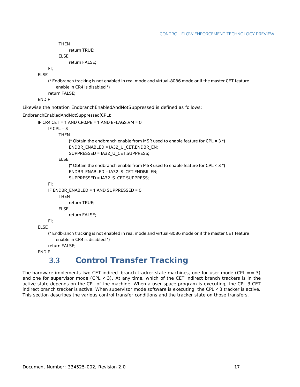```
 THEN 
      return TRUE; 
 ELSE
```
return FALSE;

 FI; ELSE

```
 (* Endbranch tracking is not enabled in real mode and virtual-8086 mode or if the master CET feature 
     enable in CR4 is disabled *)
```
return FALSE;

ENDIF

Likewise the notation EndbranchEnabledAndNotSuppressed is defined as follows:

```
EndbranchEnabledAndNotSuppressed(CPL):
```

```
IF CR4.CET = 1 AND CR0.PE = 1 AND EFLAGS.VM = 0
      IF CPL = 3 
          THFN
               (* Obtain the endbranch enable from MSR used to enable feature for CPL = 3 *)
               ENDBR_ENABLED = IA32_U_CET.ENDBR_EN;
               SUPPRESSED = IA32_U_CET.SUPPRESS;
           ELSE 
                (* Obtain the endbranch enable from MSR used to enable feature for CPL < 3 *) 
                ENDBR_ENABLED = IA32_S_CET.ENDBR_EN; 
               SUPPRESSED = IA32_S_CET.SUPPRESS;
      FI; 
      IF ENDBR_ENABLED = 1 AND SUPPRESSED = 0 
           THEN 
                return TRUE; 
           ELSE 
                return FALSE; 
      FI; 
ELSE 
      (* Endbranch tracking is not enabled in real mode and virtual-8086 mode or if the master CET feature 
         enable in CR4 is disabled *) 
      return FALSE;
```
ENDIF

## **3.3 Control Transfer Tracking**

The hardware implements two CET indirect branch tracker state machines, one for user mode (CPL  $=$  = 3) and one for supervisor mode (CPL < 3). At any time, which of the CET indirect branch trackers is in the active state depends on the CPL of the machine. When a user space program is executing, the CPL 3 CET indirect branch tracker is active. When supervisor mode software is executing, the CPL < 3 tracker is active. This section describes the various control transfer conditions and the tracker state on those transfers.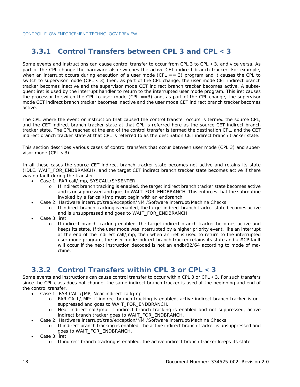## **3.3.1 Control Transfers between CPL 3 and CPL < 3**

Some events and instructions can cause control transfer to occur from CPL 3 to CPL < 3, and vice versa. As part of the CPL change the hardware also switches the active CET indirect branch tracker. For example, when an interrupt occurs during execution of a user mode (CPL  $=$  = 3) program and it causes the CPL to switch to supervisor mode (CPL < 3) then, as part of the CPL change, the user mode CET indirect branch tracker becomes inactive and the supervisor mode CET indirect branch tracker becomes active. A subsequent iret is used by the interrupt handler to return to the interrupted user mode program. This iret causes the processor to switch the CPL to user mode (CPL  $=$  = 3) and, as part of the CPL change, the supervisor mode CET indirect branch tracker becomes inactive and the user mode CET indirect branch tracker becomes active.

The CPL where the event or instruction that caused the control transfer occurs is termed the source CPL, and the CET indirect branch tracker state at that CPL is referred here as the source CET indirect branch tracker state. The CPL reached at the end of the control transfer is termed the destination CPL, and the CET indirect branch tracker state at that CPL is referred to as the destination CET indirect branch tracker state.

This section describes various cases of control transfers that occur between user mode (CPL 3) and supervisor mode (CPL < 3).

In all these cases the source CET indirect branch tracker state becomes not active and retains its state (IDLE, WAIT\_FOR\_ENDBRANCH), and the target CET indirect branch tracker state becomes active if there was no fault during the transfer.

- Case 1: FAR call/jmp, SYSCALL/SYSENTER
	- o If indirect branch tracking is enabled, the target indirect branch tracker state becomes active and is unsuppressed and goes to WAIT\_FOR\_ENDBRANCH. This enforces that the subroutine invoked by a far call/jmp must begin with an endbranch.
- Case 2: Hardware interrupt/trap/exception/NMI/Software interrupt/Machine Checks
	- o If indirect branch tracking is enabled, the target indirect branch tracker state becomes active and is unsuppressed and goes to WAIT\_FOR\_ENDBRANCH.
- Case 3: iret
	- o If indirect branch tracking enabled, the target indirect branch tracker becomes active and keeps its state. If the user mode was interrupted by a higher priority event, like an interrupt at the end of the indirect call/jmp, then when an iret is used to return to the interrupted user mode program, the user mode indirect branch tracker retains its state and a  $\#CP$  fault will occur if the next instruction decoded is not an endbr32/64 according to mode of machine.

## **3.3.2 Control Transfers within CPL 3 or CPL < 3**

Some events and instructions can cause control transfer to occur within CPL 3 or CPL < 3. For such transfers since the CPL class does not change, the same indirect branch tracker is used at the beginning and end of the control transfer.

- Case 1: FAR CALL/JMP, Near indirect call/jmp
	- o FAR CALL/JMP: If indirect branch tracking is enabled, active indirect branch tracker is unsuppressed and goes to WAIT\_FOR\_ENDBRANCH.
	- o Near indirect call/jmp: If indirect branch tracking is enabled and not suppressed, active indirect branch tracker goes to WAIT\_FOR\_ENDBRANCH.
	- Case 2: Hardware interrupt/trap/exception/NMI/Software interrupt/Machine Checks
		- o If indirect branch tracking is enabled, the active indirect branch tracker is unsuppressed and goes to WAIT\_FOR\_ENDBRANCH.
- Case 3: iret
	- o If indirect branch tracking is enabled, the active indirect branch tracker keeps its state.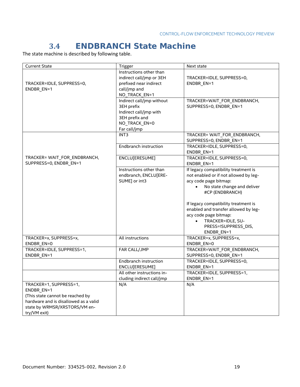# **3.4 ENDBRANCH State Machine**

The state machine is described by following table.

| <b>Current State</b>                  | Trigger                      | Next state                            |
|---------------------------------------|------------------------------|---------------------------------------|
|                                       | Instructions other than      |                                       |
|                                       |                              |                                       |
|                                       | indirect call/jmp or 3EH     | TRACKER=IDLE, SUPPRESS=0,             |
| TRACKER=IDLE, SUPPRESS=0,             | prefixed near indirect       | ENDBR_EN=1                            |
| ENDBR_EN=1                            | call/jmp and                 |                                       |
|                                       | NO_TRACK_EN=1                |                                       |
|                                       | Indirect call/jmp without    | TRACKER=WAIT_FOR_ENDBRANCH,           |
|                                       | 3EH prefix                   | SUPPRESS=0, ENDBR_EN=1                |
|                                       | Indirect call/jmp with       |                                       |
|                                       | 3EH prefix and               |                                       |
|                                       | NO_TRACK_EN=0                |                                       |
|                                       | Far call/jmp                 |                                       |
|                                       | INT3                         | TRACKER= WAIT_FOR_ENDBRANCH,          |
|                                       |                              | SUPPRESS=0, ENDBR_EN=1                |
|                                       | <b>Endbranch instruction</b> | TRACKER=IDLE, SUPPRESS=0,             |
|                                       |                              | ENDBR_EN=1                            |
| TRACKER= WAIT_FOR_ENDBRANCH,          | ENCLU[ERESUME]               | TRACKER=IDLE, SUPPRESS=0,             |
| SUPPRESS=0, ENDBR EN=1                |                              | ENDBR_EN=1                            |
|                                       | Instructions other than      | If legacy compatibility treatment is  |
|                                       |                              | not enabled or if not allowed by leg- |
|                                       | endbranch, ENCLU[ERE-        |                                       |
|                                       | SUME] or int3                | acy code page bitmap:                 |
|                                       |                              | No state change and deliver           |
|                                       |                              | #CP (ENDBRANCH)                       |
|                                       |                              |                                       |
|                                       |                              | If legacy compatibility treatment is  |
|                                       |                              | enabled and transfer allowed by leg-  |
|                                       |                              | acy code page bitmap:                 |
|                                       |                              | TRACKER=IDLE, SU-                     |
|                                       |                              | PRESS=!SUPPRESS DIS,                  |
|                                       |                              | ENDBR_EN=1                            |
| TRACKER=x, SUPPRESS=x,                | All instructions             | TRACKER=x, SUPPRESS=x,                |
| ENDBR_EN=0                            |                              | ENDBR_EN=0                            |
| TRACKER=IDLE, SUPPRESS=1,             | FAR CALL/JMP                 | TRACKER=WAIT_FOR_ENDBRANCH,           |
| <b>ENDBR EN=1</b>                     |                              | SUPPRESS=0, ENDBR EN=1                |
|                                       | Endbranch instruction        | TRACKER=IDLE, SUPPRESS=0,             |
|                                       | ENCLU[ERESUME]               | ENDBR_EN=1                            |
|                                       | All other instructions in-   | TRACKER=IDLE, SUPPRESS=1,             |
|                                       | cluding indirect call/jmp    | ENDBR_EN=1                            |
| TRACKER=1, SUPPRESS=1,                | N/A                          | N/A                                   |
| ENDBR_EN=1                            |                              |                                       |
| (This state cannot be reached by      |                              |                                       |
| hardware and is disallowed as a valid |                              |                                       |
| state by WRMSR/XRSTORS/VM en-         |                              |                                       |
| try/VM exit)                          |                              |                                       |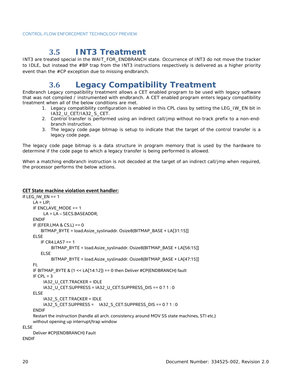# **3.5 INT3 Treatment**

INT3 are treated special in the WAIT\_FOR\_ENDBRANCH state. Occurrence of INT3 do not move the tracker to IDLE, but instead the #BP trap from the INT3 instructions respectively is delivered as a higher priority event than the #CP exception due to missing endbranch.

# **3.6 Legacy Compatibility Treatment**

Endbranch Legacy compatibility treatment allows a CET enabled program to be used with legacy software that was not compiled / instrumented with endbranch. A CET enabled program enters legacy compatibility treatment when all of the below conditions are met.

- 1. Legacy compatibility configuration is enabled in this CPL class by setting the LEG\_IW\_EN bit in IA32\_U\_CET/IA32\_S\_CET.
- 2. Control transfer is performed using an indirect call/jmp without no-track prefix to a non-endbranch instruction.
- 3. The legacy code page bitmap is setup to indicate that the target of the control transfer is a legacy code page.

The legacy code page bitmap is a data structure in program memory that is used by the hardware to determine if the code page to which a legacy transfer is being performed is allowed.

When a matching endbranch instruction is not decoded at the target of an indirect call/jmp when required, the processor performs the below actions.

## **CET State machine violation event handler:**

```
If LEG IW EN = 1LA = LIP;
     IF ENCLAVE_MODE == 1
           LA = LA – SECS.BASEADDR; 
      ENDIF 
     IF (EFER.LMA & CS.L) == 0
        BITMAP_BYTE = load.Asize_syslinaddr. Osize8(BITMAP_BASE + LA[31:15]]
      ELSE 
         IF CR4.LA57 == 1 
              BITMAP_BYTE = load.Asize_syslinaddr. Osize8(BITMAP_BASE + LA[56:15]]
         ELSE 
              BITMAP_BYTE = load.Asize_syslinaddr. Osize8(BITMAP_BASE + LA[47:15]]
      FI; 
      IF BITMAP_BYTE & (1 << LA[14:12]) == 0 then Deliver #CP(ENDBRANCH) fault 
      IF CPL = 3 
           IA32_U_CET.TRACKER = IDLE 
          IA32_U_CET.SUPPRESS = IA32_U_CET.SUPPRESS_DIS == 0 ? 1 : 0
      ELSE 
           IA32_S_CET.TRACKER = IDLE 
          IA32_S_CET.SUPPRESS = IA32_S_CET.SUPPRESS_DIS == 0 ? 1 : 0
      ENDIF 
      Restart the instruction (handle all arch. consistency around MOV SS state machines, STI etc.) 
      without opening up interrupt/trap window 
ELSE 
      Deliver #CP(ENDBRANCH) Fault
```
ENDIF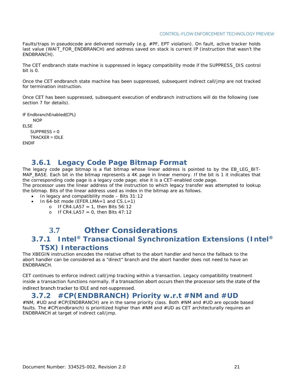Faults/traps in pseudocode are delivered normally (e.g. #PF, EPT violation). On fault, active tracker holds last value (WAIT\_FOR\_ENDBRANCH) and address saved on stack is current IP (instruction that wasn't the ENDBRANCH).

The CET endbranch state machine is suppressed in legacy compatibility mode if the SUPPRESS\_DIS control bit is 0.

Once the CET endbranch state machine has been suppressed, subsequent indirect call/jmp are not tracked for termination instruction.

Once CET has been suppressed, subsequent execution of endbranch instructions will do the following (see section 7 for details).

```
IF EndbranchEnabled(CPL) 
      NOP 
ELSE 
    SUPPRESS = 0 
    TRACKER = IDLE 
ENDIF
```
## **3.6.1 Legacy Code Page Bitmap Format**

The legacy code page bitmap is a flat bitmap whose linear address is pointed to by the EB\_LEG\_BIT-MAP\_BASE. Each bit in the bitmap represents a 4K page in linear memory. If the bit is 1 it indicates that the corresponding code page is a legacy code page; else it is a CET-enabled code page.

The processor uses the linear address of the instruction to which legacy transfer was attempted to lookup the bitmap. Bits of the linear address used as index in the bitmap are as follows.

- In legacy and compatibility mode Bits 31:12
- In 64-bit mode (EFER.LMA=1 and CS.L=1)
	- o If CR4.LA57 = 1, then Bits 56:12
	- o If CR4.LA57 = 0, then Bits  $47:12$

## **3.7 Other Considerations 3.7.1 Intel® Transactional Synchronization Extensions (Intel® TSX) Interactions**

The XBEGIN instruction encodes the relative offset to the abort handler and hence the fallback to the abort handler can be considered as a "direct" branch and the abort handler does not need to have an **ENDBRANCH** 

CET continues to enforce indirect call/jmp tracking within a transaction. Legacy compatibility treatment inside a transaction functions normally. If a transaction abort occurs then the processor sets the state of the indirect branch tracker to IDLE and not-suppressed.

## **3.7.2 #CP(ENDBRANCH) Priority w.r.t #NM and #UD**

#NM, #UD and #CP(ENDBRANCH) are in the same priority class. Both #NM and #UD are opcode based faults. The #CP(endbranch) is prioritized higher than #NM and #UD as CET architecturally requires an ENDBRANCH at target of indirect call/jmp.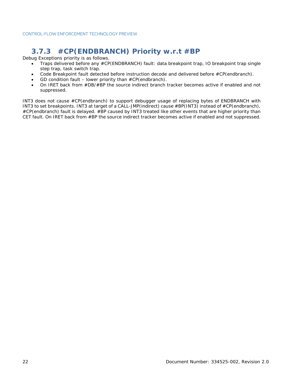## **3.7.3 #CP(ENDBRANCH) Priority w.r.t #BP**

Debug Exceptions priority is as follows.

- Traps delivered before any #CP(ENDBRANCH) fault: data breakpoint trap, IO breakpoint trap single step trap, task switch trap.
- Code Breakpoint fault detected before instruction decode and delivered before #CP(endbranch).
- GD condition fault lower priority than  $\#CP$ (endbranch).
- On IRET back from #DB/#BP the source indirect branch tracker becomes active if enabled and not suppressed.

INT3 does not cause #CP(endbranch) to support debugger usage of replacing bytes of ENDBRANCH with INT3 to set breakpoints. INT3 at target of a CALL-JMP(indirect) cause #BP(INT3) instead of #CP(endbranch), #CP(endbranch) fault is delayed. #BP caused by INT3 treated like other events that are higher priority than CET fault. On IRET back from #BP the source indirect tracker becomes active if enabled and not suppressed.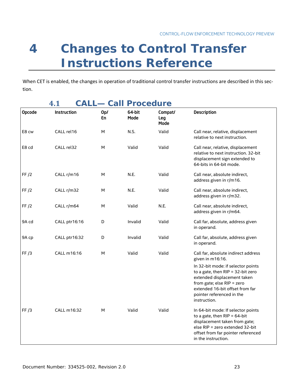# *4 Changes to Control Transfer Instructions Reference*

When CET is enabled, the changes in operation of traditional control transfer instructions are described in this section.

# **4.1 CALL— Call Procedure**

| <b>Opcode</b> | Instruction   | Op/<br>En | 64-bit<br>Mode | Compat/<br>Leg<br>Mode | <b>Description</b>                                                                                                                                                                                                                                                              |
|---------------|---------------|-----------|----------------|------------------------|---------------------------------------------------------------------------------------------------------------------------------------------------------------------------------------------------------------------------------------------------------------------------------|
| E8 cw         | CALL rel16    | M         | N.S.           | Valid                  | Call near, relative, displacement<br>relative to next instruction.                                                                                                                                                                                                              |
| E8 cd         | CALL rel32    | M         | Valid          | Valid                  | Call near, relative, displacement<br>relative to next instruction. 32-bit<br>displacement sign extended to<br>64-bits in 64-bit mode.                                                                                                                                           |
| FF/2          | CALL r/m16    | M         | N.E.           | Valid                  | Call near, absolute indirect,<br>address given in r/m16.                                                                                                                                                                                                                        |
| FF/2          | CALL r/m32    | M         | N.E.           | Valid                  | Call near, absolute indirect,<br>address given in r/m32.                                                                                                                                                                                                                        |
| FF/2          | CALL r/m64    | M         | Valid          | N.E.                   | Call near, absolute indirect,<br>address given in r/m64.                                                                                                                                                                                                                        |
| 9A cd         | CALL ptr16:16 | D         | Invalid        | Valid                  | Call far, absolute, address given<br>in operand.                                                                                                                                                                                                                                |
| 9A cp         | CALL ptr16:32 | D         | Invalid        | Valid                  | Call far, absolute, address given<br>in operand.                                                                                                                                                                                                                                |
| FF/3          | CALL m16:16   | M         | Valid          | Valid                  | Call far, absolute indirect address<br>given in m16:16.<br>In 32-bit mode: if selector points<br>to a gate, then RIP = 32-bit zero<br>extended displacement taken<br>from gate; else RIP = zero<br>extended 16-bit offset from far<br>pointer referenced in the<br>instruction. |
| FF/3          | CALL m16:32   | M         | Valid          | Valid                  | In 64-bit mode: If selector points<br>to a gate, then $RIP = 64$ -bit<br>displacement taken from gate;<br>else RIP = zero extended 32-bit<br>offset from far pointer referenced<br>in the instruction.                                                                          |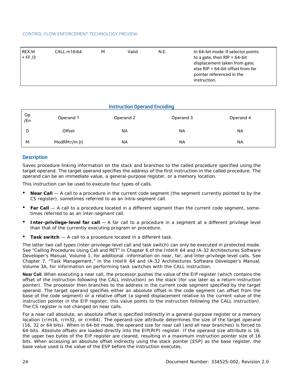| I REX.W<br>$+ FF/3$ | CALL m16:64 | м | Valid | N.E. | In 64-bit mode: If selector points<br>to a gate, then $RIP = 64$ -bit<br>displacement taken from gate;<br>else RIP = 64-bit offset from far<br>pointer referenced in the<br>instruction. |  |
|---------------------|-------------|---|-------|------|------------------------------------------------------------------------------------------------------------------------------------------------------------------------------------------|--|
|                     |             |   |       |      |                                                                                                                                                                                          |  |

### Instruction Operand Encoding

| Op<br>/En | Operand 1     | Operand 2 | Operand 3 | Operand 4 |
|-----------|---------------|-----------|-----------|-----------|
| - D       | Offset        | <b>NA</b> | <b>NA</b> | NA        |
| M         | ModRM:r/m (r) | NA        | NА        | ΝA        |

## **Description**

Saves procedure linking information on the stack and branches to the called procedure specified using the target operand. The target operand specifies the address of the first instruction in the called procedure. The operand can be an immediate value, a general-purpose register, or a memory location.

This instruction can be used to execute four types of calls.

- **Near Call** A call to a procedure in the current code segment (the segment currently pointed to by the CS register), sometimes referred to as an intra-segment call.
- **Far Call** A call to a procedure located in a different segment than the current code segment, sometimes referred to as an inter-segment call.
- **Inter-privilege-level far call** A far call to a procedure in a segment at a different privilege level than that of the currently executing program or procedure.
- **Task switch** A call to a procedure located in a different task.

The latter two call types (inter-privilege-level call and task switch) can only be executed in protected mode. See "Calling Procedures Using Call and RET" in Chapter 6 of the *Intel® 64 and IA-32 Architectures Software Developer's Manual, Volume 1*, for additional -information on near, far, and inter-privilege-level calls. See Chapter 7, "Task Management," in the *Intel® 64 and IA-32 Architectures Software Developer's Manual, Volume 3A*, for information on performing task switches with the CALL instruction.

**Near Call.** When executing a near call, the processor pushes the value of the EIP register (which contains the offset of the instruction following the CALL instruction) on the stack (for use later as a return-instruction pointer). The processor then branches to the address in the current code segment specified by the target operand. The target operand specifies either an absolute offset in the code segment (an offset from the base of the code segment) or a relative offset (a signed displacement relative to the current value of the instruction pointer in the EIP register; this value points to the instruction following the CALL instruction). The CS register is not changed on near calls.

For a near call absolute, an absolute offset is specified indirectly in a general-purpose register or a memory location (*r/m16*, *r/m32, or r/m64*). The operand-size attribute determines the size of the target operand (16, 32 or 64 bits). When in 64-bit mode, the operand size for near call (and all near branches) is forced to 64-bits. Absolute offsets are loaded directly into the EIP(RIP) register. If the operand size attribute is 16, the upper two bytes of the EIP register are cleared, resulting in a maximum instruction pointer size of 16 bits. When accessing an absolute offset indirectly using the stack pointer [ESP] as the base register, the base value used is the value of the ESP before the instruction executes.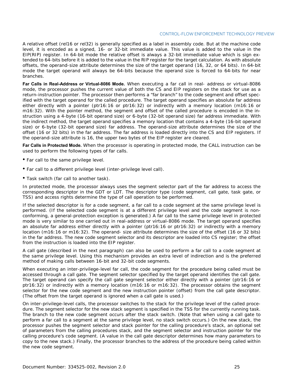A relative offset (*rel16* or *rel32*) is generally specified as a label in assembly code. But at the machine code level, it is encoded as a signed, 16- or 32-bit immediate value. This value is added to the value in the EIP(RIP) register. In 64-bit mode the relative offset is always a 32-bit immediate value which is sign extended to 64-bits before it is added to the value in the RIP register for the target calculation. As with absolute offsets, the operand-size attribute determines the size of the target operand (16, 32, or 64 bits). In 64-bit mode the target operand will always be 64-bits because the operand size is forced to 64-bits for near branches.

**Far Calls in Real-Address or Virtual-8086 Mode.** When executing a far call in real- address or virtual-8086 mode, the processor pushes the current value of both the CS and EIP registers on the stack for use as a return-instruction pointer. The processor then performs a "far branch" to the code segment and offset specified with the target operand for the called procedure. The target operand specifies an absolute far address either directly with a pointer (*ptr16:16* or *ptr16:32*) or indirectly with a memory location (*m16:16* or *m16:32*). With the pointer method, the segment and offset of the called procedure is encoded in the instruction using a 4-byte (16-bit operand size) or 6-byte (32-bit operand size) far address immediate. With the indirect method, the target operand specifies a memory location that contains a 4-byte (16-bit operand size) or 6-byte (32-bit operand size) far address. The operand-size attribute determines the size of the offset (16 or 32 bits) in the far address. The far address is loaded directly into the CS and EIP registers. If the operand-size attribute is 16, the upper two bytes of the EIP register are cleared.

**Far Calls in Protected Mode.** When the processor is operating in protected mode, the CALL instruction can be used to perform the following types of far calls.

- Far call to the same privilege level.
- Far call to a different privilege level (inter-privilege level call).
- Task switch (far call to another task).

In protected mode, the processor always uses the segment selector part of the far address to access the corresponding descriptor in the GDT or LDT. The descriptor type (code segment, call gate, task gate, or TSS) and access rights determine the type of call operation to be performed.

If the selected descriptor is for a code segment, a far call to a code segment at the same privilege level is performed. (If the selected code segment is at a different privilege level and the code segment is nonconforming, a general-protection exception is generated.) A far call to the same privilege level in protected mode is very similar to one carried out in real-address or virtual-8086 mode. The target operand specifies an absolute far address either directly with a pointer (*ptr16:16 or ptr16:32*) or indirectly with a memory location (*m16:16* or *m16:32*). The operand- size attribute determines the size of the offset (16 or 32 bits) in the far address. The new code segment selector and its descriptor are loaded into CS register; the offset from the instruction is loaded into the EIP register.

A call gate (described in the next paragraph) can also be used to perform a far call to a code segment at the same privilege level. Using this mechanism provides an extra level of indirection and is the preferred method of making calls between 16-bit and 32-bit code segments.

When executing an inter-privilege-level far call, the code segment for the procedure being called must be accessed through a call gate. The segment selector specified by the target operand identifies the call gate. The target operand can specify the call gate segment selector either directly with a pointer (*ptr16:16* or *ptr16:32*) or indirectly with a memory location (*m16:16* or *m16:32*). The processor obtains the segment selector for the new code segment and the new instruction pointer (offset) from the call gate descriptor. (The offset from the target operand is ignored when a call gate is used.)

On inter-privilege-level calls, the processor switches to the stack for the privilege level of the called procedure. The segment selector for the new stack segment is specified in the TSS for the currently running task. The branch to the new code segment occurs after the stack switch. (Note that when using a call gate to perform a far call to a segment at the same privilege level, no stack switch occurs.) On the new stack, the processor pushes the segment selector and stack pointer for the calling procedure's stack, an optional set of parameters from the calling procedures stack, and the segment selector and instruction pointer for the calling procedure's code segment. (A value in the call gate descriptor determines how many parameters to copy to the new stack.) Finally, the processor branches to the address of the procedure being called within the new code segment.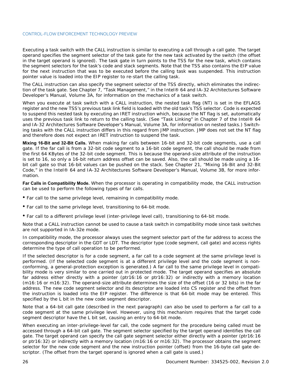Executing a task switch with the CALL instruction is similar to executing a call through a call gate. The target operand specifies the segment selector of the task gate for the new task activated by the switch (the offset in the target operand is ignored). The task gate in turn points to the TSS for the new task, which contains the segment selectors for the task's code and stack segments. Note that the TSS also contains the EIP value for the next instruction that was to be executed before the calling task was suspended. This instruction pointer value is loaded into the EIP register to re-start the calling task.

The CALL instruction can also specify the segment selector of the TSS directly, which eliminates the indirection of the task gate. See Chapter 7, "Task Management," in the *Intel® 64 and IA-32 Architectures Software Developer's Manual, Volume 3A*, for information on the mechanics of a task switch.

When you execute at task switch with a CALL instruction, the nested task flag (NT) is set in the EFLAGS register and the new TSS's previous task link field is loaded with the old task's TSS selector. Code is expected to suspend this nested task by executing an IRET instruction which, because the NT flag is set, automatically uses the previous task link to return to the calling task. (See "Task Linking" in Chapter 7 of the *Intel® 64 and IA-32 Architectures Software Developer's Manual, Volume 3A*, for information on nested tasks.) Switching tasks with the CALL instruction differs in this regard from JMP instruction. JMP does not set the NT flag and therefore does not expect an IRET instruction to suspend the task.

**Mixing 16-Bit and 32-Bit Calls.** When making far calls between 16-bit and 32-bit code segments, use a call gate. If the far call is from a 32-bit code segment to a 16-bit code segment, the call should be made from the first 64 KBytes of the 32-bit code segment. This is because the operand-size attribute of the instruction is set to 16, so only a 16-bit return address offset can be saved. Also, the call should be made using a 16 bit call gate so that 16-bit values can be pushed on the stack. See Chapter 21, "Mixing 16-Bit and 32-Bit Code," in the *Intel® 64 and IA-32 Architectures Software Developer's Manual, Volume 3B*, for more information.

**Far Calls in Compatibility Mode.** When the processor is operating in compatibility mode, the CALL instruction can be used to perform the following types of far calls.

- Far call to the same privilege level, remaining in compatibility mode.
- Far call to the same privilege level, transitioning to 64-bit mode.
- Far call to a different privilege level (inter-privilege level call), transitioning to 64-bit mode.

Note that a CALL instruction cannot be used to cause a task switch in compatibility mode since task switches are not supported in IA-32e mode.

In compatibility mode, the processor always uses the segment selector part of the far address to access the corresponding descriptor in the GDT or LDT. The descriptor type (code segment, call gate) and access rights determine the type of call operation to be performed.

If the selected descriptor is for a code segment, a far call to a code segment at the same privilege level is performed. (If the selected code segment is at a different privilege level and the code segment is nonconforming, a general-protection exception is generated.) A far call to the same privilege level in compatibility mode is very similar to one carried out in protected mode. The target operand specifies an absolute far address either directly with a pointer (*ptr16:16* or *ptr16:32*) or indirectly with a memory location (*m16:16* or *m16:32*). The operand-size attribute determines the size of the offset (16 or 32 bits) in the far address. The new code segment selector and its descriptor are loaded into CS register and the offset from the instruction is loaded into the EIP register. The difference is that 64-bit mode may be entered. This specified by the L bit in the new code segment descriptor.

Note that a 64-bit call gate (described in the next paragraph) can also be used to perform a far call to a code segment at the same privilege level. However, using this mechanism requires that the target code segment descriptor have the L bit set, causing an entry to 64-bit mode.

When executing an inter-privilege-level far call, the code segment for the procedure being called must be accessed through a 64-bit call gate. The segment selector specified by the target operand identifies the call gate. The target operand can specify the call gate segment selector either directly with a pointer (*ptr16:16* or *ptr16:32*) or indirectly with a memory location (*m16:16* or *m16:32*). The processor obtains the segment selector for the new code segment and the new instruction pointer (offset) from the 16-byte call gate descriptor. (The offset from the target operand is ignored when a call gate is used.)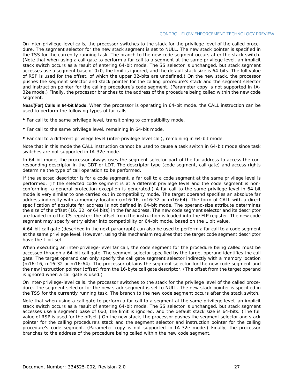On inter-privilege-level calls, the processor switches to the stack for the privilege level of the called procedure. The segment selector for the new stack segment is set to NULL. The new stack pointer is specified in the TSS for the currently running task. The branch to the new code segment occurs after the stack switch. (Note that when using a call gate to perform a far call to a segment at the same privilege level, an implicit stack switch occurs as a result of entering 64-bit mode. The SS selector is unchanged, but stack segment accesses use a segment base of 0x0, the limit is ignored, and the default stack size is 64-bits. The full value of RSP is used for the offset, of which the upper 32-bits are undefined.) On the new stack, the processor pushes the segment selector and stack pointer for the calling procedure's stack and the segment selector and instruction pointer for the calling procedure's code segment. (Parameter copy is not supported in IA-32e mode.) Finally, the processor branches to the address of the procedure being called within the new code segment.

**Near/(Far) Calls in 64-bit Mode.** When the processor is operating in 64-bit mode, the CALL instruction can be used to perform the following types of far calls

- Far call to the same privilege level, transitioning to compatibility mode.
- Far call to the same privilege level, remaining in 64-bit mode.
- Far call to a different privilege level (inter-privilege level call), remaining in 64-bit mode.

Note that in this mode the CALL instruction cannot be used to cause a task switch in 64-bit mode since task switches are not supported in IA-32e mode.

In 64-bit mode, the processor always uses the segment selector part of the far address to access the corresponding descriptor in the GDT or LDT. The descriptor type (code segment, call gate) and access rights determine the type of call operation to be performed.

If the selected descriptor is for a code segment, a far call to a code segment at the same privilege level is performed. (If the selected code segment is at a different privilege level and the code segment is nonconforming, a general-protection exception is generated.) A far call to the same privilege level in 64-bit mode is very similar to one carried out in compatibility mode. The target operand specifies an absolute far address indirectly with a memory location (*m16:16, m16:32* or *m16:64*). The form of CALL with a direct specification of absolute far address is not defined in 64-bit mode. The operand-size attribute determines the size of the offset (16, 32, or 64 bits) in the far address. The new code segment selector and its descriptor are loaded into the CS register; the offset from the instruction is loaded into the EIP register. The new code segment may specify entry either into compatibility or 64-bit mode, based on the L bit value.

A 64-bit call gate (described in the next paragraph) can also be used to perform a far call to a code segment at the same privilege level. However, using this mechanism requires that the target code segment descriptor have the L bit set.

When executing an inter-privilege-level far call, the code segment for the procedure being called must be accessed through a 64-bit call gate. The segment selector specified by the target operand identifies the call gate. The target operand can only specify the call gate segment selector indirectly with a memory location (*m16:16, m16:32* or *m16:64*). The processor obtains the segment selector for the new code segment and the new instruction pointer (offset) from the 16-byte call gate descriptor. (The offset from the target operand is ignored when a call gate is used.)

On inter-privilege-level calls, the processor switches to the stack for the privilege level of the called procedure. The segment selector for the new stack segment is set to NULL. The new stack pointer is specified in the TSS for the currently running task. The branch to the new code segment occurs after the stack switch.

Note that when using a call gate to perform a far call to a segment at the same privilege level, an implicit stack switch occurs as a result of entering 64-bit mode. The SS selector is unchanged, but stack segment accesses use a segment base of 0x0, the limit is ignored, and the default stack size is 64-bits. (The full value of RSP is used for the offset.) On the new stack, the processor pushes the segment selector and stack pointer for the calling procedure's stack and the segment selector and instruction pointer for the calling procedure's code segment. (Parameter copy is not supported in IA-32e mode.) Finally, the processor branches to the address of the procedure being called within the new code segment.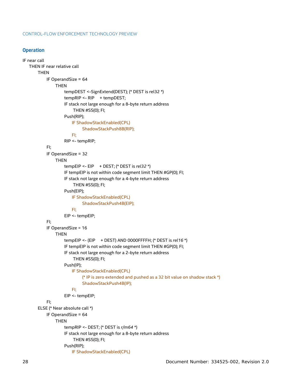## **Operation**

```
IF near call 
    THEN IF near relative call 
         THEN 
              IF OperandSize = 64 
                 THFN
                       tempDEST <-SignExtend(DEST); (* DEST is rel32 *) 
                      tempRIP <- RIP + tempDEST;
                       IF stack not large enough for a 8-byte return address 
                            THEN #SS(0); FI; 
                       Push(RIP);
                           IF ShadowStackEnabled(CPL) 
                                 ShadowStackPush8B(RIP); 
FI; and the state of the state of \mathsf{FI}^*_i RIP <- tempRIP; 
              FI; 
              IF OperandSize = 32 
                  THEN 
                       tempEIP <- EIP + DEST; (* DEST is rel32 *) 
                       IF tempEIP is not within code segment limit THEN #GP(0); FI; 
                       IF stack not large enough for a 4-byte return address 
                            THEN #SS(0); FI; 
                       Push(EIP); 
                           IF ShadowStackEnabled(CPL) 
                                 ShadowStackPush4B(EIP); 
FI; and the state of the state of \mathsf{FI}^*_i EIP <- tempEIP; 
              FI; 
              IF OperandSize = 16 
                  THEN 
                       tempEIP <- (EIP + DEST) AND 0000FFFFH; (* DEST is rel16 *) 
                       IF tempEIP is not within code segment limit THEN #GP(0); FI; 
                       IF stack not large enough for a 2-byte return address 
                            THEN #SS(0); FI; 
                       Push(IP); 
                           IF ShadowStackEnabled(CPL) 
                                 (* IP is zero extended and pushed as a 32 bit value on shadow stack *) 
                                 ShadowStackPush4B(IP); 
FI; and the state of the state of \mathsf{FI}^*_i EIP <- tempEIP; 
              FI; 
         ELSE (* Near absolute call *) 
              IF OperandSize = 64 
                  THEN 
                       tempRIP <- DEST; (* DEST is r/m64 *) 
                       IF stack not large enough for a 8-byte return address 
                            THEN #SS(0); FI; 
                       Push(RIP); 
                           IF ShadowStackEnabled(CPL)
```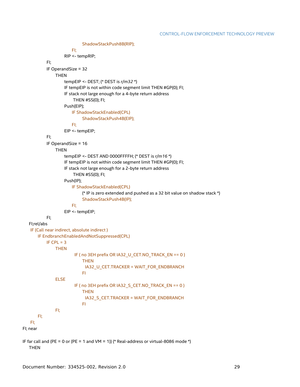```
 ShadowStackPush8B(RIP); 
FI; and the state of the state of \mathsf{FI}^*_i RIP <- tempRIP; 
             FI; 
             IF OperandSize = 32 
                  THEN 
                      tempEIP <- DEST; (* DEST is r/m32 *) 
                       IF tempEIP is not within code segment limit THEN #GP(0); FI; 
                       IF stack not large enough for a 4-byte return address 
                           THEN #SS(0); FI; 
                      Push(EIP); 
                          IF ShadowStackEnabled(CPL) 
                                ShadowStackPush4B(EIP); 
FI; and the state of the state of \mathsf{FI}^*_i EIP <- tempEIP; 
             FI; 
             IF OperandSize = 16 
                 THEN
                       tempEIP <- DEST AND 0000FFFFH; (* DEST is r/m16 *) 
                       IF tempEIP is not within code segment limit THEN #GP(0); FI; 
                       IF stack not large enough for a 2-byte return address 
                           THEN #SS(0); FI; 
                      Push(IP); 
                          IF ShadowStackEnabled(CPL) 
                                (* IP is zero extended and pushed as a 32 bit value on shadow stack *) 
                                ShadowStackPush4B(IP); 
FI; and the state of the state of \mathsf{FI}^*_i EIP <- tempEIP; 
             FI; 
    FI;rel/abs 
     IF (Call near indirect, absolute indirect ) 
        IF EndbranchEnabledAndNotSuppressed(CPL) 
             IF CPL = 3 
                  THEN 
                            IF ( no 3EH prefix OR IA32_U_CET.NO_TRACK_EN == 0 ) 
                                THEN 
                                IA32_U_CET.TRACKER = WAIT_FOR_ENDBRANCH
FIRST CONTRACTOR
                  ELSE 
                           IF ( no 3EH prefix OR IA32_S_CET.NO_TRACK_EN == 0 )
                                THEN 
                                 IA32_S_CET.TRACKER = WAIT_FOR_ENDBRANCH 
FIRST CONTRACTOR
                  FI; 
        FI; 
     FI; 
FI; near 
IF far call and (PE = 0 or (PE = 1 and VM = 1)) (* Real-address or virtual-8086 mode *)
```

```
THEN
```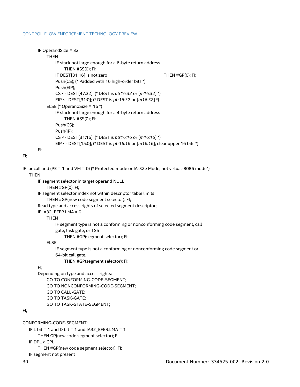```
 IF OperandSize = 32 
             THEN 
                 IF stack not large enough for a 6-byte return address 
                      THEN #SS(0); FI; 
                 IF DEST[31:16] is not zero THEN #GP(0); FI; 
                 Push(CS); (* Padded with 16 high-order bits *) 
                 Push(EIP); 
                 CS <- DEST[47:32]; (* DEST is ptr16:32 or [m16:32] *) 
                 EIP <- DEST[31:0]; (* DEST is ptr16:32 or [m16:32] *) 
             ELSE (* OperandSize = 16 *) 
                 IF stack not large enough for a 4-byte return address 
                      THEN #SS(0); FI; 
                 Push(CS); 
                 Push(IP); 
                 CS <- DEST[31:16]; (* DEST is ptr16:16 or [m16:16] *) 
                 EIP <- DEST[15:0]; (* DEST is ptr16:16 or [m16:16]; clear upper 16 bits *) 
        FI; 
IF far call and (PE = 1 and VM = 0) (* Protected mode or IA-32e Mode, not virtual-8086 mode*) 
    THEN 
        IF segment selector in target operand NULL 
             THEN #GP(0); FI; 
        IF segment selector index not within descriptor table limits 
             THEN #GP(new code segment selector); FI; 
        Read type and access rights of selected segment descriptor; 
        IF IA32_EFER.LMA = 0 
             THEN 
                 IF segment type is not a conforming or nonconforming code segment, call 
                 gate, task gate, or TSS 
                      THEN #GP(segment selector); FI; 
             ELSE 
                 IF segment type is not a conforming or nonconforming code segment or 
                 64-bit call gate, 
                     THEN #GP(segment selector); FI; 
        FI; 
        Depending on type and access rights: 
             GO TO CONFORMING-CODE-SEGMENT; 
             GO TO NONCONFORMING-CODE-SEGMENT; 
             GO TO CALL-GATE; 
             GO TO TASK-GATE; 
             GO TO TASK-STATE-SEGMENT; 
CONFORMING-CODE-SEGMENT: 
   IF L bit = 1 and D bit = 1 and IA32 EFER.LMA = 1
        THEN GP(new code segment selector); FI; 
    IF DPL > CPL 
        THEN #GP(new code segment selector); FI;
```
FI;

```
30 Document Number: 334525-002, Revision 2.0
```
IF segment not present

FI;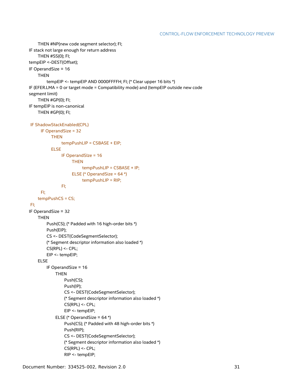```
 THEN #NP(new code segment selector); FI; 
 IF stack not large enough for return address 
     THEN #SS(0); FI; 
 tempEIP <-DEST(Offset); 
 IF OperandSize = 16 
    THEN
          tempEIP <- tempEIP AND 0000FFFFH; FI; (* Clear upper 16 bits *) 
 IF (EFER.LMA = 0 or target mode = Compatibility mode) and (tempEIP outside new code 
 segment limit) 
     THEN #GP(0); FI; 
 IF tempEIP is non-canonical 
     THEN #GP(0); FI; 
 IF ShadowStackEnabled(CPL) 
       IF OperandSize = 32 
           THEN
                  tempPushLIP = CSBASE + EIP; 
            ELSE 
                  IF OperandSIze = 16 
                      THEN
                             tempPushLIP = CSBASE + IP; 
                       ELSE (* OperandSize = 64 *) 
                            tempPushLIP = RIP; 
                  FI; 
       FI; 
     tempPushCS = CS; 
 FI; 
 IF OperandSize = 32 
     THEN 
          Push(CS); (* Padded with 16 high-order bits *) 
          Push(EIP); 
          CS <- DEST(CodeSegmentSelector); 
          (* Segment descriptor information also loaded *) 
          CS(RPL) <- CPL; 
          EIP <- tempEIP; 
     ELSE 
          IF OperandSize = 16 
              THEN 
                   Push(CS); 
                   Push(IP); 
                   CS <- DEST(CodeSegmentSelector); 
                   (* Segment descriptor information also loaded *) 
                   CS(RPL) <- CPL; 
                   EIP <- tempEIP; 
              ELSE (* OperandSize = 64 *) 
                   Push(CS); (* Padded with 48 high-order bits *) 
                   Push(RIP); 
                   CS <- DEST(CodeSegmentSelector); 
                   (* Segment descriptor information also loaded *) 
                   CS(RPL) <- CPL; 
                   RIP <- tempEIP;
```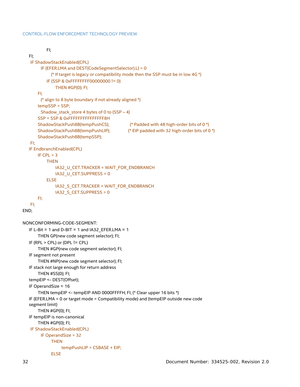FI;

```
 FI; 
    IF ShadowStackEnabled(CPL) 
         IF (EFER.LMA and DEST(CodeSegmentSelector).L) = 0 
               (* If target is legacy or compatibility mode then the SSP must be in low 4G *) 
            IF (SSP & 0xFFFFFFFF00000000 != 0) 
                 THEN #GP(0); FI; 
        FI; 
         (* align to 8 byte boundary if not already aligned *) 
        tempSSP = SSP; 
        Shadow stack store 4 bytes of 0 to (SSP – 4)
        SSP = SSP & 0xFFFFFFFFFFFFFFF8H 
        ShadowStackPush8B(tempPushCS); (* Padded with 48 high-order bits of 0 *) 
        ShadowStackPush8B(tempPushLIP); (* EIP padded with 32 high-order bits of 0 *) 
        ShadowStackPush8B(tempSSP); 
    FI; 
    IF EndbranchEnabled(CPL) 
        IF CPL = 3 
            THEN 
                IA32_U_CET.TRACKER = WAIT_FOR_ENDBRANCH
                 IA32_U_CET.SUPPRESS = 0 
            ELSE 
                IA32_S_CET.TRACKER = WAIT_FOR_ENDBRANCH
                 IA32_S_CET.SUPPRESS = 0 
        FI; 
    FI; 
END; 
NONCONFORMING-CODE-SEGMENT: 
   IF L-Bit = 1 and D-BIT = 1 and IA32 EFER.LMA = 1
        THEN GP(new code segment selector); FI; 
    IF (RPL > CPL) or (DPL != CPL) 
        THEN #GP(new code segment selector); FI; 
    IF segment not present 
        THEN #NP(new code segment selector); FI; 
    IF stack not large enough for return address 
        THEN #SS(0); FI; 
    tempEIP <- DEST(Offset); 
    IF OperandSize = 16 
        THEN tempEIP <- tempEIP AND 0000FFFFH; FI; (* Clear upper 16 bits *) 
    IF (EFER.LMA = 0 or target mode = Compatibility mode) and (tempEIP outside new code 
    segment limit) 
        THEN #GP(0); FI; 
    IF tempEIP is non-canonical 
        THEN #GP(0); FI; 
    IF ShadowStackEnabled(CPL) 
         IF OperandSize = 32 
               THEN 
                    tempPushLIP = CSBASE + EIP; 
               ELSE
```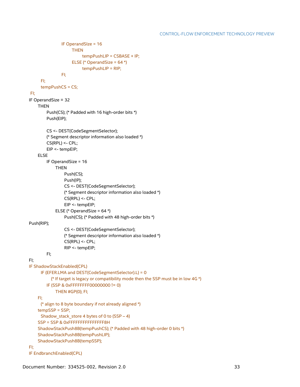```
 IF OperandSIze = 16 
                      THEN
                            tempPushLIP = CSBASE + IP; 
                       ELSE (* OperandSize = 64 *) 
                            tempPushLIP = RIP; 
                  FI; 
       FI; 
       tempPushCS = CS; 
 FI; 
 IF OperandSize = 32 
    THEN
          Push(CS); (* Padded with 16 high-order bits *) 
          Push(EIP); 
          CS <- DEST(CodeSegmentSelector); 
          (* Segment descriptor information also loaded *) 
          CS(RPL) <- CPL; 
          EIP <- tempEIP; 
     ELSE 
          IF OperandSize = 16 
              THEN 
                   Push(CS); 
                   Push(IP); 
                   CS <- DEST(CodeSegmentSelector); 
                   (* Segment descriptor information also loaded *) 
                   CS(RPL) <- CPL; 
                   EIP <- tempEIP; 
              ELSE (* OperandSize = 64 *) 
                   Push(CS); (* Padded with 48 high-order bits *) 
 Push(RIP); 
                   CS <- DEST(CodeSegmentSelector); 
                   (* Segment descriptor information also loaded *) 
                   CS(RPL) <- CPL; 
                   RIP <- tempEIP; 
          FI; 
 FI; 
IF ShadowStackEnabled(CPL) 
       IF (EFER.LMA and DEST(CodeSegmentSelector).L) = 0 
            (* If target is legacy or compatibility mode then the SSP must be in low 4G *) 
          IF (SSP & 0xFFFFFFFF00000000 != 0) 
              THEN #GP(0); FI; 
     FI; 
       (* align to 8 byte boundary if not already aligned *) 
     tempSSP = SSP; 
      Shadow stack store 4 bytes of 0 to (SSP – 4)
     SSP = SSP & 0xFFFFFFFFFFFFFFF8H 
     ShadowStackPush8B(tempPushCS); (* Padded with 48 high-order 0 bits *) 
     ShadowStackPush8B(tempPushLIP); 
     ShadowStackPush8B(tempSSP); 
 FI; 
 IF EndbranchEnabled(CPL)
```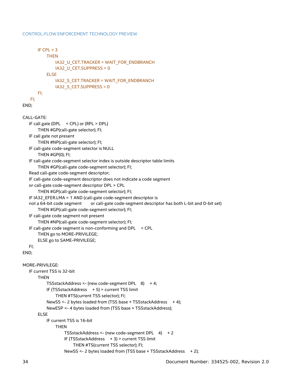```
 IF CPL = 3 
            THEN 
                 IA32_U_CET.TRACKER = WAIT_FOR_ENDBRANCH 
                 IA32_U_CET.SUPPRESS = 0 
             ELSE 
                IA32_S_CET.TRACKER = WAIT_FOR_ENDBRANCH
                IA32_S_CET.SUPPRESS = 0
        FI; 
    FI; 
END; 
CALL-GATE: 
    IF call gate (DPL < CPL) or (RPL > DPL) 
        THEN #GP(call-gate selector); FI; 
    IF call gate not present 
        THEN #NP(call-gate selector); FI; 
    IF call-gate code-segment selector is NULL 
        THEN #GP(0); FI; 
    IF call-gate code-segment selector index is outside descriptor table limits 
        THEN #GP(call-gate code-segment selector); FI; 
    Read call-gate code-segment descriptor; 
    IF call-gate code-segment descriptor does not indicate a code segment 
    or call-gate code-segment descriptor DPL > CPL 
        THEN #GP(call-gate code-segment selector); FI; 
    IF IA32_EFER.LMA = 1 AND (call-gate code-segment descriptor is 
   not a 64-bit code segment or call-gate code-segment descriptor has both L-bit and D-bit set)
        THEN #GP(call-gate code-segment selector); FI; 
    IF call-gate code segment not present 
        THEN #NP(call-gate code-segment selector); FI; 
    IF call-gate code segment is non-conforming and DPL < CPL 
        THEN go to MORE-PRIVILEGE; 
        ELSE go to SAME-PRIVILEGE; 
    FI; 
END; 
MORE-PRIVILEGE: 
    IF current TSS is 32-bit 
        THEN 
             TSSstackAddress <- (new code-segment DPL  8) + 4; 
            IF (TSSstackAddress + 5) > current TSS limit 
                 THEN #TS(current TSS selector); FI; 
            NewSS <- 2 bytes loaded from (TSS base + TSSstackAddress + 4);
             NewESP <- 4 bytes loaded from (TSS base + TSSstackAddress); 
        ELSE 
             IF current TSS is 16-bit 
                 THEN 
                     TSSstackAddress <- (new code-segment DPL  4) + 2 
                    IF (TSSstackAddress + 3) > current TSS limit
                          THEN #TS(current TSS selector); FI; 
                     NewSS <- 2 bytes loaded from (TSS base + TSSstackAddress + 2);
```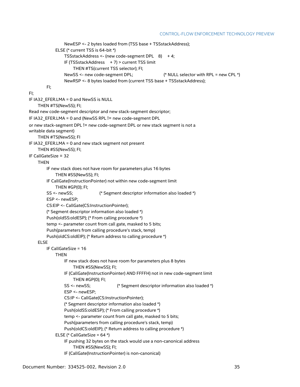```
 NewESP <- 2 bytes loaded from (TSS base + TSSstackAddress); 
              ELSE (* current TSS is 64-bit *) 
                  TSSstackAddress <- (new code-segment DPL  8) + 4; 
                  IF (TSSstackAddress + 7) > current TSS limit 
                       THEN #TS(current TSS selector); FI; 
                  NewSS <- new code-segment DPL; (* NULL selector with RPL = new CPL *) 
                  NewRSP <- 8 bytes loaded from (current TSS base + TSSstackAddress); 
         FI; 
 FI; 
 IF IA32_EFER.LMA = 0 and NewSS is NULL 
     THEN #TS(NewSS); FI; 
 Read new code-segment descriptor and new stack-segment descriptor; 
 IF IA32_EFER.LMA = 0 and (NewSS RPL != new code-segment DPL 
 or new stack-segment DPL != new code-segment DPL or new stack segment is not a 
 writable data segment) 
     THEN #TS(NewSS); FI 
 IF IA32_EFER.LMA = 0 and new stack segment not present 
     THEN #SS(NewSS); FI; 
 IF CallGateSize = 32 
     THEN 
         IF new stack does not have room for parameters plus 16 bytes 
              THEN #SS(NewSS); FI; 
         IF CallGate(InstructionPointer) not within new code-segment limit 
              THEN #GP(0); FI; 
         SS <- newSS; (* Segment descriptor information also loaded *) 
         ESP <- newESP; 
         CS:EIP <- CallGate(CS:InstructionPointer); 
         (* Segment descriptor information also loaded *) 
          Push(oldSS:oldESP); (* From calling procedure *) 
          temp <- parameter count from call gate, masked to 5 bits; 
          Push(parameters from calling procedure's stack, temp) 
          Push(oldCS:oldEIP); (* Return address to calling procedure *) 
     ELSE 
         IF CallGateSize = 16 
             THEN
                  IF new stack does not have room for parameters plus 8 bytes 
                       THEN #SS(NewSS); FI; 
                  IF (CallGate(InstructionPointer) AND FFFFH) not in new code-segment limit 
                       THEN #GP(0); FI; 
                  SS <- newSS; (* Segment descriptor information also loaded *) 
                  ESP <- newESP; 
                  CS:IP <- CallGate(CS:InstructionPointer); 
                  (* Segment descriptor information also loaded *) 
                  Push(oldSS:oldESP); (* From calling procedure *) 
                  temp <- parameter count from call gate, masked to 5 bits; 
                  Push(parameters from calling procedure's stack, temp) 
                  Push(oldCS:oldEIP); (* Return address to calling procedure *) 
              ELSE (* CallGateSize = 64 *) 
                  IF pushing 32 bytes on the stack would use a non-canonical address 
                       THEN #SS(NewSS); FI; 
                  IF (CallGate(InstructionPointer) is non-canonical)
```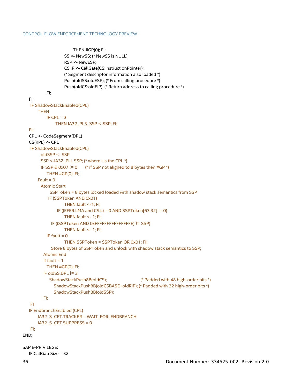```
 THEN #GP(0); FI; 
                      SS <- NewSS; (* NewSS is NULL) 
                      RSP <- NewESP; 
                      CS:IP <- CallGate(CS:InstructionPointer); 
                      (* Segment descriptor information also loaded *) 
                      Push(oldSS:oldESP); (* From calling procedure *) 
                      Push(oldCS:oldEIP); (* Return address to calling procedure *) 
             FI; 
    FI; 
    IF ShadowStackEnabled(CPL) 
       THEN
            IF CPL = 3 
                 THEN IA32_PL3_SSP <-SSP; FI; 
    FI; 
    CPL <- CodeSegment(DPL) 
    CS(RPL) <- CPL 
    IF ShadowStackEnabled(CPL) 
          oldSSP <- SSP 
          SSP <-IA32_PLi_SSP; (* where i is the CPL *) 
         IF SSP & 0x07 != 0 * if SSP not aligned to 8 bytes then #GP *)
             THEN #GP(0); FI; 
       Fault = 0 Atomic Start 
              SSPToken = 8 bytes locked loaded with shadow stack semantics from SSP
             IF (SSPToken AND 0x01) 
                     THEN fault <-1; FI;
                  IF ((EFER.LMA and CS.L) = 0 AND SSPToken[63:32] != 0) 
                      THEN fault <- 1; FI; 
               IF ((SSPToken AND 0xFFFFFFFFFFFFFFFE) != SSP) 
                      THEN fault <- 1; FI; 
            IF fault = 0 THEN SSPToken = SSPToken OR 0x01; FI; 
               Store 8 bytes of SSPToken and unlock with shadow stack semantics to SSP; 
           Atomic End 
          If fault = 1 THEN #GP(0); FI; 
           IF oldSS.DPL != 3 
              ShadowStackPush8B(oldCS); (* Padded with 48 high-order bits *) 
                ShadowStackPush8B(oldCSBASE+oldRIP); (* Padded with 32 high-order bits *) 
                ShadowStackPush8B(oldSSP); 
           FI; 
    FI 
    IF EndbranchEnabled (CPL) 
       IA32_S_CET.TRACKER = WAIT_FOR_ENDBRANCH
        IA32_S_CET.SUPPRESS = 0 
    FI; 
END; 
SAME-PRIVILEGE: 
    IF CallGateSize = 32
```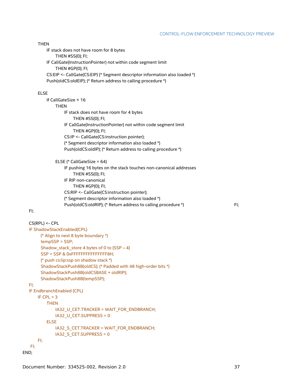```
THEN
     IF stack does not have room for 8 bytes 
          THEN #SS(0); FI; 
     IF CallGate(InstructionPointer) not within code segment limit 
          THEN #GP(0); FI; 
     CS:EIP <- CallGate(CS:EIP) (* Segment descriptor information also loaded *) 
     Push(oldCS:oldEIP); (* Return address to calling procedure *)
```
#### ELSE

```
 If CallGateSize = 16 
    THEN
          IF stack does not have room for 4 bytes 
               THEN #SS(0); FI; 
          IF CallGate(InstructionPointer) not within code segment limit 
               THEN #GP(0); FI; 
          CS:IP <- CallGate(CS:instruction pointer); 
          (* Segment descriptor information also loaded *) 
          Push(oldCS:oldIP); (* Return address to calling procedure *) 
     ELSE (* CallGateSize = 64) 
          IF pushing 16 bytes on the stack touches non-canonical addresses 
               THEN #SS(0); FI; 
          IF RIP non-canonical
```

```
 THEN #GP(0); FI;
```

```
 CS:RIP <- CallGate(CS:instruction pointer);
```
 (\* Segment descriptor information also loaded \*) Push(oldCS:oldRIP); (\* Return address to calling procedure \*) FI;

## FI;

```
 CS(RPL) <- CPL 
IF ShadowStackEnabled(CPL) 
      (* Align to next 8 byte boundary *) 
      tempSSP = SSP; 
     Shadow stack store 4 bytes of 0 to (SSP – 4)
      SSP = SSP & 0xFFFFFFFFFFFFFFF8H; 
       (* push cs:lip:ssp on shadow stack *) 
       ShadowStackPush8B(oldCS); (* Padded with 48 high-order bits *) 
      ShadowStackPush8B(oldCSBASE + oldRIP); 
      ShadowStackPush8B(tempSSP); 
 FI; 
 IF EndbranchEnabled (CPL) 
     IF CPL = 3
```

```
 THEN 
               IA32_U_CET.TRACKER = WAIT_FOR_ENDBRANCH;
                IA32_U_CET.SUPPRESS = 0 
           ELSE 
                IA32_S_CET.TRACKER = WAIT_FOR_ENDBRANCH; 
                IA32_S_CET.SUPPRESS = 0 
       FI; 
    FI; 
END;
```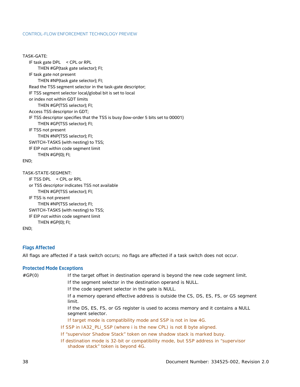```
TASK-GATE:
```

```
 IF task gate DPL < CPL or RPL 
         THEN #GP(task gate selector); FI; 
    IF task gate not present 
         THEN #NP(task gate selector); FI; 
    Read the TSS segment selector in the task-gate descriptor; 
    IF TSS segment selector local/global bit is set to local 
    or index not within GDT limits 
         THEN #GP(TSS selector); FI; 
    Access TSS descriptor in GDT; 
    IF TSS descriptor specifies that the TSS is busy (low-order 5 bits set to 00001) 
         THEN #GP(TSS selector); FI; 
    IF TSS not present 
         THEN #NP(TSS selector); FI; 
    SWITCH-TASKS (with nesting) to TSS; 
    IF EIP not within code segment limit 
         THEN #GP(0); FI; 
END;
```

```
TASK-STATE-SEGMENT: 
    IF TSS DPL < CPL or RPL 
    or TSS descriptor indicates TSS not available 
         THEN #GP(TSS selector); FI; 
    IF TSS is not present 
        THEN #NP(TSS selector); FI; 
    SWITCH-TASKS (with nesting) to TSS; 
    IF EIP not within code segment limit 
        THEN #GP(0); FI; 
END;
```
## Flags Affected

All flags are affected if a task switch occurs; no flags are affected if a task switch does not occur.

#### Protected Mode Exceptions

```
#GP(0) If the target offset in destination operand is beyond the new code segment limit.
                     If the segment selector in the destination operand is NULL. 
                     If the code segment selector in the gate is NULL. 
                    If a memory operand effective address is outside the CS, DS, ES, FS, or GS segment 
                    limit. 
                    If the DS, ES, FS, or GS register is used to access memory and it contains a NULL 
                    segment selector. 
                     If target mode is compatibility mode and SSP is not in low 4G. 
                  If SSP in IA32_PLi_SSP (where i is the new CPL) is not 8 byte aligned. 
                  If "supervisor Shadow Stack" token on new shadow stack is marked busy. 
                  If destination mode is 32-bit or compatibility mode, but SSP address in "supervisor 
                    shadow stack" token is beyond 4G.
```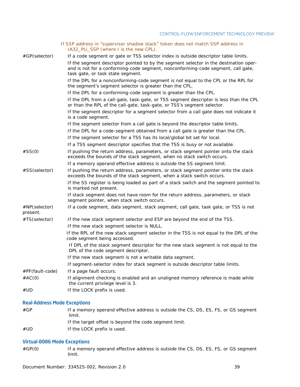|                                     | If SSP address in "supervisor shadow stack" token does not match SSP address in<br>IA32_PLi_SSP (where I is the new CPL).                                                                                      |
|-------------------------------------|----------------------------------------------------------------------------------------------------------------------------------------------------------------------------------------------------------------|
| #GP(selector)                       | If a code segment or gate or TSS selector index is outside descriptor table limits.                                                                                                                            |
|                                     | If the segment descriptor pointed to by the segment selector in the destination oper-<br>and is not for a conforming-code segment, nonconforming-code segment, call gate,<br>task gate, or task state segment. |
|                                     | If the DPL for a nonconforming-code segment is not equal to the CPL or the RPL for<br>the segment's segment selector is greater than the CPL.                                                                  |
|                                     | If the DPL for a conforming-code segment is greater than the CPL.                                                                                                                                              |
|                                     | If the DPL from a call-gate, task-gate, or TSS segment descriptor is less than the CPL<br>or than the RPL of the call-gate, task-gate, or TSS's segment selector.                                              |
|                                     | If the segment descriptor for a segment selector from a call gate does not indicate it<br>is a code segment.                                                                                                   |
|                                     | If the segment selector from a call gate is beyond the descriptor table limits.                                                                                                                                |
|                                     | If the DPL for a code-segment obtained from a call gate is greater than the CPL.                                                                                                                               |
|                                     | If the segment selector for a TSS has its local/global bit set for local.                                                                                                                                      |
|                                     | If a TSS segment descriptor specifies that the TSS is busy or not available.                                                                                                                                   |
| $\#SS(0)$                           | If pushing the return address, parameters, or stack segment pointer onto the stack<br>exceeds the bounds of the stack segment, when no stack switch occurs.                                                    |
|                                     | If a memory operand effective address is outside the SS segment limit.                                                                                                                                         |
| #SS(selector)                       | If pushing the return address, parameters, or stack segment pointer onto the stack<br>exceeds the bounds of the stack segment, when a stack switch occurs.                                                     |
|                                     | If the SS register is being loaded as part of a stack switch and the segment pointed to<br>is marked not present.                                                                                              |
|                                     | If stack segment does not have room for the return address, parameters, or stack<br>segment pointer, when stack switch occurs.                                                                                 |
| $#NP$ (selector)<br>present.        | If a code segment, data segment, stack segment, call gate, task gate, or TSS is not                                                                                                                            |
| #TS(selector)                       | If the new stack segment selector and ESP are beyond the end of the TSS.<br>If the new stack segment selector is NULL.                                                                                         |
|                                     | If the RPL of the new stack segment selector in the TSS is not equal to the DPL of the<br>code segment being accessed.                                                                                         |
|                                     | If DPL of the stack segment descriptor for the new stack segment is not equal to the<br>DPL of the code segment descriptor.                                                                                    |
|                                     | If the new stack segment is not a writable data segment.                                                                                                                                                       |
|                                     | If segment-selector index for stack segment is outside descriptor table limits.                                                                                                                                |
| #PF(fault-code)                     | If a page fault occurs.                                                                                                                                                                                        |
| #AC(0)                              | If alignment checking is enabled and an unaligned memory reference is made while<br>the current privilege level is 3.                                                                                          |
| #UD                                 | If the LOCK prefix is used.                                                                                                                                                                                    |
| <b>Real-Address Mode Exceptions</b> |                                                                                                                                                                                                                |

| #GP | If a memory operand effective address is outside the CS, DS, ES, FS, or GS segment<br>limit. |
|-----|----------------------------------------------------------------------------------------------|
|     | If the target offset is beyond the code segment limit.                                       |
| #UD | If the LOCK prefix is used.                                                                  |
|     |                                                                                              |

# Virtual-8086 Mode Exceptions

#GP(0) If a memory operand effective address is outside the CS, DS, ES, FS, or GS segment limit.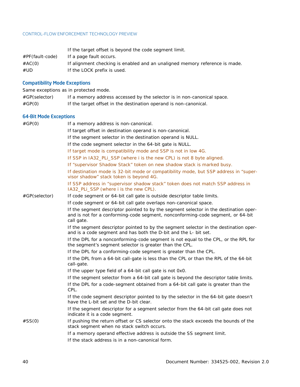| If the target offset is beyond the code segment limit.                      |
|-----------------------------------------------------------------------------|
| If a page fault occurs.                                                     |
| If alignment checking is enabled and an unaligned memory reference is made. |
| If the LOCK prefix is used.                                                 |
|                                                                             |

# Compatibility Mode Exceptions

Same exceptions as in protected mode.

| $\#GP$ (selector) | If a memory address accessed by the selector is in non-canonical space. |
|-------------------|-------------------------------------------------------------------------|
| $\#GP(0)$         | If the target offset in the destination operand is non-canonical.       |

# 64-Bit Mode Exceptions

| $\#GP(0)$     | If a memory address is non-canonical.                                                                                                                                                  |  |  |  |  |  |
|---------------|----------------------------------------------------------------------------------------------------------------------------------------------------------------------------------------|--|--|--|--|--|
|               | If target offset in destination operand is non-canonical.                                                                                                                              |  |  |  |  |  |
|               | If the segment selector in the destination operand is NULL.                                                                                                                            |  |  |  |  |  |
|               | If the code segment selector in the 64-bit gate is NULL.                                                                                                                               |  |  |  |  |  |
|               | If target mode is compatibility mode and SSP is not in low 4G.                                                                                                                         |  |  |  |  |  |
|               | If SSP in IA32_PLi_SSP (where i is the new CPL) is not 8 byte aligned.                                                                                                                 |  |  |  |  |  |
|               | If "supervisor Shadow Stack" token on new shadow stack is marked busy.                                                                                                                 |  |  |  |  |  |
|               | If destination mode is 32-bit mode or compatibility mode, but SSP address in "super-<br>visor shadow" stack token is beyond 4G.                                                        |  |  |  |  |  |
|               | If SSP address in "supervisor shadow stack" token does not match SSP address in<br>IA32_PLi_SSP (where i is the new CPL).                                                              |  |  |  |  |  |
| #GP(selector) | If code segment or 64-bit call gate is outside descriptor table limits.                                                                                                                |  |  |  |  |  |
|               | If code segment or 64-bit call gate overlaps non-canonical space.                                                                                                                      |  |  |  |  |  |
|               | If the segment descriptor pointed to by the segment selector in the destination oper-<br>and is not for a conforming-code segment, nonconforming-code segment, or 64-bit<br>call gate. |  |  |  |  |  |
|               | If the segment descriptor pointed to by the segment selector in the destination oper-<br>and is a code segment and has both the D-bit and the L- bit set.                              |  |  |  |  |  |
|               | If the DPL for a nonconforming-code segment is not equal to the CPL, or the RPL for<br>the segment's segment selector is greater than the CPL.                                         |  |  |  |  |  |
|               | If the DPL for a conforming-code segment is greater than the CPL.                                                                                                                      |  |  |  |  |  |
|               | If the DPL from a 64-bit call-gate is less than the CPL or than the RPL of the 64-bit<br>call-gate.                                                                                    |  |  |  |  |  |
|               | If the upper type field of a 64-bit call gate is not 0x0.                                                                                                                              |  |  |  |  |  |
|               | If the segment selector from a 64-bit call gate is beyond the descriptor table limits.                                                                                                 |  |  |  |  |  |
|               | If the DPL for a code-segment obtained from a 64-bit call gate is greater than the<br>CPL.                                                                                             |  |  |  |  |  |
|               | If the code segment descriptor pointed to by the selector in the 64-bit gate doesn't<br>have the L-bit set and the D-bit clear.                                                        |  |  |  |  |  |
|               | If the segment descriptor for a segment selector from the 64-bit call gate does not<br>indicate it is a code segment.                                                                  |  |  |  |  |  |
| $\#SS(0)$     | If pushing the return offset or CS selector onto the stack exceeds the bounds of the<br>stack segment when no stack switch occurs.                                                     |  |  |  |  |  |
|               | If a memory operand effective address is outside the SS segment limit.                                                                                                                 |  |  |  |  |  |
|               | If the stack address is in a non-canonical form.                                                                                                                                       |  |  |  |  |  |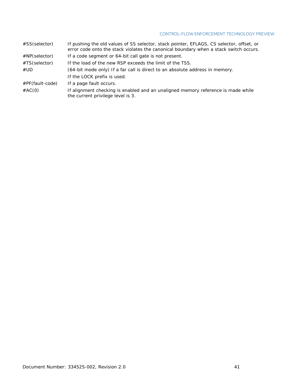| #SS(selector)   | If pushing the old values of SS selector, stack pointer, EFLAGS, CS selector, offset, or<br>error code onto the stack violates the canonical boundary when a stack switch occurs. |
|-----------------|-----------------------------------------------------------------------------------------------------------------------------------------------------------------------------------|
| #NP(selector)   | If a code segment or 64-bit call gate is not present.                                                                                                                             |
| #TS(selector)   | If the load of the new RSP exceeds the limit of the TSS.                                                                                                                          |
| #UD             | (64-bit mode only) If a far call is direct to an absolute address in memory.                                                                                                      |
|                 | If the LOCK prefix is used.                                                                                                                                                       |
| #PF(fault-code) | If a page fault occurs.                                                                                                                                                           |
| #AC(0)          | If alignment checking is enabled and an unaligned memory reference is made while<br>the current privilege level is 3.                                                             |
|                 |                                                                                                                                                                                   |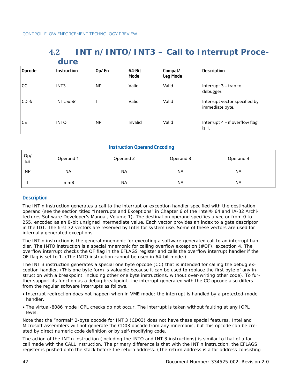# **4.2 INT n/INTO/INT3 – Call to Interrupt Procedure**

| <b>Opcode</b>    | <b>Instruction</b> | Op/En     | 64-Bit<br>Mode | Compat/<br>Leg Mode | <b>Description</b>                               |
|------------------|--------------------|-----------|----------------|---------------------|--------------------------------------------------|
| <b>CC</b>        | INT <sub>3</sub>   | <b>NP</b> | Valid          | Valid               | Interrupt $3$ – trap to<br>debugger.             |
| CD <sub>ib</sub> | INT <i>imm8</i>    |           | Valid          | Valid               | Interrupt vector specified by<br>immediate byte. |
| <b>CE</b>        | <b>INTO</b>        | <b>NP</b> | Invalid        | Valid               | Interrupt 4 - if overflow flag<br>is 1.          |

## Instruction Operand Encoding

| Op/<br>En | Operand 1 | Operand 2 | Operand 3 | Operand 4 |
|-----------|-----------|-----------|-----------|-----------|
| <b>NP</b> | <b>NA</b> | <b>NA</b> | <b>NA</b> | <b>NA</b> |
|           | lmm8      | <b>NA</b> | <b>NA</b> | <b>NA</b> |

## **Description**

The INT n instruction generates a call to the interrupt or exception handler specified with the destination operand (see the section titled "Interrupts and Exceptions" in Chapter 6 of the Intel® 64 and IA-32 Architectures Software Developer's Manual, Volume 1). The destination operand specifies a vector from 0 to 255, encoded as an 8-bit unsigned intermediate value. Each vector provides an index to a gate descriptor in the IDT. The first 32 vectors are reserved by Intel for system use. Some of these vectors are used for internally generated exceptions.

The INT n instruction is the general mnemonic for executing a software-generated call to an interrupt handler. The INTO instruction is a special mnemonic for calling overflow exception (#OF), exception 4. The overflow interrupt checks the OF flag in the EFLAGS register and calls the overflow interrupt handler if the OF flag is set to 1. (The INTO instruction cannot be used in 64-bit mode.)

The INT 3 instruction generates a special one byte opcode (CC) that is intended for calling the debug exception handler. (This one byte form is valuable because it can be used to replace the first byte of any instruction with a breakpoint, including other one byte instructions, without over-writing other code). To further support its function as a debug breakpoint, the interrupt generated with the CC opcode also differs from the regular software interrupts as follows.

- Interrupt redirection does not happen when in VME mode; the interrupt is handled by a protected-mode handler.
- The virtual-8086 mode IOPL checks do not occur. The interrupt is taken without faulting at any IOPL level.

Note that the "normal" 2-byte opcode for INT 3 (CD03) does not have these special features. Intel and Microsoft assemblers will not generate the CD03 opcode from any mnemonic, but this opcode can be created by direct numeric code definition or by self-modifying code.

The action of the INT n instruction (including the INTO and INT 3 instructions) is similar to that of a far call made with the CALL instruction. The primary difference is that with the INT n instruction, the EFLAGS register is pushed onto the stack before the return address. (The return address is a far address consisting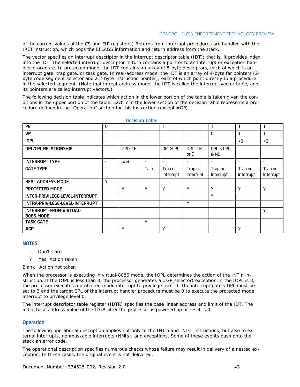of the current values of the CS and EIP registers.) Returns from interrupt procedures are handled with the IRET instruction, which pops the EFLAGS information and return address from the stack.

The vector specifies an interrupt descriptor in the interrupt descriptor table (IDT); that is, it provides index into the IDT. The selected interrupt descriptor in turn contains a pointer to an interrupt or exception handler procedure. In protected mode, the IDT contains an array of 8-byte descriptors, each of which is an interrupt gate, trap gate, or task gate. In real-address mode, the IDT is an array of 4-byte far pointers (2 byte code segment selector and a 2-byte instruction pointer), each of which point directly to a procedure in the selected segment. (Note that in real-address mode, the IDT is called the interrupt vector table, and its pointers are called interrupt vectors.)

The following decision table indicates which action in the lower portion of the table is taken given the conditions in the upper portion of the table. Each Y in the lower section of the decision table represents a procedure defined in the "Operation" section for this instruction (except #GP).

Decision Table

|                                             |   |                                                                                                                                                                                                                                                         | DECISIVII TODIE          |                          |                          |                      |                          |                          |
|---------------------------------------------|---|---------------------------------------------------------------------------------------------------------------------------------------------------------------------------------------------------------------------------------------------------------|--------------------------|--------------------------|--------------------------|----------------------|--------------------------|--------------------------|
| PE                                          | 0 |                                                                                                                                                                                                                                                         |                          |                          |                          |                      |                          |                          |
| VM                                          | ۰ | $\blacksquare$                                                                                                                                                                                                                                          | $\overline{\phantom{a}}$ | $\overline{\phantom{a}}$ | $\overline{\phantom{a}}$ | 0                    |                          |                          |
| <b>IOPL</b>                                 | ۰ | $\blacksquare$                                                                                                                                                                                                                                          | $\overline{\phantom{a}}$ | $\blacksquare$           | $\overline{\phantom{a}}$ | $\blacksquare$       | $\leq$ 3                 | $<$ 3                    |
| <b>DPL/CPL RELATIONSHIP</b>                 | ۰ | DPL <cpl< th=""><th><math display="inline">\blacksquare</math></th><th>DPL&gt;CPL</th><th>DPL=CPL<br/>or C</th><th>DPL &lt; CPL<br/>&amp; NC</th><th><math display="inline">\blacksquare</math></th><th><math>\overline{\phantom{a}}</math></th></cpl<> | $\blacksquare$           | DPL>CPL                  | DPL=CPL<br>or C          | DPL < CPL<br>& NC    | $\blacksquare$           | $\overline{\phantom{a}}$ |
| <b>INTERRUPT TYPE</b>                       |   | S/W                                                                                                                                                                                                                                                     | $\overline{\phantom{a}}$ | ÷                        | $\blacksquare$           | $\blacksquare$       | $\overline{\phantom{a}}$ | ۰                        |
| <b>GATE TYPE</b>                            |   |                                                                                                                                                                                                                                                         | Task                     | Trap or<br>Interrupt     | Trap or<br>Interrupt     | Trap or<br>Interrupt | Trap or<br>Interrupt     | Trap or<br>Interrupt     |
| <b>REAL-ADDRESS-MODE</b>                    | γ |                                                                                                                                                                                                                                                         |                          |                          |                          |                      |                          |                          |
| PROTECTED-MODE                              |   | v                                                                                                                                                                                                                                                       | Y                        | Y                        | γ                        | γ                    | γ                        | γ                        |
| INTER-PRIVILEGE-LEVEL-INTERRUPT             |   |                                                                                                                                                                                                                                                         |                          |                          |                          | Υ                    |                          |                          |
| INTRA-PRIVILEGE-LEVEL-INTERRUPT             |   |                                                                                                                                                                                                                                                         |                          |                          | Υ                        |                      |                          |                          |
| <b>INTERRUPT-FROM-VIRTUAL-</b><br>8086-MODE |   |                                                                                                                                                                                                                                                         |                          |                          |                          |                      |                          | γ                        |
| <b>TASK-GATE</b>                            |   |                                                                                                                                                                                                                                                         | γ                        |                          |                          |                      |                          |                          |
| #GP                                         |   | v                                                                                                                                                                                                                                                       |                          | Y                        |                          |                      | Υ                        |                          |

## NOTES:

- Don't Care
- Y Yes, Action taken

Blank Action not taken

When the processor is executing in virtual-8086 mode, the IOPL determines the action of the INT n instruction. If the IOPL is less than 3, the processor generates a #GP(selector) exception; if the IOPL is 3, the processor executes a protected mode interrupt to privilege level 0. The interrupt gate's DPL must be set to 3 and the target CPL of the interrupt handler procedure must be 0 to execute the protected mode interrupt to privilege level 0.

The interrupt descriptor table register (IDTR) specifies the base linear address and limit of the IDT. The initial base address value of the IDTR after the processor is powered up or reset is 0.

## **Operation**

The following operational description applies not only to the INT n and INTO instructions, but also to external interrupts, nonmaskable interrupts (NMIs), and exceptions. Some of these events push onto the stack an error code.

The operational description specifies numerous checks whose failure may result in delivery of a nested exception. In these cases, the original event is not delivered.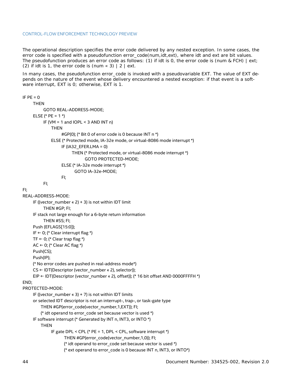The operational description specifies the error code delivered by any nested exception. In some cases, the error code is specified with a pseudofunction error\_code(num,idt,ext), where idt and ext are bit values. The pseudofunction produces an error code as follows: (1) if idt is 0, the error code is (num & FCH) | ext; (2) if idt is 1, the error code is (num  $\ll$  3) | 2 | ext.

In many cases, the pseudofunction error code is invoked with a pseudovariable EXT. The value of EXT depends on the nature of the event whose delivery encountered a nested exception: if that event is a software interrupt, EXT is 0; otherwise, EXT is 1.

```
IF PF = 0THFN
            GOTO REAL-ADDRESS-MODE; 
      ELSE (* PE = 1 *) 
            IF (VM = 1 and IOPL < 3 AND INT n) 
               THFN
                      #GP(0); (* Bit 0 of error code is 0 because INT n *) 
                ELSE (* Protected mode, IA-32e mode, or virtual-8086 mode interrupt *) 
                      IF (IA32_EFER.LMA = 0) 
                           THEN (* Protected mode, or virtual-8086 mode interrupt *) 
                                  GOTO PROTECTED-MODE; 
                      ELSE (* IA-32e mode interrupt *) 
                             GOTO IA-32e-MODE; 
                      FI; 
            FI; 
FI; 
REAL-ADDRESS-MODE: 
     IF ((vector_number « 2) + 3) is not within IDT limit
            THEN #GP; FI; 
      IF stack not large enough for a 6-byte return information 
            THEN #SS; FI; 
      Push (EFLAGS[15:0]); 
     IF \leftarrow 0; (* Clear interrupt flag *)
     TF \leftarrow 0; (* Clear trap flag *)
     AC \leftarrow O; (* Clear AC flag *)
      Push(CS); 
      Push(IP); 
      (* No error codes are pushed in real-address mode*) 
     CS \leftarrow IDT(Description (vector number <math>\alpha</math> 2), selector); EIP ← IDT(Descriptor (vector_number « 2), offset)); (* 16 bit offset AND 0000FFFFH *) 
END; 
PROTECTED-MODE: 
     IF ((vector_number « 3) + 7) is not within IDT limits
      or selected IDT descriptor is not an interrupt-, trap-, or task-gate type 
          THEN #GP(error_code(vector_number,1,EXT)); FI;
          (* idt operand to error_code set because vector is used *) 
      IF software interrupt (* Generated by INT n, INT3, or INTO *) 
         THEN
                IF gate DPL < CPL (* PE = 1, DPL < CPL, software interrupt *) 
                      THEN #GP(error_code(vector_number,1,0)); FI;
                       (* idt operand to error_code set because vector is used *) 
                       (* ext operand to error_code is 0 because INT n, INT3, or INTO*)
```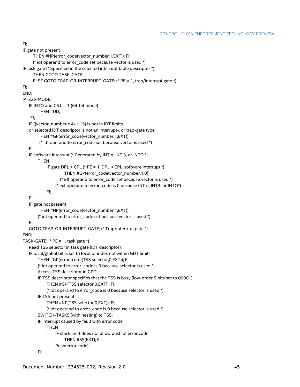```
FI; 
IF gate not present 
      THEN #NP(error_code(vector_number,1,EXT)); FI; 
      (* idt operand to error_code set because vector is used *) 
IF task gate (* Specified in the selected interrupt table descriptor *) 
      THEN GOTO TASK-GATE; 
      ELSE GOTO TRAP-OR-INTERRUPT-GATE; (* PE = 1, trap/interrupt gate *) 
FI; 
END; 
IA-32e-MODE: 
    IF INTO and CS.L = 1 (64-bit mode) 
         THEN #UD; 
     FI; 
   IF ((vector_number « 4) + 15) is not in IDT limits
    or selected IDT descriptor is not an interrupt-, or trap-gate type 
        THEN #GP(error_code(vector_number,1,EXT));
         (* idt operand to error_code set because vector is used *) 
    FI; 
    IF software interrupt (* Generated by INT n, INT 3, or INTO *) 
         THEN 
             IF gate DPL < CPL (* PE = 1, DPL < CPL, software interrupt *) 
                      THEN #GP(error_code(vector_number,1,0));
                     (* idt operand to error_code set because vector is used *) 
                  (* ext operand to error_code is 0 because INT n, INT3, or INTO*) 
             FI; 
    FI; 
    IF gate not present 
        THEN #NP(error_code(vector_number,1,EXT));
        (* idt operand to error_code set because vector is used *) 
    FI; 
    GOTO TRAP-OR-INTERRUPT-GATE; (* Trap/interrupt gate *) 
END; 
TASK-GATE: (* PE = 1, task gate *) Read TSS selector in task gate (IDT descriptor); 
    IF local/global bit is set to local or index not within GDT limits 
         THEN #GP(error_code(TSS selector,0,EXT)); FI; 
        (* idt operand to error_code is 0 because selector is used *) 
        Access TSS descriptor in GDT; 
        IF TSS descriptor specifies that the TSS is busy (low-order 5 bits set to 00001) 
             THEN #GP(TSS selector,0,EXT)); FI; 
             (* idt operand to error_code is 0 because selector is used *) 
        IF TSS not present 
             THEN #NP(TSS selector,0,EXT)); FI; 
             (* idt operand to error_code is 0 because selector is used *) 
        SWITCH-TASKS (with nesting) to TSS; 
        IF interrupt caused by fault with error code 
             THEN 
                  IF stack limit does not allow push of error code 
                       THEN #SS(EXT); FI; 
                  Push(error code); 
         FI;
```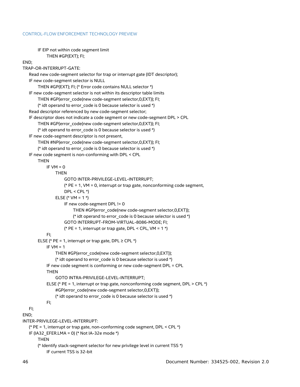```
 IF EIP not within code segment limit 
             THEN #GP(EXT); FI; 
END; 
TRAP-OR-INTERRUPT-GATE: 
    Read new code-segment selector for trap or interrupt gate (IDT descriptor); 
    IF new code-segment selector is NULL 
        THEN #GP(EXT); FI; (* Error code contains NULL selector *) 
    IF new code-segment selector is not within its descriptor table limits 
        THEN #GP(error_code(new code-segment selector,0,EXT)); FI; 
        (* idt operand to error_code is 0 because selector is used *) 
    Read descriptor referenced by new code-segment selector; 
    IF descriptor does not indicate a code segment or new code-segment DPL > CPL 
         THEN #GP(error_code(new code-segment selector,0,EXT)); FI; 
        (* idt operand to error_code is 0 because selector is used *) 
    IF new code-segment descriptor is not present, 
        THEN #NP(error_code(new code-segment selector,0,EXT)); FI; 
        (* idt operand to error_code is 0 because selector is used *) 
    IF new code segment is non-conforming with DPL < CPL 
        THEN 
            IF VM = 0 THEN 
                      GOTO INTER-PRIVILEGE-LEVEL-INTERRUPT; 
                      (* PE = 1, VM = 0, interrupt or trap gate, nonconforming code segment, 
                      DPL < CPL *) 
                 ELSE (* VM = 1 *) 
                      IF new code-segment DPL != 0 
                          THEN #GP(error_code(new code-segment selector,0,EXT)); 
                          (* idt operand to error_code is 0 because selector is used *) 
                      GOTO INTERRUPT-FROM-VIRTUAL-8086-MODE; FI; 
                     (* PE = 1, interrupt or trap gate, DPL < CPL, VM = 1)
             FI; 
       ELSE (* PE = 1, interrupt or trap gate, DPL \ge CPL *)
            IF VM = 1 THEN #GP(error_code(new code-segment selector,0,EXT)); 
                 (* idt operand to error_code is 0 because selector is used *) 
             IF new code segment is conforming or new code-segment DPL = CPL 
             THEN 
                 GOTO INTRA-PRIVILEGE-LEVEL-INTERRUPT; 
             ELSE (* PE = 1, interrupt or trap gate, nonconforming code segment, DPL > CPL *) 
                #GP(error_code(new code-segment selector,0,EXT));
                 (* idt operand to error_code is 0 because selector is used *) 
             FI; 
    FI; 
END; 
INTER-PRIVILEGE-LEVEL-INTERRUPT: 
    (* PE = 1, interrupt or trap gate, non-conforming code segment, DPL < CPL *) 
    IF (IA32_EFER.LMA = 0) (* Not IA-32e mode *) 
        THEN 
        (* Identify stack-segment selector for new privilege level in current TSS *) 
             IF current TSS is 32-bit
```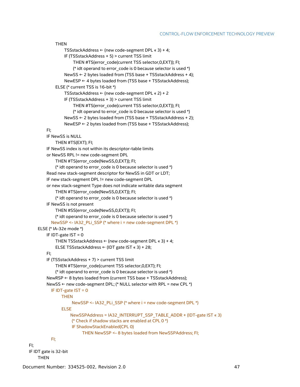```
 THEN 
                  TSSstackAddress ← (new code-segment DPL « 3) + 4; 
                  IF (TSSstackAddress + 5) > current TSS limit 
                       THEN #TS(error_code(current TSS selector,0,EXT)); FI; 
                       (* idt operand to error_code is 0 because selector is used *) 
                  NewSS ← 2 bytes loaded from (TSS base + TSSstackAddress + 4); 
                  NewESP ← 4 bytes loaded from (TSS base + TSSstackAddress); 
              ELSE (* current TSS is 16-bit *) 
                  TSSstackAddress ← (new code-segment DPL « 2) + 2 
                  IF (TSSstackAddress + 3) > current TSS limit 
                       THEN #TS(error_code(current TSS selector,0,EXT)); FI; 
                       (* idt operand to error_code is 0 because selector is used *) 
                  NewSS ← 2 bytes loaded from (TSS base + TSSstackAddress + 2); 
                  NewESP ← 2 bytes loaded from (TSS base + TSSstackAddress); 
         FI; 
         IF NewSS is NULL 
              THEN #TS(EXT); FI; 
         IF NewSS index is not within its descriptor-table limits 
         or NewSS RPL != new code-segment DPL 
              THEN #TS(error_code(NewSS,0,EXT)); FI; 
              (* idt operand to error_code is 0 because selector is used *) 
         Read new stack-segment descriptor for NewSS in GDT or LDT; 
         IF new stack-segment DPL != new code-segment DPL 
         or new stack-segment Type does not indicate writable data segment 
              THEN #TS(error_code(NewSS,0,EXT)); FI; 
              (* idt operand to error_code is 0 because selector is used *) 
         IF NewSS is not present 
              THEN #SS(error_code(NewSS,0,EXT)); FI; 
              (* idt operand to error_code is 0 because selector is used *) 
            NewSSP <- IA32_PLi_SSP (* where i = new code-segment DPL *) 
     ELSE (* IA-32e mode *) 
         IF IDT-gate IST = 0 
              THEN TSSstackAddress ← (new code-segment DPL « 3) + 4; 
              ELSE TSSstackAddress ← (IDT gate IST « 3) + 28; 
         FI; 
         IF (TSSstackAddress + 7) > current TSS limit 
              THEN #TS(error_code(current TSS selector,0,EXT); FI; 
              (* idt operand to error_code is 0 because selector is used *) 
         NewRSP ← 8 bytes loaded from (current TSS base + TSSstackAddress); 
         NewSS ← new code-segment DPL; (* NULL selector with RPL = new CPL *) 
            IF IDT-gate IST = 0 
                 THEN 
                      NewSSP <- IA32_PLi_SSP (* where i = new code-segment DPL *) 
                 ELSE 
                     NewSSPAddress = IA32_INTERRUPT_SSP_TABLE_ADDR + (IDT-gate IST « 3) 
                      (* Check if shadow stacks are enabled at CPL 0 *) 
                      IF ShadowStackEnabled(CPL 0) 
                            THEN NewSSP <- 8 bytes loaded from NewSSPAddress; FI; 
            FI; 
 IF IDT gate is 32-bit 
    THEN
```
FI;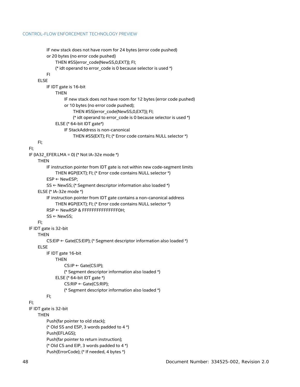```
 IF new stack does not have room for 24 bytes (error code pushed) 
          or 20 bytes (no error code pushed) 
              THEN #SS(error_code(NewSS,0,EXT)); FI; 
              (* idt operand to error_code is 0 because selector is used *) 
          FI 
     ELSE 
          IF IDT gate is 16-bit 
              THEN 
                   IF new stack does not have room for 12 bytes (error code pushed) 
                   or 10 bytes (no error code pushed); 
                        THEN #SS(error_code(NewSS,0,EXT)); FI; 
                        (* idt operand to error_code is 0 because selector is used *) 
              ELSE (* 64-bit IDT gate*) 
                   IF StackAddress is non-canonical 
                        THEN #SS(EXT); FI; (* Error code contains NULL selector *) 
     FI; 
 FI; 
 IF (IA32_EFER.LMA = 0) (* Not IA-32e mode *) 
     THEN 
          IF instruction pointer from IDT gate is not within new code-segment limits 
              THEN #GP(EXT); FI; (* Error code contains NULL selector *) 
          ESP ← NewESP; 
          SS ← NewSS; (* Segment descriptor information also loaded *) 
     ELSE (* IA-32e mode *) 
          IF instruction pointer from IDT gate contains a non-canonical address 
               THEN #GP(EXT); FI; (* Error code contains NULL selector *) 
         RSP \leftarrow NewRSP & FFFFFFFFFFFFFFFF0H;
          SS ← NewSS; 
     FI; 
 IF IDT gate is 32-bit 
     THEN 
          CS:EIP ← Gate(CS:EIP); (* Segment descriptor information also loaded *) 
     ELSE 
          IF IDT gate 16-bit 
             THEN
                   CS:IP ← Gate(CS:IP); 
                   (* Segment descriptor information also loaded *) 
              ELSE (* 64-bit IDT gate *) 
                   CS:RIP ← Gate(CS:RIP); 
                   (* Segment descriptor information also loaded *) 
          FI; 
 FI; 
 IF IDT gate is 32-bit 
     THEN 
          Push(far pointer to old stack); 
          (* Old SS and ESP, 3 words padded to 4 *) 
          Push(EFLAGS); 
          Push(far pointer to return instruction); 
          (* Old CS and EIP, 3 words padded to 4 *) 
          Push(ErrorCode); (* If needed, 4 bytes *)
```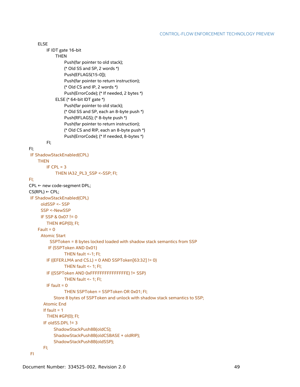```
 ELSE 
          IF IDT gate 16-bit 
              THEN 
                   Push(far pointer to old stack); 
                   (* Old SS and SP, 2 words *) 
                   Push(EFLAGS(15-0]); 
                   Push(far pointer to return instruction); 
                   (* Old CS and IP, 2 words *) 
                   Push(ErrorCode); (* If needed, 2 bytes *) 
              ELSE (* 64-bit IDT gate *) 
                   Push(far pointer to old stack); 
                   (* Old SS and SP, each an 8-byte push *) 
                   Push(RFLAGS); (* 8-byte push *) 
                   Push(far pointer to return instruction); 
                   (* Old CS and RIP, each an 8-byte push *) 
                   Push(ErrorCode); (* If needed, 8-bytes *) 
          FI; 
 FI; 
 IF ShadowStackEnabled(CPL) 
     THEN 
          IF CPL = 3 
              THEN IA32_PL3_SSP <-SSP; FI; 
 FI; 
 CPL ← new code-segment DPL; 
CS(RPL) \leftarrow CPL; IF ShadowStackEnabled(CPL) 
       oldSSP <- SSP 
       SSP <-NewSSP 
       IF SSP & 0x07 != 0 
          THEN #GP(0); FI; 
    Fault = 0 Atomic Start 
           SSPToken = 8 bytes locked loaded with shadow stack semantics from SSP
           IF (SSPToken AND 0x01) 
                   THEN fault <-1; FI;
          IF ((EFER.LMA and CS.L) = 0 AND SSPToken[63:32] != 0) 
                   THEN fault <- 1; FI; 
          IF ((SSPToken AND 0xFFFFFFFFFFFFFFFE) != SSP) 
                   THEN fault <- 1; FI; 
         IF fault = 0 THEN SSPToken = SSPToken OR 0x01; FI; 
             Store 8 bytes of SSPToken and unlock with shadow stack semantics to SSP; 
        Atomic End 
       If fault = 1 THEN #GP(0); FI; 
        IF oldSS.DPL != 3 
             ShadowStackPush8B(oldCS); 
             ShadowStackPush8B(oldCSBASE + oldRIP); 
             ShadowStackPush8B(oldSSP); 
        FI; 
 FI
```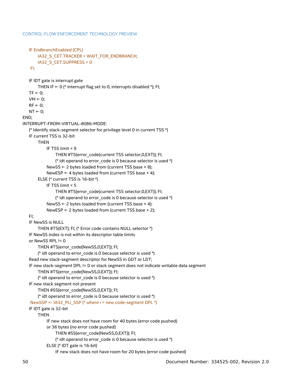```
 IF EndbranchEnabled (CPL) 
         IA32_S_CET.TRACKER = WAIT_FOR_ENDBRANCH; 
         IA32_S_CET.SUPPRESS = 0 
     FI; 
    IF IDT gate is interrupt gate 
        THEN IF \leftarrow 0 (* Interrupt flag set to 0, interrupts disabled *); FI;
   TF \leftarrow 0:
    VM ← 0; 
   RF \leftarrow 0;NT \leftarrow 0:
END; 
INTERRUPT-FROM-VIRTUAL-8086-MODE: 
    (* Identify stack-segment selector for privilege level 0 in current TSS *) 
    IF current TSS is 32-bit 
        THEN
             IF TSS limit < 9 
                  THEN #TS(error_code(current TSS selector,0,EXT)); FI; 
                  (* idt operand to error_code is 0 because selector is used *) 
             NewSS ← 2 bytes loaded from (current TSS base + 8); 
            NewESP \leftarrow 4 bytes loaded from (current TSS base + 4);
         ELSE (* current TSS is 16-bit *) 
             IF TSS limit < 5 
                  THEN #TS(error_code(current TSS selector,0,EXT)); FI; 
                  (* idt operand to error_code is 0 because selector is used *) 
             NewSS ← 2 bytes loaded from (current TSS base + 4); 
            NewESP \leftarrow 2 bytes loaded from (current TSS base + 2);
    FI; 
    IF NewSS is NULL 
         THEN #TS(EXT); FI; (* Error code contains NULL selector *) 
    IF NewSS index is not within its descriptor table limits 
    or NewSS RPL != 0 
         THEN #TS(error_code(NewSS,0,EXT)); FI; 
         (* idt operand to error_code is 0 because selector is used *) 
    Read new stack-segment descriptor for NewSS in GDT or LDT; 
    IF new stack-segment DPL != 0 or stack segment does not indicate writable data segment 
         THEN #TS(error_code(NewSS,0,EXT)); FI; 
         (* idt operand to error_code is 0 because selector is used *) 
    IF new stack segment not present 
         THEN #SS(error_code(NewSS,0,EXT)); FI; 
         (* idt operand to error_code is 0 because selector is used *) 
    NewSSP <- IA32_PLi_SSP (* where i = new code-segment DPL *)
    IF IDT gate is 32-bit 
         THEN 
             IF new stack does not have room for 40 bytes (error code pushed) 
             or 36 bytes (no error code pushed) 
                  THEN #SS(error_code(NewSS,0,EXT)); FI; 
                  (* idt operand to error_code is 0 because selector is used *) 
             ELSE (* IDT gate is 16-bit) 
                  IF new stack does not have room for 20 bytes (error code pushed)
```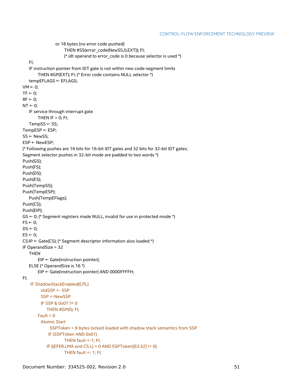```
 or 18 bytes (no error code pushed) 
                       THEN #SS(error_code(NewSS,0,EXT)); FI; 
                       (* idt operand to error_code is 0 because selector is used *) 
    FI; 
    IF instruction pointer from IDT gate is not within new code-segment limits 
         THEN #GP(EXT); FI; (* Error code contains NULL selector *) 
    tempEFLAGS ← EFLAGS; 
VM ← 0; 
TF \leftarrow 0;
RF \leftarrow 0;
NT \leftarrow 0; IF service through interrupt gate 
        THEN IF = 0; FI;
    TempSS ← SS; 
TempESP ← ESP; 
SS ← NewSS; 
ESP ← NewESP; 
(* Following pushes are 16 bits for 16-bit IDT gates and 32 bits for 32-bit IDT gates; 
Segment selector pushes in 32-bit mode are padded to two words *) 
Push(GS); 
Push(FS); 
Push(DS); 
Push(ES); 
Push(TempSS); 
Push(TempESP); 
    Push(TempEFlags); 
Push(CS); 
Push(EIP); 
GS \leftarrow 0; (* Segment registers made NULL, invalid for use in protected mode *)
FS \leftarrow 0;
DS ← 0; 
ES \leftarrow 0:
CS:IP ← Gate(CS); (* Segment descriptor information also loaded *) 
IF OperandSize = 32 
    THEN 
        EIP \leftarrow Gate(instruction pointer);
    ELSE (* OperandSize is 16 *) 
         EIP ← Gate(instruction pointer) AND 0000FFFFH; 
FI; 
     IF ShadowStackEnabled(CPL) 
          oldSSP <- SSP 
          SSP <-NewSSP 
          IF SSP & 0x07 != 0 
              THEN #GP(0); FI; 
        Fault = 0 Atomic Start 
               SSPToken = 8 bytes locked loaded with shadow stack semantics from SSP
               IF (SSPToken AND 0x01) 
                       THEN fault <-1; FI;
              IF ((EFER.LMA and CS.L) = 0 AND SSPToken[63:32] != 0) 
                       THEN fault <- 1; FI;
```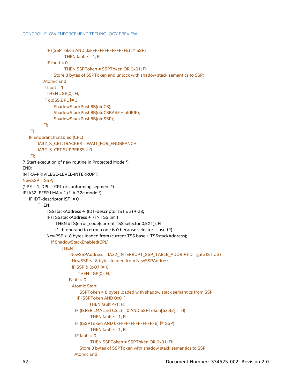```
 IF ((SSPToken AND 0xFFFFFFFFFFFFFFFE) != SSP) 
                     THEN fault <- 1; FI; 
           IF fault = 0 THEN SSPToken = SSPToken OR 0x01; FI; 
                Store 8 bytes of SSPToken and unlock with shadow stack semantics to SSP; 
           Atomic End 
          If fault = 1 THEN #GP(0); FI; 
           IF oldSS.DPL != 3 
                ShadowStackPush8B(oldCS); 
                ShadowStackPush8B(oldCSBASE + oldRIP); 
                ShadowStackPush8B(oldSSP); 
           FI; 
    FI 
    IF EndbranchEnabled (CPL) 
        IA32_S_CET.TRACKER = WAIT_FOR_ENDBRANCH; 
        IA32_S_CET.SUPPRESS = 0 
    FI; 
(* Start execution of new routine in Protected Mode *) 
END; 
INTRA-PRIVILEGE-LEVEL-INTERRUPT: 
NewSSP = SSP; 
(* PE = 1, DPL = CPL or conforming segment *) 
IF IA32_EFER.LMA = 1 (* IA-32e mode *) 
    IF IDT-descriptor IST != 0 
        THEN 
             TSSstackAddress ← (IDT-descriptor IST « 3) + 28; 
            IF (TSSstackAddress + 7) > TSS limit 
                 THEN #TS(error_code(current TSS selector,0,EXT)); FI; 
                 (* idt operand to error_code is 0 because selector is used *) 
             NewRSP ← 8 bytes loaded from (current TSS base + TSSstackAddress); 
               If ShadowStackEnabled(CPL) 
                    THEN 
                        NewSSPAddress = IA32_INTERRUPT_SSP_TABLE_ADDR + (IDT gate IST « 3) 
                         NewSSP <- 8 bytes loaded from NewSSPAddress 
                         IF SSP & 0x07 != 0 
                            THEN #GP(0); FI; 
                       Fault = 0 Atomic Start 
                             SSPToken = 8 bytes loaded with shadow stack semantics from SSP
                            IF (SSPToken AND 0x01) 
                                  THEN fault <-1; FI;
                           IF ((EFER.LMA and CS.L) = 0 AND SSPToken[63:32] != 0) 
                                   THEN fault <- 1; FI; 
                           IF ((SSPToken AND 0xFFFFFFFFFFFFFFFE) != SSP) 
                                  THEN fault <- 1; FI; 
                          IF fault = 0 THEN SSPToken = SSPToken OR 0x01; FI; 
                             Store 8 bytes of SSPToken with shadow stack semantics to SSP; 
                          Atomic End
```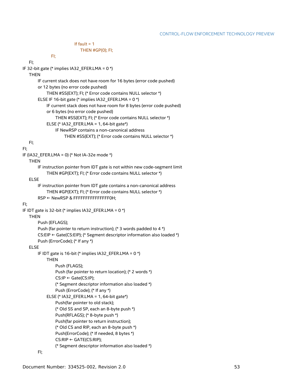```
If fault = 1 THEN #GP(0); FI; 
                FI; 
    FI; 
IF 32-bit gate (* implies IA32_EFER.LMA = 0 *)
   THEN
         IF current stack does not have room for 16 bytes (error code pushed) 
         or 12 bytes (no error code pushed) 
             THEN #SS(EXT); FI; (* Error code contains NULL selector *) 
         ELSE IF 16-bit gate (* implies IA32_EFER.LMA = 0 *) 
             IF current stack does not have room for 8 bytes (error code pushed) 
             or 6 bytes (no error code pushed) 
                  THEN #SS(EXT); FI; (* Error code contains NULL selector *) 
            ELSE (* IA32 EFER.LMA = 1, 64-bit gate*)
                  IF NewRSP contains a non-canonical address 
                       THEN #SS(EXT); (* Error code contains NULL selector *) 
    FI; 
FI; 
IF (IA32_EFER.LMA = 0) (* Not IA-32e mode *) 
    THEN 
         IF instruction pointer from IDT gate is not within new code-segment limit 
             THEN #GP(EXT); FI; (* Error code contains NULL selector *) 
    ELSE 
         IF instruction pointer from IDT gate contains a non-canonical address 
             THEN #GP(EXT); FI; (* Error code contains NULL selector *) 
        RSP \leftarrow NewRSP & FFFFFFFFFFFFFFFF0H:
FI; 
IF IDT gate is 32-bit (* implies IA32_EFER.LMA = 0 *)
    THEN 
         Push (EFLAGS); 
         Push (far pointer to return instruction); (* 3 words padded to 4 *) 
         CS:EIP ← Gate(CS:EIP); (* Segment descriptor information also loaded *) 
         Push (ErrorCode); (* If any *) 
    ELSE 
        IF IDT gate is 16-bit (* implies IA32 EFER.LMA = 0 *)
             THEN 
                  Push (FLAGS); 
                  Push (far pointer to return location); (* 2 words *) 
                 CS:IP \leftarrow Gate(CS:IP); (* Segment descriptor information also loaded *) 
                  Push (ErrorCode); (* If any *) 
            ELSE (* IA32 EFER.LMA = 1, 64-bit gate*)
                  Push(far pointer to old stack); 
                  (* Old SS and SP, each an 8-byte push *) 
                  Push(RFLAGS); (* 8-byte push *) 
                  Push(far pointer to return instruction); 
                  (* Old CS and RIP, each an 8-byte push *) 
                  Push(ErrorCode); (* If needed, 8 bytes *) 
                  CS:RIP ← GATE(CS:RIP); 
                  (* Segment descriptor information also loaded *)
```

```
 FI;
```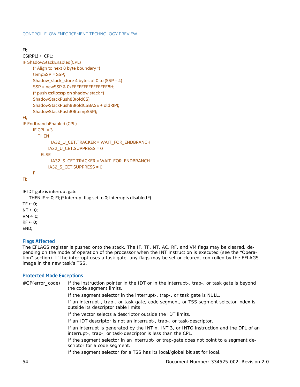```
FI; 
CS(RPL) \leftarrow CPL;IF ShadowStackEnabled(CPL) 
      (* Align to next 8 byte boundary *) 
      tempSSP = SSP; 
     Shadow stack store 4 bytes of 0 to (SSP – 4)
      SSP = newSSP & 0xFFFFFFFFFFFFFFF8H; 
      (* push cs:lip:ssp on shadow stack *) 
      ShadowStackPush8B(oldCS); 
      ShadowStackPush8B(oldCSBASE + oldRIP); 
      ShadowStackPush8B(tempSSP); 
FI; 
IF EndbranchEnabled (CPL) 
     IF CPL = 3 THEN 
              IA32_U_CET.TRACKER = WAIT_FOR_ENDBRANCH
            IA32_U_CET.SUPPRESS = 0
         ELSE 
               IA32_S_CET.TRACKER = WAIT_FOR_ENDBRANCH 
             IA32_S_CET.SUPPRESS = 0 
      FI; 
FI;
```
IF IDT gate is interrupt gate

THEN IF  $\leftarrow$  0; FI; (\* Interrupt flag set to 0; interrupts disabled \*)

 $TF \leftarrow 0$ ;  $NT \leftarrow 0;$ VM ← 0;  $RF \leftarrow 0$ : END;

## Flags Affected

The EFLAGS register is pushed onto the stack. The IF, TF, NT, AC, RF, and VM flags may be cleared, depending on the mode of operation of the processor when the INT instruction is executed (see the "Operation" section). If the interrupt uses a task gate, any flags may be set or cleared, controlled by the EFLAGS image in the new task's TSS.

## Protected Mode Exceptions

| #GP(error_code) | If the instruction pointer in the IDT or in the interrupt-, trap-, or task gate is beyond<br>the code segment limits.                                  |
|-----------------|--------------------------------------------------------------------------------------------------------------------------------------------------------|
|                 | If the segment selector in the interrupt-, trap-, or task gate is NULL.                                                                                |
|                 | If an interrupt-, trap-, or task gate, code segment, or TSS segment selector index is<br>outside its descriptor table limits.                          |
|                 | If the vector selects a descriptor outside the IDT limits.                                                                                             |
|                 | If an IDT descriptor is not an interrupt-, trap-, or task-descriptor.                                                                                  |
|                 | If an interrupt is generated by the INT n, INT 3, or INTO instruction and the DPL of an<br>interrupt-, trap-, or task-descriptor is less than the CPL. |
|                 | If the segment selector in an interrupt- or trap-gate does not point to a segment de-<br>scriptor for a code segment.                                  |
|                 | If the segment selector for a TSS has its local/global bit set for local.                                                                              |
|                 |                                                                                                                                                        |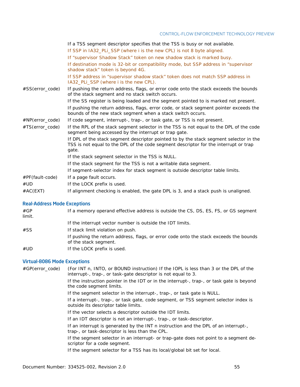|                     | If a TSS segment descriptor specifies that the TSS is busy or not available.                                                                                                            |
|---------------------|-----------------------------------------------------------------------------------------------------------------------------------------------------------------------------------------|
|                     | If SSP in IA32_PLi_SSP (where i is the new CPL) is not 8 byte aligned.                                                                                                                  |
|                     | If "supervisor Shadow Stack" token on new shadow stack is marked busy.                                                                                                                  |
|                     | If destination mode is 32-bit or compatibility mode, but SSP address in "supervisor<br>shadow stack" token is beyond 4G.                                                                |
|                     | If SSP address in "supervisor shadow stack" token does not match SSP address in<br>IA32_PLI_SSP (where i is the new CPL).                                                               |
| #SS(error_code)     | If pushing the return address, flags, or error code onto the stack exceeds the bounds<br>of the stack segment and no stack switch occurs.                                               |
|                     | If the SS register is being loaded and the segment pointed to is marked not present.                                                                                                    |
|                     | If pushing the return address, flags, error code, or stack segment pointer exceeds the<br>bounds of the new stack segment when a stack switch occurs.                                   |
| #NP(error_code)     | If code segment, interrupt-, trap-, or task gate, or TSS is not present.                                                                                                                |
| $\#TS$ (error_code) | If the RPL of the stack segment selector in the TSS is not equal to the DPL of the code<br>segment being accessed by the interrupt or trap gate.                                        |
|                     | If DPL of the stack segment descriptor pointed to by the stack segment selector in the<br>TSS is not equal to the DPL of the code segment descriptor for the interrupt or trap<br>gate. |
|                     | If the stack segment selector in the TSS is NULL.                                                                                                                                       |
|                     | If the stack segment for the TSS is not a writable data segment.                                                                                                                        |
|                     | If segment-selector index for stack segment is outside descriptor table limits.                                                                                                         |
| #PF(fault-code)     | If a page fault occurs.                                                                                                                                                                 |
| #UD                 | If the LOCK prefix is used.                                                                                                                                                             |
| #AC(EXT)            | If alignment checking is enabled, the gate DPL is 3, and a stack push is unaligned.                                                                                                     |

#### Real-Address Mode Exceptions

| #GP<br>limit. | If a memory operand effective address is outside the CS, DS, ES, FS, or GS segment                             |
|---------------|----------------------------------------------------------------------------------------------------------------|
|               | If the interrupt vector number is outside the IDT limits.                                                      |
| #SS           | If stack limit violation on push.                                                                              |
|               | If pushing the return address, flags, or error code onto the stack exceeds the bounds<br>of the stack segment. |
| #UD           | If the LOCK prefix is used.                                                                                    |

## Virtual-8086 Mode Exceptions

#GP(error\_code) (For INT n, INTO, or BOUND instruction) If the IOPL is less than 3 or the DPL of the interrupt-, trap-, or task-gate descriptor is not equal to 3. If the instruction pointer in the IDT or in the interrupt-, trap-, or task gate is beyond the code segment limits. If the segment selector in the interrupt-, trap-, or task gate is NULL. If a interrupt-, trap-, or task gate, code segment, or TSS segment selector index is outside its descriptor table limits. If the vector selects a descriptor outside the IDT limits. If an IDT descriptor is not an interrupt-, trap-, or task-descriptor. If an interrupt is generated by the INT n instruction and the DPL of an interrupt-, trap-, or task-descriptor is less than the CPL. If the segment selector in an interrupt- or trap-gate does not point to a segment descriptor for a code segment. If the segment selector for a TSS has its local/global bit set for local.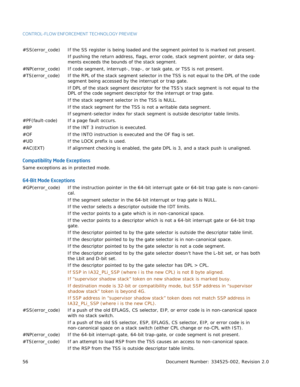| $\#SS(error\_code)$ | If the SS register is being loaded and the segment pointed to is marked not present.                                                                         |
|---------------------|--------------------------------------------------------------------------------------------------------------------------------------------------------------|
|                     | If pushing the return address, flags, error code, stack segment pointer, or data seg-<br>ments exceeds the bounds of the stack segment.                      |
| #NP(error_code)     | If code segment, interrupt-, trap-, or task gate, or TSS is not present.                                                                                     |
| $\#TS$ (error_code) | If the RPL of the stack segment selector in the TSS is not equal to the DPL of the code<br>segment being accessed by the interrupt or trap gate.             |
|                     | If DPL of the stack segment descriptor for the TSS's stack segment is not equal to the<br>DPL of the code segment descriptor for the interrupt or trap gate. |
|                     | If the stack segment selector in the TSS is NULL.                                                                                                            |
|                     | If the stack segment for the TSS is not a writable data segment.                                                                                             |
|                     | If segment-selector index for stack segment is outside descriptor table limits.                                                                              |
| $#PF(fault-code)$   | If a page fault occurs.                                                                                                                                      |
| #BP                 | If the INT 3 instruction is executed.                                                                                                                        |
| #OF                 | If the INTO instruction is executed and the OF flag is set.                                                                                                  |
| #UD                 | If the LOCK prefix is used.                                                                                                                                  |
| #AC(EXT)            | If alignment checking is enabled, the gate DPL is 3, and a stack push is unaligned.                                                                          |

# Compatibility Mode Exceptions

Same exceptions as in protected mode.

## 64-Bit Mode Exceptions

| #GP(error_code)     | If the instruction pointer in the 64-bit interrupt gate or 64-bit trap gate is non-canoni-<br>cal.                                                                    |  |  |  |
|---------------------|-----------------------------------------------------------------------------------------------------------------------------------------------------------------------|--|--|--|
|                     | If the segment selector in the 64-bit interrupt or trap gate is NULL.                                                                                                 |  |  |  |
|                     | If the vector selects a descriptor outside the IDT limits.                                                                                                            |  |  |  |
|                     | If the vector points to a gate which is in non-canonical space.                                                                                                       |  |  |  |
|                     | If the vector points to a descriptor which is not a 64-bit interrupt gate or 64-bit trap<br>gate.                                                                     |  |  |  |
|                     | If the descriptor pointed to by the gate selector is outside the descriptor table limit.                                                                              |  |  |  |
|                     | If the descriptor pointed to by the gate selector is in non-canonical space.                                                                                          |  |  |  |
|                     | If the descriptor pointed to by the gate selector is not a code segment.                                                                                              |  |  |  |
|                     | If the descriptor pointed to by the gate selector doesn't have the L-bit set, or has both<br>the Lbit and D-bit set.                                                  |  |  |  |
|                     | If the descriptor pointed to by the gate selector has $DPL > CPL$ .                                                                                                   |  |  |  |
|                     | If SSP in IA32_PLi_SSP (where i is the new CPL) is not 8 byte aligned.                                                                                                |  |  |  |
|                     | If "supervisor shadow stack" token on new shadow stack is marked busy.                                                                                                |  |  |  |
|                     | If destination mode is 32-bit or compatibility mode, but SSP address in "supervisor<br>shadow stack" token is beyond 4G.                                              |  |  |  |
|                     | If SSP address in "supervisor shadow stack" token does not match SSP address in<br>IA32_PLi_SSP (where i is the new CPL).                                             |  |  |  |
| #SS(error_code)     | If a push of the old EFLAGS, CS selector, EIP, or error code is in non-canonical space<br>with no stack switch.                                                       |  |  |  |
|                     | If a push of the old SS selector, ESP, EFLAGS, CS selector, EIP, or error code is in<br>non-canonical space on a stack switch (either CPL change or no-CPL with IST). |  |  |  |
| $#NP(error\_code)$  | If the 64-bit interrupt-gate, 64-bit trap-gate, or code segment is not present.                                                                                       |  |  |  |
| $\#TS$ (error_code) | If an attempt to load RSP from the TSS causes an access to non-canonical space.                                                                                       |  |  |  |
|                     | If the RSP from the TSS is outside descriptor table limits.                                                                                                           |  |  |  |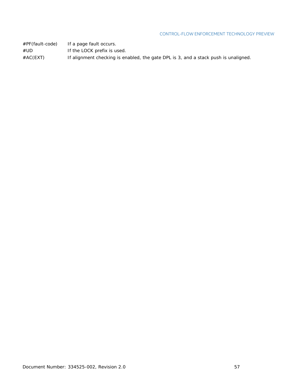#PF(fault-code) If a page fault occurs. #UD If the LOCK prefix is used. #AC(EXT) If alignment checking is enabled, the gate DPL is 3, and a stack push is unaligned.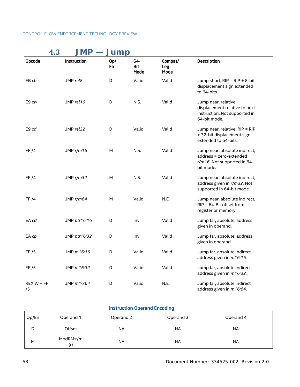# **4.3 JMP — Jump**

| <b>Opcode</b>      | Instruction  | Op/<br>En | 64-<br><b>Bit</b><br>Mode | Compat/<br><b>Leg</b><br>Mode | <b>Description</b>                                                                                     |
|--------------------|--------------|-----------|---------------------------|-------------------------------|--------------------------------------------------------------------------------------------------------|
| EB cb              | JMP rel8     | D         | Valid                     | Valid                         | Jump short, RIP = RIP + 8-bit<br>displacement sign extended<br>to 64-bits.                             |
| E9 cw              | JMP rel16    | D         | N.S.                      | Valid                         | Jump near, relative,<br>displacement relative to next<br>instruction. Not supported in<br>64-bit mode. |
| E9 cd              | JMP rel32    | D         | Valid                     | Valid                         | Jump near, relative, RIP = RIP<br>+ 32-bit displacement sign<br>extended to 64-bits.                   |
| FF/4               | JMP $r/m16$  | ${\sf M}$ | N.S.                      | Valid                         | Jump near, absolute indirect,<br>address = zero-extended<br>r/m16. Not supported in 64-<br>bit mode.   |
| FF/4               | JMP $r/m32$  | М         | N.S.                      | Valid                         | Jump near, absolute indirect,<br>address given in r/m32. Not<br>supported in 64-bit mode.              |
| FF/4               | JMP r/m64    | M         | Valid                     | N.E.                          | Jump near, absolute indirect,<br>RIP = 64-Bit offset from<br>register or memory.                       |
| EA cd              | JMP ptr16:16 | D         | Inv.                      | Valid                         | Jump far, absolute, address<br>given in operand.                                                       |
| EA cp              | JMP ptr16:32 | D         | Inv.                      | Valid                         | Jump far, absolute, address<br>given in operand.                                                       |
| FF/5               | JMP m16:16   | D         | Valid                     | Valid                         | Jump far, absolute indirect,<br>address given in m16:16.                                               |
| FF/5               | JMP m16:32   | D         | Valid                     | Valid                         | Jump far, absolute indirect,<br>address given in m16:32.                                               |
| $REX.W + FF$<br>/5 | JMP m16:64   | D         | Valid                     | N.E.                          | Jump far, absolute indirect,<br>address given in m16:64.                                               |

# Instruction Operand Encoding

| Op/En | Operand 1        | Operand 2 | Operand 3 | Operand 4 |
|-------|------------------|-----------|-----------|-----------|
| D     | Offset           | <b>NA</b> | <b>NA</b> | <b>NA</b> |
| M     | ModRM:r/m<br>(r) | <b>NA</b> | <b>NA</b> | <b>NA</b> |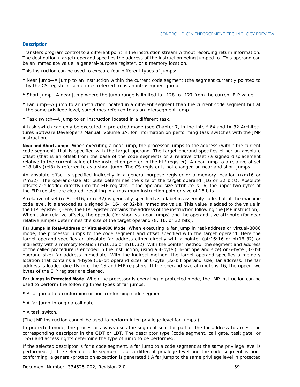## **Description**

Transfers program control to a different point in the instruction stream without recording return information. The destination (target) operand specifies the address of the instruction being jumped to. This operand can be an immediate value, a general-purpose register, or a memory location.

This instruction can be used to execute four different types of jumps:

- Near jump—A jump to an instruction within the current code segment (the segment currently pointed to by the CS register), sometimes referred to as an intrasegment jump.
- Short jump—A near jump where the jump range is limited to –128 to +127 from the current EIP value.
- Far jump—A jump to an instruction located in a different segment than the current code segment but at the same privilege level, sometimes referred to as an intersegment jump.
- Task switch—A jump to an instruction located in a different task.

A task switch can only be executed in protected mode (see Chapter 7, in the *Intel® 64 and IA-32 Architectures Software Developer's Manual, Volume 3A*, for information on performing task switches with the JMP instruction).

**Near and Short Jumps.** When executing a near jump, the processor jumps to the address (within the current code segment) that is specified with the target operand. The target operand specifies either an absolute offset (that is an offset from the base of the code segment) or a relative offset (a signed displacement relative to the current value of the instruction pointer in the EIP register). A near jump to a relative offset of 8-bits (*rel8*) is referred to as a short jump. The CS register is not changed on near and short jumps.

An absolute offset is specified indirectly in a general-purpose register or a memory location (*r/m16* or *r/m32*). The operand-size attribute determines the size of the target operand (16 or 32 bits). Absolute offsets are loaded directly into the EIP register. If the operand-size attribute is 16, the upper two bytes of the EIP register are cleared, resulting in a maximum instruction pointer size of 16 bits.

A relative offset (*rel8, rel16*, or *rel32*) is generally specified as a label in assembly code, but at the machine code level, it is encoded as a signed 8-, 16-, or 32-bit immediate value. This value is added to the value in the EIP register. (Here, the EIP register contains the address of the instruction following the JMP instruction). When using relative offsets, the opcode (for short vs. near jumps) and the operand-size attribute (for near relative jumps) determines the size of the target operand (8, 16, or 32 bits).

**Far Jumps in Real-Address or Virtual-8086 Mode.** When executing a far jump in real-address or virtual-8086 mode, the processor jumps to the code segment and offset specified with the target operand. Here the target operand specifies an absolute far address either directly with a pointer (*ptr16:16* or *ptr16:32*) or indirectly with a memory location (*m16:16* or *m16:32*). With the pointer method, the segment and address of the called procedure is encoded in the instruction, using a 4-byte (16-bit operand size) or 6-byte (32-bit operand size) far address immediate. With the indirect method, the target operand specifies a memory location that contains a 4-byte (16-bit operand size) or 6-byte (32-bit operand size) far address. The far address is loaded directly into the CS and EIP registers. If the operand-size attribute is 16, the upper two bytes of the EIP register are cleared.

**Far Jumps in Protected Mode.** When the processor is operating in protected mode, the JMP instruction can be used to perform the following three types of far jumps.

- A far jump to a conforming or non-conforming code segment.
- A far jump through a call gate.
- A task switch.

(The JMP instruction cannot be used to perform inter-privilege-level far jumps.)

In protected mode, the processor always uses the segment selector part of the far address to access the corresponding descriptor in the GDT or LDT. The descriptor type (code segment, call gate, task gate, or TSS) and access rights determine the type of jump to be performed.

If the selected descriptor is for a code segment, a far jump to a code segment at the same privilege level is performed. (If the selected code segment is at a different privilege level and the code segment is nonconforming, a general-protection exception is generated.) A far jump to the same privilege level in protected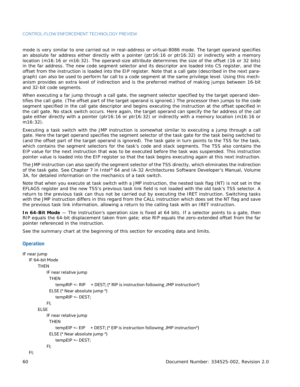mode is very similar to one carried out in real-address or virtual-8086 mode. The target operand specifies an absolute far address either directly with a pointer (*ptr16:16* or *ptr16:32*) or indirectly with a memory location (*m16:16* or *m16:32*). The operand-size attribute determines the size of the offset (16 or 32 bits) in the far address. The new code segment selector and its descriptor are loaded into CS register, and the offset from the instruction is loaded into the EIP register. Note that a call gate (described in the next paragraph) can also be used to perform far call to a code segment at the same privilege level. Using this mechanism provides an extra level of indirection and is the preferred method of making jumps between 16-bit and 32-bit code segments.

When executing a far jump through a call gate, the segment selector specified by the target operand identifies the call gate. (The offset part of the target operand is ignored.) The processor then jumps to the code segment specified in the call gate descriptor and begins executing the instruction at the offset specified in the call gate. No stack switch occurs. Here again, the target operand can specify the far address of the call gate either directly with a pointer (*ptr16:16* or *ptr16:32*) or indirectly with a memory location (*m16:16* or *m16:32*).

Executing a task switch with the JMP instruction is somewhat similar to executing a jump through a call gate. Here the target operand specifies the segment selector of the task gate for the task being switched to (and the offset part of the target operand is ignored). The task gate in turn points to the TSS for the task, which contains the segment selectors for the task's code and stack segments. The TSS also contains the EIP value for the next instruction that was to be executed before the task was suspended. This instruction pointer value is loaded into the EIP register so that the task begins executing again at this next instruction.

The JMP instruction can also specify the segment selector of the TSS directly, which eliminates the indirection of the task gate. See Chapter 7 in *Intel® 64 and IA-32 Architectures Software Developer's Manual, Volume 3A*, for detailed information on the mechanics of a task switch.

Note that when you execute at task switch with a JMP instruction, the nested task flag (NT) is not set in the EFLAGS register and the new TSS's previous task link field is not loaded with the old task's TSS selector. A return to the previous task can thus not be carried out by executing the IRET instruction. Switching tasks with the JMP instruction differs in this regard from the CALL instruction which does set the NT flag and save the previous task link information, allowing a return to the calling task with an IRET instruction.

In 64-Bit Mode — The instruction's operation size is fixed at 64 bits. If a selector points to a gate, then RIP equals the 64-bit displacement taken from gate; else RIP equals the zero-extended offset from the far pointer referenced in the instruction.

See the summary chart at the beginning of this section for encoding data and limits.

#### Operation

```
IF near jump 
    IF 64-bit Mode 
         THEN 
             IF near relative jump 
               THEN 
                  tempRIP <- RIP + DEST; (* RIP is instruction following JMP instruction*) 
               ELSE (* Near absolute jump *) 
                  tempRIP <- DEST; 
              FI; 
         ELSE 
             IF near relative jump 
              THFN
                  tempEIP <- EIP + DEST; (* EIP is instruction following JMP instruction*) 
               ELSE (* Near absolute jump *) 
                  tempEIP <- DEST; 
              FI; 
    FI;
```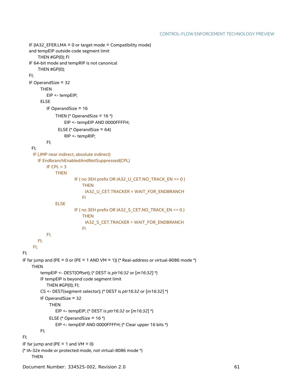```
 IF (IA32_EFER.LMA = 0 or target mode = Compatibility mode) 
    and tempEIP outside code segment limit 
        THEN #GP(0); FI 
    IF 64-bit mode and tempRIP is not canonical 
        THEN #GP(0); 
    FI; 
    IF OperandSize = 32 
         THEN 
            EIP <- tempEIP; 
         ELSE 
            IF OperandSize = 16 
                THEN (* OperandSize = 16 *)
                     EIP <- tempEIP AND 0000FFFFH; 
                  ELSE (* OperandSize = 64) 
                     RIP <- tempRIP; 
            FI; 
     FI; 
      IF (JMP near indirect, absolute indirect) 
        IF EndbranchEnabledAndNotSuppressed(CPL) 
            IF CPL = 3 
                 THEN 
                          IF ( no 3EH prefix OR IA32_U_CET.NO_TRACK_EN == 0 ) 
                              THEN 
                                IA32_U_CET.TRACKER = WAIT_FOR_ENDBRANCH 
FIRST CONTRACTOR
                 ELSE 
                          IF ( no 3EH prefix OR IA32_S_CET.NO_TRACK_EN == 0 ) 
                             THEN
                                IA32_S_CET.TRACKER = WAIT_FOR_ENDBRANCH 
FIRST CONTRACTOR
            FI; 
        FI; 
      FI; 
FI; 
IF far jump and (PE = 0 or (PE = 1 AND VM = 1)) (* Real-address or virtual-8086 mode *)
     THEN 
         tempEIP <- DEST(Offset); (* DEST is ptr16:32 or [m16:32] *) 
         IF tempEIP is beyond code segment limit 
             THEN #GP(0); FI; 
         CS <- DEST(segment selector); (* DEST is ptr16:32 or [m16:32] *) 
         IF OperandSize = 32 
              THEN 
                 EIP <- tempEIP; (* DEST is ptr16:32 or [m16:32] *) 
              ELSE (* OperandSize = 16 *) 
                 EIP <- tempEIP AND 0000FFFFH; (* Clear upper 16 bits *) 
         FI; 
FI; 
IF far jump and (PE = 1 and VM = 0)
(* IA-32e mode or protected mode, not virtual-8086 mode *) 
     THEN
```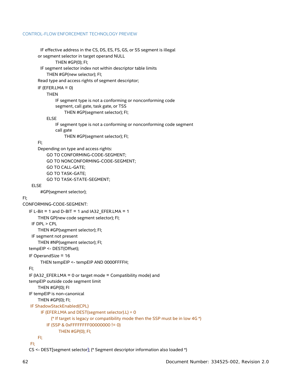```
 IF effective address in the CS, DS, ES, FS, GS, or SS segment is illegal 
         or segment selector in target operand NULL 
                 THEN #GP(0); FI; 
          IF segment selector index not within descriptor table limits 
             THEN #GP(new selector); FI; 
        Read type and access rights of segment descriptor; 
       IF (EFER.LMA = 0)
             THEN 
                 IF segment type is not a conforming or nonconforming code 
                 segment, call gate, task gate, or TSS 
                      THEN #GP(segment selector); FI; 
             ELSE 
                 IF segment type is not a conforming or nonconforming code segment 
                 call gate 
                      THEN #GP(segment selector); FI; 
        FI; 
        Depending on type and access rights: 
             GO TO CONFORMING-CODE-SEGMENT; 
             GO TO NONCONFORMING-CODE-SEGMENT; 
             GO TO CALL-GATE; 
             GO TO TASK-GATE; 
             GO TO TASK-STATE-SEGMENT; 
     ELSE 
          #GP(segment selector); 
CONFORMING-CODE-SEGMENT: 
   IF L-Bit = 1 and D-BIT = 1 and IA32 EFER.LMA = 1 THEN GP(new code segment selector); FI; 
     IF DPL > CPL 
        THEN #GP(segment selector); FI; 
     IF segment not present 
         THEN #NP(segment selector); FI; 
    tempEIP <- DEST(Offset); 
    IF OperandSize = 16 
          THEN tempEIP <- tempEIP AND 0000FFFFH; 
    FI; 
   IF (IA32 EFER.LMA = 0 or target mode = Compatibility mode) and
    tempEIP outside code segment limit 
        THEN #GP(0); FI 
    IF tempEIP is non-canonical 
        THEN #GP(0); FI; 
    IF ShadowStackEnabled(CPL) 
          IF (EFER.LMA and DEST(segment selector).L) = 0 
               (* If target is legacy or compatibility mode then the SSP must be in low 4G *) 
             IF (SSP & 0xFFFFFFFF00000000 != 0) 
                   THEN #GP(0); FI; 
        FI; 
    FI;
```
CS <- DEST[segment selector]; (\* Segment descriptor information also loaded \*)

FI;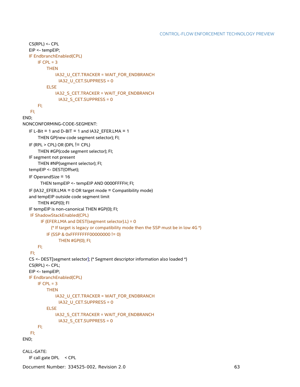```
 CS(RPL) <- CPL 
    EIP <- tempEIP; 
    IF EndbranchEnabled(CPL) 
       IF CPL = 3 THEN 
                IA32_U_CET.TRACKER = WAIT_FOR_ENDBRANCH
                  IA32_U_CET.SUPPRESS = 0 
            ELSE 
                 IA32_S_CET.TRACKER = WAIT_FOR_ENDBRANCH 
                 IA32 S CET.SUPPRESS = 0
        FI; 
    FI;
END; 
NONCONFORMING-CODE-SEGMENT: 
   IF L-Bit = 1 and D-BIT = 1 and IA32 EFER.LMA = 1 THEN GP(new code segment selector); FI; 
    IF (RPL > CPL) OR (DPL != CPL) 
        THEN #GP(code segment selector); FI; 
    IF segment not present 
        THEN #NP(segment selector); FI; 
    tempEIP <- DEST(Offset); 
    IF OperandSize = 16 
         THEN tempEIP <- tempEIP AND 0000FFFFH; FI; 
    IF (IA32_EFER.LMA = 0 OR target mode = Compatibility mode) 
    and tempEIP outside code segment limit 
        THEN #GP(0); FI 
    IF tempEIP is non-canonical THEN #GP(0); FI; 
    IF ShadowStackEnabled(CPL) 
         IF (EFER.LMA and DEST(segment selector).L) = 0 
               (* If target is legacy or compatibility mode then the SSP must be in low 4G *) 
            IF (SSP & 0xFFFFFFFF00000000 != 0) 
                  THEN #GP(0); FI; 
        FI; 
    FI; 
    CS <- DEST[segment selector]; (* Segment descriptor information also loaded *) 
    CS(RPL) <- CPL; 
    EIP <- tempEIP; 
    IF EndbranchEnabled(CPL) 
        IF CPL = 3 
            THEN 
                 IA32_U_CET.TRACKER = WAIT_FOR_ENDBRANCH 
                  IA32_U_CET.SUPPRESS = 0 
            ELSE 
                 IA32_S_CET.TRACKER = WAIT_FOR_ENDBRANCH 
                 IA32_S_CET.SUPPRESS = 0
        FI; 
    FI;
END; 
CALL-GATE: 
    IF call gate DPL < CPL
```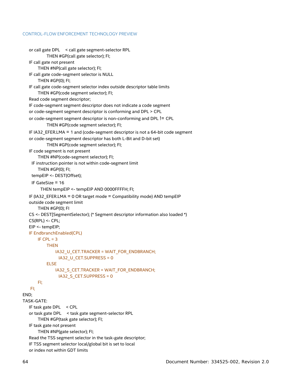```
 or call gate DPL < call gate segment-selector RPL 
             THEN #GP(call gate selector); FI; 
    IF call gate not present 
        THEN #NP(call gate selector); FI; 
    IF call gate code-segment selector is NULL 
        THEN #GP(0); FI; 
    IF call gate code-segment selector index outside descriptor table limits 
         THEN #GP(code segment selector); FI; 
    Read code segment descriptor; 
    IF code-segment segment descriptor does not indicate a code segment 
    or code-segment segment descriptor is conforming and DPL > CPL 
    or code-segment segment descriptor is non-conforming and DPL != CPL 
             THEN #GP(code segment selector); FI; 
    IF IA32_EFER.LMA = 1 and (code-segment descriptor is not a 64-bit code segment 
    or code-segment segment descriptor has both L-Bit and D-bit set) 
             THEN #GP(code segment selector); FI; 
    IF code segment is not present 
        THEN #NP(code-segment selector); FI; 
     IF instruction pointer is not within code-segment limit 
         THEN #GP(0); FI; 
     tempEIP <- DEST(Offset); 
     IF GateSize = 16 
          THEN tempEIP <- tempEIP AND 0000FFFFH; FI; 
    IF (IA32_EFER.LMA = 0 OR target mode = Compatibility mode) AND tempEIP 
    outside code segment limit 
        THEN #GP(0); FI 
    CS <- DEST[SegmentSelector); (* Segment descriptor information also loaded *) 
    CS(RPL) <- CPL; 
    EIP <- tempEIP; 
    IF EndbranchEnabled(CPL) 
        IF CPL = 3 
             THEN 
                IA32_U_CET.TRACKER = WAIT_FOR_ENDBRANCH;
                   IA32_U_CET.SUPPRESS = 0 
             ELSE 
                IA32_S_CET.TRACKER = WAIT_FOR_ENDBRANCH;
                   IA32_S_CET.SUPPRESS = 0 
        FI; 
    FI;
END; 
TASK-GATE: 
    IF task gate DPL < CPL 
    or task gate DPL < task gate segment-selector RPL 
        THEN #GP(task gate selector); FI; 
    IF task gate not present 
        THEN #NP(gate selector); FI; 
    Read the TSS segment selector in the task-gate descriptor; 
    IF TSS segment selector local/global bit is set to local 
    or index not within GDT limits
```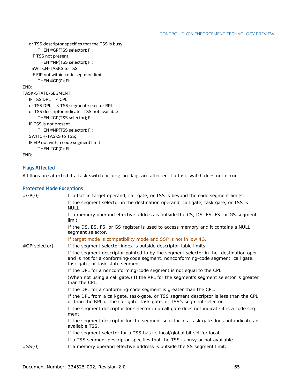```
 or TSS descriptor specifies that the TSS is busy 
        THEN #GP(TSS selector); FI; 
     IF TSS not present 
        THEN #NP(TSS selector); FI; 
     SWITCH-TASKS to TSS; 
     IF EIP not within code segment limit 
        THEN #GP(0); FI; 
END; 
TASK-STATE-SEGMENT: 
    IF TSS DPL < CPL 
    or TSS DPL < TSS segment-selector RPL 
    or TSS descriptor indicates TSS not available 
        THEN #GP(TSS selector); FI; 
    IF TSS is not present 
        THEN #NP(TSS selector); FI; 
    SWITCH-TASKS to TSS; 
    IF EIP not within code segment limit 
        THEN #GP(0); FI;
```
END;

## Flags Affected

All flags are affected if a task switch occurs; no flags are affected if a task switch does not occur.

## Protected Mode Exceptions

| $\#GP(0)$         | If offset in target operand, call gate, or TSS is beyond the code segment limits.                                                                                                                               |  |  |  |  |  |
|-------------------|-----------------------------------------------------------------------------------------------------------------------------------------------------------------------------------------------------------------|--|--|--|--|--|
|                   | If the segment selector in the destination operand, call gate, task gate, or TSS is<br>NULL.                                                                                                                    |  |  |  |  |  |
|                   | If a memory operand effective address is outside the CS, DS, ES, FS, or GS segment<br>limit.                                                                                                                    |  |  |  |  |  |
|                   | If the DS, ES, FS, or GS register is used to access memory and it contains a NULL<br>segment selector.                                                                                                          |  |  |  |  |  |
|                   | If target mode is compatibility mode and SSP is not in low 4G.                                                                                                                                                  |  |  |  |  |  |
| $\#GP$ (selector) | If the segment selector index is outside descriptor table limits.                                                                                                                                               |  |  |  |  |  |
|                   | If the segment descriptor pointed to by the segment selector in the -destination oper-<br>and is not for a conforming-code segment, nonconforming-code segment, call gate,<br>task gate, or task state segment. |  |  |  |  |  |
|                   | If the DPL for a nonconforming-code segment is not equal to the CPL                                                                                                                                             |  |  |  |  |  |
|                   | (When not using a call gate.) If the RPL for the segment's segment selector is greater<br>than the CPL.                                                                                                         |  |  |  |  |  |
|                   | If the DPL for a conforming-code segment is greater than the CPL.                                                                                                                                               |  |  |  |  |  |
|                   | If the DPL from a call-gate, task-gate, or TSS segment descriptor is less than the CPL<br>or than the RPL of the call-gate, task-gate, or TSS's segment selector.                                               |  |  |  |  |  |
|                   | If the segment descriptor for selector in a call gate does not indicate it is a code seg-<br>ment.                                                                                                              |  |  |  |  |  |
|                   | If the segment descriptor for the segment selector in a task gate does not indicate an<br>available TSS.                                                                                                        |  |  |  |  |  |
|                   | If the segment selector for a TSS has its local/global bit set for local.                                                                                                                                       |  |  |  |  |  |
|                   | If a TSS segment descriptor specifies that the TSS is busy or not available.                                                                                                                                    |  |  |  |  |  |
| $\#SS(0)$         | If a memory operand effective address is outside the SS segment limit.                                                                                                                                          |  |  |  |  |  |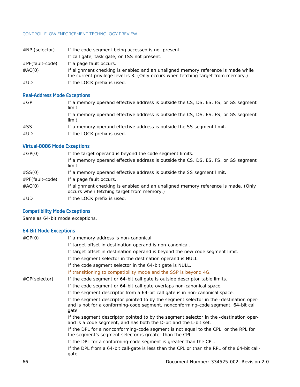| #NP (selector)  | If the code segment being accessed is not present.                                                                                                                    |
|-----------------|-----------------------------------------------------------------------------------------------------------------------------------------------------------------------|
|                 | If call gate, task gate, or TSS not present.                                                                                                                          |
| #PF(fault-code) | If a page fault occurs.                                                                                                                                               |
| $\#AC(0)$       | If alignment checking is enabled and an unaligned memory reference is made while<br>the current privilege level is 3. (Only occurs when fetching target from memory.) |
| #UD             | If the LOCK prefix is used.                                                                                                                                           |

# Real-Address Mode Exceptions

| #GP | If a memory operand effective address is outside the CS, DS, ES, FS, or GS segment<br>limit. |
|-----|----------------------------------------------------------------------------------------------|
|     | If a memory operand effective address is outside the CS, DS, ES, FS, or GS segment<br>limit. |
| #SS | If a memory operand effective address is outside the SS segment limit.                       |
| #UD | If the LOCK prefix is used.                                                                  |

# Virtual-8086 Mode Exceptions

| $\#GP(0)$         | If the target operand is beyond the code segment limits.                                                                       |  |  |  |
|-------------------|--------------------------------------------------------------------------------------------------------------------------------|--|--|--|
|                   | If a memory operand effective address is outside the CS, DS, ES, FS, or GS segment<br>limit.                                   |  |  |  |
| $\#SS(0)$         | If a memory operand effective address is outside the SS segment limit.                                                         |  |  |  |
| $#PF(fault-code)$ | If a page fault occurs.                                                                                                        |  |  |  |
| $\#AC(0)$         | If alignment checking is enabled and an unaligned memory reference is made. (Only<br>occurs when fetching target from memory.) |  |  |  |
| #UD               | If the LOCK prefix is used.                                                                                                    |  |  |  |

# Compatibility Mode Exceptions

Same as 64-bit mode exceptions.

# 64-Bit Mode Exceptions

| $\#GP(0)$     | If a memory address is non-canonical.                                                                                                                                                |
|---------------|--------------------------------------------------------------------------------------------------------------------------------------------------------------------------------------|
|               | If target offset in destination operand is non-canonical.                                                                                                                            |
|               | If target offset in destination operand is beyond the new code segment limit.                                                                                                        |
|               | If the segment selector in the destination operand is NULL.                                                                                                                          |
|               | If the code segment selector in the 64-bit gate is NULL.                                                                                                                             |
|               | If transitioning to compatibility mode and the SSP is beyond 4G.                                                                                                                     |
| #GP(selector) | If the code segment or 64-bit call gate is outside descriptor table limits.                                                                                                          |
|               | If the code segment or 64-bit call gate overlaps non-canonical space.                                                                                                                |
|               | If the segment descriptor from a 64-bit call gate is in non-canonical space.                                                                                                         |
|               | If the segment descriptor pointed to by the segment selector in the -destination oper-<br>and is not for a conforming-code segment, nonconforming-code segment, 64-bit call<br>gate. |
|               | If the segment descriptor pointed to by the segment selector in the -destination oper-<br>and is a code segment, and has both the D-bit and the L-bit set.                           |
|               | If the DPL for a nonconforming-code segment is not equal to the CPL, or the RPL for<br>the segment's segment selector is greater than the CPL.                                       |
|               | If the DPL for a conforming-code segment is greater than the CPL.                                                                                                                    |
|               | If the DPL from a 64-bit call-gate is less than the CPL or than the RPL of the 64-bit call-<br>gate.                                                                                 |
|               |                                                                                                                                                                                      |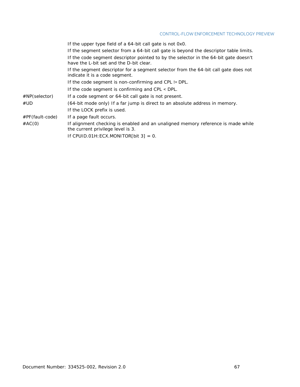|                 | If the upper type field of a 64-bit call gate is not 0x0.                                                                       |
|-----------------|---------------------------------------------------------------------------------------------------------------------------------|
|                 | If the segment selector from a 64-bit call gate is beyond the descriptor table limits.                                          |
|                 | If the code segment descriptor pointed to by the selector in the 64-bit gate doesn't<br>have the L-bit set and the D-bit clear. |
|                 | If the segment descriptor for a segment selector from the 64-bit call gate does not<br>indicate it is a code segment.           |
|                 | If the code segment is non-confirming and CPL != DPL.                                                                           |
|                 | If the code segment is confirming and CPL < DPL.                                                                                |
| #NP(selector)   | If a code segment or 64-bit call gate is not present.                                                                           |
| #UD             | (64-bit mode only) If a far jump is direct to an absolute address in memory.                                                    |
|                 | If the LOCK prefix is used.                                                                                                     |
| #PF(fault-code) | If a page fault occurs.                                                                                                         |
| #AC(0)          | If alignment checking is enabled and an unaligned memory reference is made while<br>the current privilege level is 3.           |
|                 | If CPUID.01H: ECX.MONITOR[bit 3] = 0.                                                                                           |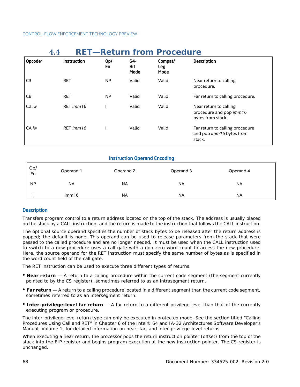# **4.4 RET—Return from Procedure**

| Opcode*        | Instruction | Op/<br>En | 64-<br>Bit<br>Mode | Compat/<br>Leg<br>Mode | <b>Description</b>                                                     |
|----------------|-------------|-----------|--------------------|------------------------|------------------------------------------------------------------------|
| C <sub>3</sub> | <b>RET</b>  | <b>NP</b> | Valid              | Valid                  | Near return to calling<br>procedure.                                   |
| CB             | <b>RET</b>  | <b>NP</b> | Valid              | Valid                  | Far return to calling procedure.                                       |
| $C2$ iw        | RET imm16   |           | Valid              | Valid                  | Near return to calling<br>procedure and pop imm16<br>bytes from stack. |
| CA iw          | RET imm16   |           | Valid              | Valid                  | Far return to calling procedure<br>and pop imm16 bytes from<br>stack.  |

| <b>Instruction Operand Encoding</b> |           |           |           |           |  |  |
|-------------------------------------|-----------|-----------|-----------|-----------|--|--|
| Op/<br>En                           | Operand 1 | Operand 2 | Operand 3 | Operand 4 |  |  |
| <b>NP</b>                           | <b>NA</b> | NA        | <b>NA</b> | <b>NA</b> |  |  |
|                                     | imm16     | <b>NA</b> | <b>NA</b> | <b>NA</b> |  |  |

## **Description**

Transfers program control to a return address located on the top of the stack. The address is usually placed on the stack by a CALL instruction, and the return is made to the instruction that follows the CALL instruction.

The optional source operand specifies the number of stack bytes to be released after the return address is popped; the default is none. This operand can be used to release parameters from the stack that were passed to the called procedure and are no longer needed. It must be used when the CALL instruction used to switch to a new procedure uses a call gate with a non-zero word count to access the new procedure. Here, the source operand for the RET instruction must specify the same number of bytes as is specified in the word count field of the call gate.

The RET instruction can be used to execute three different types of returns.

- **Near return** A return to a calling procedure within the current code segment (the segment currently pointed to by the CS register), sometimes referred to as an intrasegment return.
- **Far return** A return to a calling procedure located in a different segment than the current code segment, sometimes referred to as an intersegment return.
- **Inter-privilege-level far return** A far return to a different privilege level than that of the currently executing program or procedure.

The inter-privilege-level return type can only be executed in protected mode. See the section titled "Calling Procedures Using Call and RET" in Chapter 6 of the *Intel® 64 and IA-32 Architectures Software Developer's Manual, Volume 1*, for detailed information on near, far, and inter-privilege-level returns.

When executing a near return, the processor pops the return instruction pointer (offset) from the top of the stack into the EIP register and begins program execution at the new instruction pointer. The CS register is unchanged.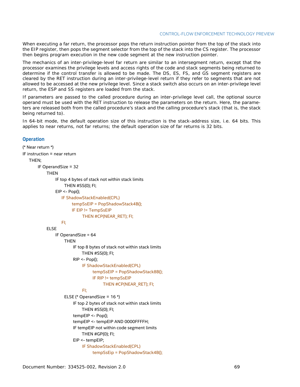When executing a far return, the processor pops the return instruction pointer from the top of the stack into the EIP register, then pops the segment selector from the top of the stack into the CS register. The processor then begins program execution in the new code segment at the new instruction pointer.

The mechanics of an inter-privilege-level far return are similar to an intersegment return, except that the processor examines the privilege levels and access rights of the code and stack segments being returned to determine if the control transfer is allowed to be made. The DS, ES, FS, and GS segment registers are cleared by the RET instruction during an inter-privilege-level return if they refer to segments that are not allowed to be accessed at the new privilege level. Since a stack switch also occurs on an inter-privilege level return, the ESP and SS registers are loaded from the stack.

If parameters are passed to the called procedure during an inter-privilege level call, the optional source operand must be used with the RET instruction to release the parameters on the return. Here, the parameters are released both from the called procedure's stack and the calling procedure's stack (that is, the stack being returned to).

In 64-bit mode, the default operation size of this instruction is the stack-address size, i.e. 64 bits. This applies to near returns, not far returns; the default operation size of far returns is 32 bits.

#### **Operation**

```
(* Near return *) 
IF instruction = near return 
    THEN; 
         IF OperandSize = 32 
            THEN
                  IF top 4 bytes of stack not within stack limits 
                       THEN #SS(0); FI; 
                 EIP < Pop();
                     IF ShadowStackEnabled(CPL) 
                           tempSsEIP = PopShadowStack4B(); 
                           IF EIP != TempSsEIP 
                                THEN #CP(NEAR_RET); FI; 
                     FI; 
             ELSE 
                  IF OperandSize = 64 
                       THEN 
                           IF top 8 bytes of stack not within stack limits 
                                THEN #SS(0); FI; 
                           RIP <- Pop(); 
                                IF ShadowStackEnabled(CPL) 
                                      tempSsEIP = PopShadowStack8B(); 
                                      IF RIP != tempSsEIP 
                                           THEN #CP(NEAR_RET); FI; 
FI; and the state of the state of the FI;
                       ELSE (* OperandSize = 16 *) 
                           IF top 2 bytes of stack not within stack limits 
                                THEN #SS(0); FI; 
                           tempEIP <- Pop(); 
                           tempEIP <- tempEIP AND 0000FFFFH; 
                           IF tempEIP not within code segment limits 
                                THEN #GP(0); FI; 
                           EIP <- tempEIP; 
                                IF ShadowStackEnabled(CPL) 
                                      tempSsEip = PopShadowStack4B();
```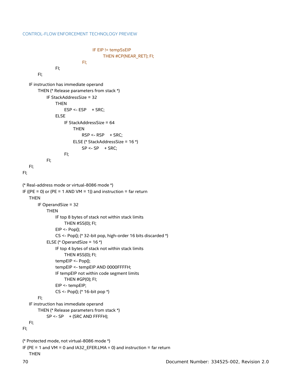```
 IF EIP != tempSsEIP 
                                           THEN #CP(NEAR_RET); FI; 
FI; and the state of the state of the FI;
                  FI; 
        FI; 
    IF instruction has immediate operand 
         THEN (* Release parameters from stack *) 
             IF StackAddressSize = 32 
                 THEN
                      ESP < -ESP + SRC;
                  ELSE 
                       IF StackAddressSize = 64 
                           THEN 
                                RSP <- RSP + SRC; 
                           ELSE (* StackAddressSize = 16 *) 
                               SP < - SP + SRC;
                       FI; 
             FI; 
    FI; 
FI; 
(* Real-address mode or virtual-8086 mode *) 
IF ((PE = 0) or (PE = 1 AND VM = 1)) and instruction = far return
    THEN 
         IF OperandSize = 32 
             THEN 
                  IF top 8 bytes of stack not within stack limits 
                       THEN #SS(0); FI; 
                 EIP < Pop();
                  CS <- Pop(); (* 32-bit pop, high-order 16 bits discarded *) 
             ELSE (* OperandSize = 16 *) 
                  IF top 4 bytes of stack not within stack limits 
                       THEN #SS(0); FI; 
                  tempEIP <- Pop(); 
                  tempEIP <- tempEIP AND 0000FFFFH; 
                  IF tempEIP not within code segment limits 
                       THEN #GP(0); FI; 
                  EIP <- tempEIP; 
                  CS <- Pop(); (* 16-bit pop *) 
        FI; 
    IF instruction has immediate operand 
         THEN (* Release parameters from stack *) 
            SP < - SP + (SRC AND FFFFH);
    FI; 
FI; 
(* Protected mode, not virtual-8086 mode *) 
IF (PE = 1 and VM = 0 and IA32_EFER.LMA = 0) and instruction = far return 
    THEN
```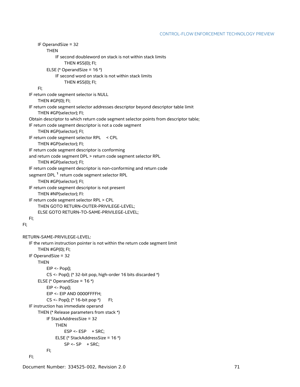```
 IF OperandSize = 32 
             THEN 
                 IF second doubleword on stack is not within stack limits 
                      THEN #SS(0); FI; 
             ELSE (* OperandSize = 16 *) 
                 IF second word on stack is not within stack limits 
                      THEN #SS(0); FI; 
        FI; 
    IF return code segment selector is NULL 
         THEN #GP(0); FI; 
    IF return code segment selector addresses descriptor beyond descriptor table limit 
         THEN #GP(selector); FI; 
    Obtain descriptor to which return code segment selector points from descriptor table; 
    IF return code segment descriptor is not a code segment 
         THEN #GP(selector); FI; 
    IF return code segment selector RPL < CPL 
         THEN #GP(selector); FI; 
    IF return code segment descriptor is conforming 
    and return code segment DPL > return code segment selector RPL 
         THEN #GP(selector); FI; 
    IF return code segment descriptor is non-conforming and return code 
   segment DPL<sup>1</sup> return code segment selector RPL
         THEN #GP(selector); FI; 
    IF return code segment descriptor is not present 
         THEN #NP(selector); FI: 
    IF return code segment selector RPL > CPL 
         THEN GOTO RETURN-OUTER-PRIVILEGE-LEVEL; 
         ELSE GOTO RETURN-TO-SAME-PRIVILEGE-LEVEL; 
    FI; 
FI; 
RETURN-SAME-PRIVILEGE-LEVEL: 
    IF the return instruction pointer is not within the return code segment limit 
         THEN #GP(0); FI; 
    IF OperandSize = 32 
       THEN
            EIP < Pop();
             CS <- Pop(); (* 32-bit pop, high-order 16 bits discarded *) 
        ELSE (* OperandSize = 16 *) 
            EIP < Pop();
             EIP <- EIP AND 0000FFFFH; 
             CS <- Pop(); (* 16-bit pop *) FI; 
    IF instruction has immediate operand 
         THEN (* Release parameters from stack *) 
             IF StackAddressSize = 32 
                 THEN 
                      ESP <- ESP + SRC; 
                 ELSE (* StackAddressSize = 16 *) 
                     SP < - SP + SRC;
             FI; 
    FI;
```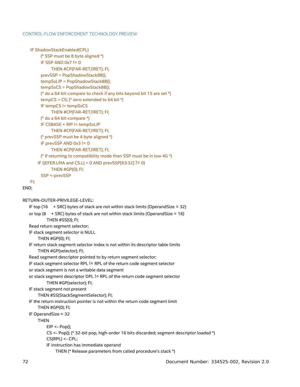```
 IF ShadowStackEnabled(CPL) 
          (* SSP must be 8 byte aligned *) 
         IF SSP AND 0x7 != 0 THEN #CP(FAR-RET/IRET); FI; 
          prevSSP = PopShadowStack8B(); 
          tempSsLIP = PopShadowStack8B(); 
          tempSsCS = PopShadowStack8B(); 
          (* do a 64 bit-compare to check if any bits beyond bit 15 are set *) 
          tempCS = CS; (* zero extended to 64 bit *) 
          IF tempCS != tempSsCS 
               THEN #CP(FAR-RET/IRET); FI; 
          (* do a 64 bit-compare *) 
          IF CSBASE + RIP != tempSsLIP 
               THEN #CP(FAR-RET/IRET); FI; 
          (* prevSSP must be 4 byte aligned *) 
          IF prevSSP AND 0x3 != 0 
               THEN #CP(FAR-RET/IRET); FI; 
          (* If returning to compatibility mode then SSP must be in low 4G *) 
       IF ((EFER.LMA and CS.L) = 0 AND prevSSP[63:32] != 0)
               THEN #GP(0); FI; 
          SSP <-prevSSP 
    FI; 
END;
```

```
RETURN-OUTER-PRIVILEGE-LEVEL:
```

```
IF top (16 + SRC) bytes of stack are not within stack limits (OperandSize = 32)
or top (8 + \text{SRC}) bytes of stack are not within stack limits (OperandSize = 16)
          THEN #SS(0); FI; 
 Read return segment selector; 
 IF stack segment selector is NULL 
     THEN #GP(0); FI; 
 IF return stack segment selector index is not within its descriptor table limits 
     THEN #GP(selector); FI; 
 Read segment descriptor pointed to by return segment selector; 
 IF stack segment selector RPL != RPL of the return code segment selector 
 or stack segment is not a writable data segment 
 or stack segment descriptor DPL != RPL of the return code segment selector 
          THEN #GP(selector); FI; 
 IF stack segment not present 
     THEN #SS(StackSegmentSelector); FI; 
 IF the return instruction pointer is not within the return code segment limit 
     THEN #GP(0); FI; 
 IF OperandSize = 32 
     THEN 
         EIP < Pop();
          CS <- Pop(); (* 32-bit pop, high-order 16 bits discarded; segment descriptor loaded *) 
          CS(RPL) <- CPL; 
          IF instruction has immediate operand 
              THEN (* Release parameters from called procedure's stack *)
```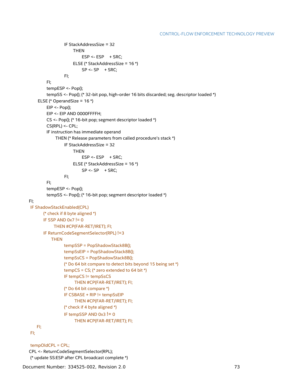```
 IF StackAddressSize = 32 
                       THEN 
                           ESP < -ESP + SRC;
                       ELSE (* StackAddressSize = 16 *) 
                           SP < - SP + SRC; FI; 
         FI; 
         tempESP <- Pop(); 
         tempSS <- Pop(); (* 32-bit pop, high-order 16 bits discarded; seg. descriptor loaded *) 
     ELSE (* OperandSize = 16 *) 
        EIP < Pop();
         EIP <- EIP AND 0000FFFFH; 
         CS <- Pop(); (* 16-bit pop; segment descriptor loaded *) 
         CS(RPL) <- CPL; 
         IF instruction has immediate operand 
              THEN (* Release parameters from called procedure's stack *) 
                   IF StackAddressSize = 32 
                       THEN 
                            ESP <- ESP + SRC; 
                       ELSE (* StackAddressSize = 16 *) 
                           SP < - SP + SRC;
                   FI; 
         FI; 
         tempESP <- Pop(); 
          tempSS <- Pop(); (* 16-bit pop; segment descriptor loaded *) 
 FI; 
 IF ShadowStackEnabled(CPL) 
        (* check if 8 byte aligned *) 
       IF SSP AND 0x7 != 0 THEN #CP(FAR-RET/IRET); FI; 
        IF ReturnCodeSegmentSelector(RPL) !=3 
           THEN
                   tempSSP = PopShadowStack8B(); 
                   tempSsEIP = PopShadowStack8B(); 
                   tempSsCS = PopShadowStack8B(); 
                   (* Do 64 bit compare to detect bits beyond 15 being set *) 
                   tempCS = CS; (* zero extended to 64 bit *) 
                   IF tempCS != tempSsCS 
                        THEN #CP(FAR-RET/IRET); FI; 
                   (* Do 64 bit compare *) 
                   IF CSBASE + RIP != tempSsEIP 
                        THEN #CP(FAR-RET/IRET); FI; 
                   (* check if 4 byte aligned *) 
                   IF tempSSP AND 0x3 != 0 
                        THEN #CP(FAR-RET/IRET); FI; 
    FI; 
 FI; 
 tempOldCPL = CPL;
```
 CPL <- ReturnCodeSegmentSelector(RPL); (\* update SS:ESP after CPL broadcast complete \*)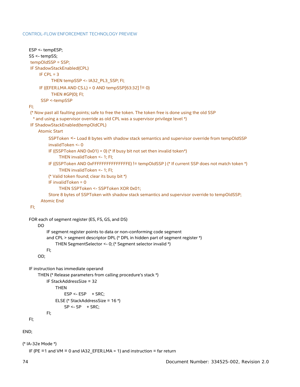```
 ESP <- tempESP; 
    SS <- tempSS; 
    tempOldSSP = SSP;
    IF ShadowStackEnabled(CPL) 
         IF CPL = 3 
               THEN tempSSP <- IA32_PL3_SSP; FI; 
        IF ((EFER.LMA AND CS.L) = 0 AND tempSSP[63:32] != 0)
               THEN #GP(0); FI; 
          SSP <-tempSSP 
    FI; 
    (* Now past all faulting points; safe to free the token. The token free is done using the old SSP 
      * and using a supervisor override as old CPL was a supervisor privilege level *) 
    IF ShadowStackEnabled(tempOldCPL) 
         Atomic Start 
              SSPToken <- Load 8 bytes with shadow stack semantics and supervisor override from tempOldSSP 
              invalidToken <- 0 
              IF ((SSPToken AND 0x01) = 0) (* If busy bit not set then invalid token*) 
                   THEN invalidToken <- 1; FI; 
              IF ((SSPToken AND 0xFFFFFFFFFFFFFFFE) != tempOldSSP ) (* If current SSP does not match token *) 
                   THEN invalidToken <- 1; FI; 
              (* Valid token found; clear its busy bit *) 
              IF invalidToken = 0 
                   THEN SSPToken <- SSPToken XOR 0x01; 
              Store 8 bytes of SSPToken with shadow stack semantics and supervisor override to tempOldSSP; 
          Atomic End 
    FI; 
    FOR each of segment register (ES, FS, GS, and DS) 
        DO 
             IF segment register points to data or non-conforming code segment 
             and CPL > segment descriptor DPL (* DPL in hidden part of segment register *) 
                 THEN SegmentSelector <- 0; (* Segment selector invalid *) 
             FI; 
        OD; 
    IF instruction has immediate operand 
        THEN (* Release parameters from calling procedure's stack *) 
             IF StackAddressSize = 32 
                 THEN 
                      ESP <- ESP + SRC; 
                 ELSE (* StackAddressSize = 16 *) 
                     SP < - SP + SRC;
             FI; 
    FI; 
END; 
(* IA-32e Mode *) 
    IF (PE =1 and VM = 0 and IA32_EFER.LMA = 1) and instruction = far return
```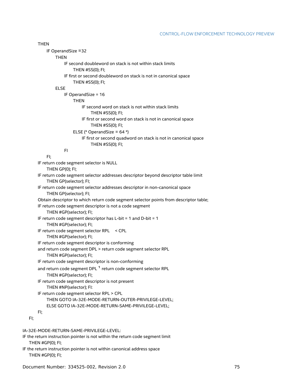```
 THEN 
             IF OperandSize =32 
                 THEN 
                      IF second doubleword on stack is not within stack limits 
                          THEN #SS(0); FI; 
                      IF first or second doubleword on stack is not in canonical space 
                          THEN #SS(0); FI; 
                 ELSE 
                      IF OperandSize = 16 
                         THEN
                               IF second word on stack is not within stack limits 
                                    THEN #SS(0); FI; 
                               IF first or second word on stack is not in canonical space 
                                   THEN #SS(0); FI; 
                          ELSE (* OperandSize = 64 *) 
                               IF first or second quadword on stack is not in canonical space 
                                    THEN #SS(0); FI; 
FI FI
             FI; 
        IF return code segment selector is NULL 
             THEN GP(0); FI; 
        IF return code segment selector addresses descriptor beyond descriptor table limit 
             THEN GP(selector); FI; 
        IF return code segment selector addresses descriptor in non-canonical space 
             THEN GP(selector); FI; 
        Obtain descriptor to which return code segment selector points from descriptor table; 
        IF return code segment descriptor is not a code segment 
             THEN #GP(selector); FI; 
        IF return code segment descriptor has L-bit = 1 and D-bit = 1 
             THEN #GP(selector); FI; 
        IF return code segment selector RPL < CPL 
             THEN #GP(selector); FI; 
        IF return code segment descriptor is conforming 
        and return code segment DPL > return code segment selector RPL 
             THEN #GP(selector); FI; 
        IF return code segment descriptor is non-conforming 
       and return code segment DPL<sup>1</sup> return code segment selector RPL
             THEN #GP(selector); FI; 
        IF return code segment descriptor is not present 
             THEN #NP(selector); FI: 
        IF return code segment selector RPL > CPL 
             THEN GOTO IA-32E-MODE-RETURN-OUTER-PRIVILEGE-LEVEL; 
             ELSE GOTO IA-32E-MODE-RETURN-SAME-PRIVILEGE-LEVEL; 
        FI; 
    FI; 
IA-32E-MODE-RETURN-SAME-PRIVILEGE-LEVEL: 
IF the return instruction pointer is not within the return code segment limit
```

```
 THEN #GP(0); FI;
```
IF the return instruction pointer is not within canonical address space THEN #GP(0); FI;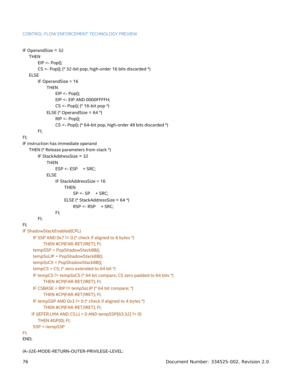```
IF OperandSize = 32 
    THEN 
        EIP <- Pop(); 
        CS <- Pop(); (* 32-bit pop, high-order 16 bits discarded *) 
    ELSE 
        IF OperandSize = 16 
             THEN 
                  EIP <- Pop(); 
                  EIP <- EIP AND 0000FFFFH; 
                  CS <- Pop(); (* 16-bit pop *) 
             ELSE (* OperandSize = 64 *) 
                  RIP <- Pop(); 
                  CS <- Pop(); (* 64-bit pop, high-order 48 bits discarded *) 
        FI; 
FI; 
IF instruction has immediate operand 
    THEN (* Release parameters from stack *) 
        IF StackAddressSize = 32 
             THEN 
                 ESP < -ESP + SRC;
             ELSE 
                  IF StackAddressSize = 16 
                      THEN 
                          SP < - SP + SRC;
                      ELSE (* StackAddressSize = 64 *) 
                           RSP <- RSP + SRC; 
                  FI; 
        FI; 
FI; 
IF ShadowStackEnabled(CPL) 
     IF SSP AND 0x7 != 0 (* check if aligned to 8 bytes *)
           THEN #CP(FAR-RET/IRET); FI; 
      tempSSP = PopShadowStack8B(); 
      tempSsLIP = PopShadowStack8B(); 
      tempSsCS = PopShadowStack8B(); 
      tempCS = CS; (* zero extended to 64 bit *) 
      IF tempCS != tempSsCS (* 64 bit compare; CS zero padded to 64 bits *) 
           THEN #CP(FAR-RET/IRET); FI; 
      IF CSBASE + RIP != tempSsLIP (* 64 bit compare; *) 
           THEN #CP(FAR-RET/IRET); FI; 
     IF tempSSP AND 0x3 != 0 (* check if aligned to 4 bytes *)
           THEN #CP(FAR-RET/IRET); FI; 
     IF ((EFER.LMA AND CS.L) = 0 AND tempSSP[63:32] != 0) 
        THEN #GP(0); FI; 
      SSP <-tempSSP 
FI; 
END;
```

```
IA-32E-MODE-RETURN-OUTER-PRIVILEGE-LEVEL:
```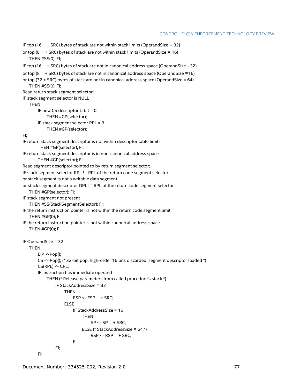```
IF top (16 + SRC) bytes of stack are not within stack limits (OperandSize = 32)
or top (8 + SRC) bytes of stack are not within stack limits (OperandSize = 16)
    THEN #SS(0); FI; 
IF top (16 + SRC) bytes of stack are not in canonical address space (OperandSize =32) 
or top (8 + SRC) bytes of stack are not in canonical address space (OperandSize = 16)
or top (32 + SRC) bytes of stack are not in canonical address space (OperandSize = 64) 
    THEN #SS(0); FI; 
Read return stack segment selector; 
IF stack segment selector is NULL 
    THEN 
        IF new CS descriptor L-bit = 0 
             THEN #GP(selector); 
        IF stack segment selector RPL = 3 
             THEN #GP(selector); 
FI; 
IF return stack segment descriptor is not within descriptor table limits 
        THEN #GP(selector); FI; 
IF return stack segment descriptor is in non-canonical address space 
         THEN #GP(selector); FI; 
Read segment descriptor pointed to by return segment selector; 
IF stack segment selector RPL != RPL of the return code segment selector 
or stack segment is not a writable data segment 
or stack segment descriptor DPL != RPL of the return code segment selector 
    THEN #GP(selector); FI; 
IF stack segment not present 
    THEN #SS(StackSegmentSelector); FI; 
IF the return instruction pointer is not within the return code segment limit 
    THEN #GP(0); FI: 
IF the return instruction pointer is not within canonical address space 
    THEN #GP(0); FI; 
IF OperandSize = 32 
    THEN 
       EIP < -Poo():
        CS <- Pop(); (* 32-bit pop, high-order 16 bits discarded, segment descriptor loaded *) 
        CS(RPL) <- CPL; 
        IF instruction has immediate operand 
             THEN (* Release parameters from called procedure's stack *) 
                 IF StackAddressSize = 32 
                     THEN
                          ESP <- ESP + SRC; 
                      ELSE 
                          IF StackAddressSize = 16 
                               THEN 
                                  SP < - SP + SRC;
                               ELSE (* StackAddressSize = 64 *) 
                                   RSP <- RSP + SRC; 
 FI; 
                 FI; 
        FI;
```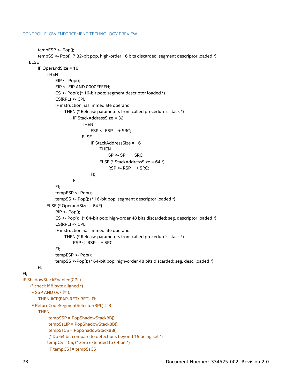```
 tempESP <- Pop(); 
        tempSS <- Pop(); (* 32-bit pop, high-order 16 bits discarded, segment descriptor loaded *) 
    ELSE 
        IF OperandSize = 16 
            THEN 
               EIP < Pop();
                EIP <- EIP AND 0000FFFFH; 
                CS <- Pop(); (* 16-bit pop; segment descriptor loaded *) 
                CS(RPL) <- CPL; 
                IF instruction has immediate operand 
                     THEN (* Release parameters from called procedure's stack *) 
                         IF StackAddressSize = 32 
                            THEN
                                 ESP <- ESP + SRC; 
                             ELSE 
                                 IF StackAddressSize = 16 
THEN
                                         SP < - SP + SRC;
                                      ELSE (* StackAddressSize = 64 *) 
                                          RSP <- RSP + SRC; 
 FI; 
 FI; 
                FI; 
                tempESP <- Pop(); 
                tempSS <- Pop(); (* 16-bit pop; segment descriptor loaded *) 
            ELSE (* OperandSize = 64 *) 
                RIP <- Pop(); 
                CS <- Pop(); (* 64-bit pop; high-order 48 bits discarded; seg. descriptor loaded *) 
                CS(RPL) <- CPL; 
                IF instruction has immediate operand 
                     THEN (* Release parameters from called procedure's stack *) 
                         RSP <- RSP + SRC; 
                FI; 
                tempESP <- Pop(); 
                tempSS <-Pop(); (* 64-bit pop; high-order 48 bits discarded; seg. desc. loaded *) 
        FI; 
FI; 
IF ShadowStackEnabled(CPL) 
    (* check if 8 byte aligned *) 
   IF SSP AND 0x7 != 0 THEN #CP(FAR-RET/IRET); FI; 
    IF ReturnCodeSegmentSelector(RPL) !=3 
        THEN 
             tempSSP = PopShadowStack8B(); 
             tempSsLIP = PopShadowStack8B(); 
             tempSsCS = PopShadowStack8B(); 
             (* Do 64 bit compare to detect bits beyond 15 being set *) 
            tempCS = CS; (* zero extended to 64 bit *)
             IF tempCS != tempSsCS
```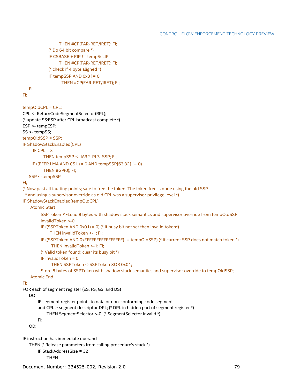```
 THEN #CP(FAR-RET/IRET); FI; 
              (* Do 64 bit compare *) 
              IF CSBASE + RIP != tempSsLIP 
                   THEN #CP(FAR-RET/IRET); FI; 
              (* check if 4 byte aligned *) 
              IF tempSSP AND 0x3 != 0 
                    THEN #CP(FAR-RET/IRET); FI; 
    FI; 
FI; 
tempOldCPL = CPL; 
CPL <- ReturnCodeSegmentSelector(RPL); 
(* update SS:ESP after CPL broadcast complete *) 
ESP <- tempESP; 
SS <- tempSS; 
tempOldSSP = SSP; 
IF ShadowStackEnabled(CPL) 
      IF CPL = 3 
           THEN tempSSP <- IA32_PL3_SSP; FI; 
    IF ((EFER.LMA AND CS.L) = 0 AND tempSSP[63:32] != 0)
           THEN #GP(0); FI; 
    SSP <-tempSSP 
FI; 
(* Now past all faulting points; safe to free the token. The token free is done using the old SSP 
  * and using a supervisor override as old CPL was a supervisor privilege level *) 
IF ShadowStackEnabled(tempOldCPL) 
    Atomic Start 
         SSPToken <- Load 8 bytes with shadow stack semantics and supervisor override from tempOldSSP
          invalidToken <-0 
          IF ((SSPToken AND 0x01) = 0) (* If busy bit not set then invalid token*) 
              THEN invalidToken <-1; FI; 
          IF ((SSPToken AND 0xFFFFFFFFFFFFFFFE) != tempOldSSP) (* If current SSP does not match token *) 
               THEN invalidToken <-1; FI; 
          (* Valid token found; clear its busy bit *) 
          IF invalidToken = 0 
               THEN SSPToken <-SSPToken XOR 0x01; 
          Store 8 bytes of SSPToken with shadow stack semantics and supervisor override to tempOldSSP; 
    Atomic End 
FI;
FOR each of segment register (ES, FS, GS, and DS) 
    DO 
        IF segment register points to data or non-conforming code segment 
        and CPL > segment descriptor DPL; (* DPL in hidden part of segment register *) 
             THEN SegmentSelector <-0; (* SegmentSelector invalid *) 
        FI; 
    OD; 
IF instruction has immediate operand 
    THEN (* Release parameters from calling procedure's stack *) 
        IF StackAddressSize = 32
```

```
THEN
```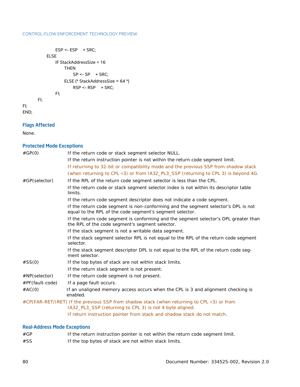```
ESP < -ESP + SRC;
 ELSE 
     IF StackAddressSize = 16 
         THEN 
             SP < - SP + SRC;
         ELSE (* StackAddressSize = 64 *) 
              RSP <- RSP + SRC; 
     FI;
```
# Flags Affected

FI;

None.

FI; END;

#### Protected Mode Exceptions

| $\#GP(0)$       | If the return code or stack segment selector NULL.                                                                                                     |  |  |  |  |
|-----------------|--------------------------------------------------------------------------------------------------------------------------------------------------------|--|--|--|--|
|                 | If the return instruction pointer is not within the return code segment limit.                                                                         |  |  |  |  |
|                 | If returning to 32-bit or compatibility mode and the previous SSP from shadow stack                                                                    |  |  |  |  |
|                 | (when returning to CPL <3) or from IA32_PL3_SSP (returning to CPL 3) is beyond 4G.                                                                     |  |  |  |  |
| #GP(selector)   | If the RPL of the return code segment selector is less than the CPL.                                                                                   |  |  |  |  |
|                 | If the return code or stack segment selector index is not within its descriptor table<br>limits.                                                       |  |  |  |  |
|                 | If the return code segment descriptor does not indicate a code segment.                                                                                |  |  |  |  |
|                 | If the return code segment is non-conforming and the segment selector's DPL is not<br>equal to the RPL of the code segment's segment selector.         |  |  |  |  |
|                 | If the return code segment is conforming and the segment selector's DPL greater than<br>the RPL of the code segment's segment selector.                |  |  |  |  |
|                 | If the stack segment is not a writable data segment.                                                                                                   |  |  |  |  |
|                 | If the stack segment selector RPL is not equal to the RPL of the return code segment<br>selector.                                                      |  |  |  |  |
|                 | If the stack segment descriptor DPL is not equal to the RPL of the return code seg-<br>ment selector.                                                  |  |  |  |  |
| $\#SS(0)$       | If the top bytes of stack are not within stack limits.                                                                                                 |  |  |  |  |
|                 | If the return stack segment is not present.                                                                                                            |  |  |  |  |
| #NP(selector)   | If the return code segment is not present.                                                                                                             |  |  |  |  |
| #PF(fault-code) | If a page fault occurs.                                                                                                                                |  |  |  |  |
| #AC(0)          | If an unaligned memory access occurs when the CPL is 3 and alignment checking is<br>enabled.                                                           |  |  |  |  |
|                 | #CP(FAR-RET/IRET) If the previous SSP from shadow stack (when returning to CPL <3) or from<br>IA32_PL3_SSP (returning to CPL 3) is not 4 byte aligned. |  |  |  |  |

If return instruction pointer from stack and shadow stack do not match.

# Real-Address Mode Exceptions

| #GP | If the return instruction pointer is not within the return code segment limit. |
|-----|--------------------------------------------------------------------------------|
| #SS | If the top bytes of stack are not within stack limits.                         |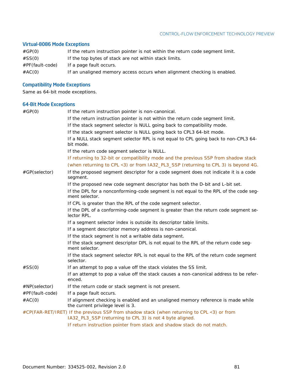# Virtual-8086 Mode Exceptions

| $\#GP(0)$           | If the return instruction pointer is not within the return code segment limit. |
|---------------------|--------------------------------------------------------------------------------|
| $\#SS(0)$           | If the top bytes of stack are not within stack limits.                         |
| $\#PF$ (fault-code) | If a page fault occurs.                                                        |
| #AC(0)              | If an unaligned memory access occurs when alignment checking is enabled.       |

# Compatibility Mode Exceptions

Same as 64-bit mode exceptions.

# 64-Bit Mode Exceptions

| $\#GP(0)$       | If the return instruction pointer is non-canonical.                                                                                                    |  |  |  |
|-----------------|--------------------------------------------------------------------------------------------------------------------------------------------------------|--|--|--|
|                 | If the return instruction pointer is not within the return code segment limit.                                                                         |  |  |  |
|                 | If the stack segment selector is NULL going back to compatibility mode.                                                                                |  |  |  |
|                 | If the stack segment selector is NULL going back to CPL3 64-bit mode.                                                                                  |  |  |  |
|                 | If a NULL stack segment selector RPL is not equal to CPL going back to non-CPL3 64-<br>bit mode.                                                       |  |  |  |
|                 | If the return code segment selector is NULL.                                                                                                           |  |  |  |
|                 | If returning to 32-bit or compatibility mode and the previous SSP from shadow stack                                                                    |  |  |  |
|                 | (when returning to CPL <3) or from IA32_PL3_SSP (returning to CPL 3) is beyond 4G.                                                                     |  |  |  |
| #GP(selector)   | If the proposed segment descriptor for a code segment does not indicate it is a code<br>segment.                                                       |  |  |  |
|                 | If the proposed new code segment descriptor has both the D-bit and L-bit set.                                                                          |  |  |  |
|                 | If the DPL for a nonconforming-code segment is not equal to the RPL of the code seg-<br>ment selector.                                                 |  |  |  |
|                 | If CPL is greater than the RPL of the code segment selector.                                                                                           |  |  |  |
|                 | If the DPL of a conforming-code segment is greater than the return code segment se-<br>lector RPL.                                                     |  |  |  |
|                 | If a segment selector index is outside its descriptor table limits.                                                                                    |  |  |  |
|                 | If a segment descriptor memory address is non-canonical.                                                                                               |  |  |  |
|                 | If the stack segment is not a writable data segment.                                                                                                   |  |  |  |
|                 | If the stack segment descriptor DPL is not equal to the RPL of the return code seg-<br>ment selector.                                                  |  |  |  |
|                 | If the stack segment selector RPL is not equal to the RPL of the return code segment<br>selector.                                                      |  |  |  |
| $\#SS(0)$       | If an attempt to pop a value off the stack violates the SS limit.                                                                                      |  |  |  |
|                 | If an attempt to pop a value off the stack causes a non-canonical address to be refer-<br>enced.                                                       |  |  |  |
| #NP(selector)   | If the return code or stack segment is not present.                                                                                                    |  |  |  |
| #PF(fault-code) | If a page fault occurs.                                                                                                                                |  |  |  |
| #AC(0)          | If alignment checking is enabled and an unaligned memory reference is made while<br>the current privilege level is 3.                                  |  |  |  |
|                 | #CP(FAR-RET/IRET) If the previous SSP from shadow stack (when returning to CPL <3) or from<br>IA32_PL3_SSP (returning to CPL 3) is not 4 byte aligned. |  |  |  |
|                 | If return instruction pointer from stack and shadow stack do not match.                                                                                |  |  |  |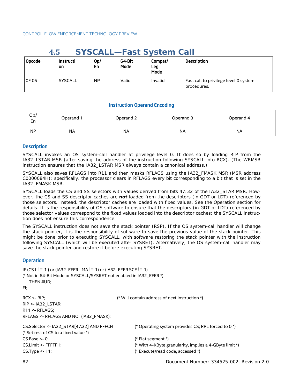# **4.5 SYSCALL—Fast System Call**

| <b>Opcode</b> | <b>Instructi</b><br>ΟN | Op/<br>En | 64-Bit<br>Mode | Compat/<br>Leq<br>Mode | <b>Description</b>                                   |
|---------------|------------------------|-----------|----------------|------------------------|------------------------------------------------------|
| <b>OF 05</b>  | <b>SYSCALL</b>         | NP        | Valid          | Invalid                | Fast call to privilege level 0 system<br>procedures. |

#### Instruction Operand Encoding

| Op/<br>En | Operand 1 | Operand 2 | Operand 3 | Operand 4 |
|-----------|-----------|-----------|-----------|-----------|
| <b>NP</b> | NA        | NA        | <b>NA</b> | <b>NA</b> |

#### **Description**

SYSCALL invokes an OS system-call handler at privilege level 0. It does so by loading RIP from the IA32\_LSTAR MSR (after saving the address of the instruction following SYSCALL into RCX). (The WRMSR instruction ensures that the IA32\_LSTAR MSR always contain a canonical address.)

SYSCALL also saves RFLAGS into R11 and then masks RFLAGS using the IA32 FMASK MSR (MSR address C0000084H); specifically, the processor clears in RFLAGS every bit corresponding to a bit that is set in the IA32\_FMASK MSR.

SYSCALL loads the CS and SS selectors with values derived from bits 47:32 of the IA32\_STAR MSR. However, the CS and SS descriptor caches are **not** loaded from the descriptors (in GDT or LDT) referenced by those selectors. Instead, the descriptor caches are loaded with fixed values. See the Operation section for details. It is the responsibility of OS software to ensure that the descriptors (in GDT or LDT) referenced by those selector values correspond to the fixed values loaded into the descriptor caches; the SYSCALL instruction does not ensure this correspondence.

The SYSCALL instruction does not save the stack pointer (RSP). If the OS system-call handler will change the stack pointer, it is the responsibility of software to save the previous value of the stack pointer. This might be done prior to executing SYSCALL, with software restoring the stack pointer with the instruction following SYSCALL (which will be executed after SYSRET). Alternatively, the OS system-call handler may save the stack pointer and restore it before executing SYSRET.

#### **Operation**

```
IF (CS.L != 1 ) or (IA32_EFER.LMA != 1) or (IA32_EFER.SCE != 1) 
(* Not in 64-Bit Mode or SYSCALL/SYSRET not enabled in IA32_EFER *) 
    THEN #UD; 
FI; 
RCX <- RIP; (* Will contain address of next instruction *)
```
RIP <- IA32\_LSTAR; R11 <- RFLAGS; RFLAGS <- RFLAGS AND NOT(IA32\_FMASK);

| CS.Selector <- IA32 STAR[47:32] AND FFFCH | (* Operating system provides CS; RPL forced to 0 *)     |
|-------------------------------------------|---------------------------------------------------------|
| (* Set rest of CS to a fixed value *)     |                                                         |
| $CS.Base < 0$ :                           | (* Flat segment *)                                      |
| CS.Limit <- FFFFFH;                       | (* With 4-KByte granularity, implies a 4-GByte limit *) |
| $CS.T$ ype $\leq$ 11;                     | (* Execute/read code, accessed *)                       |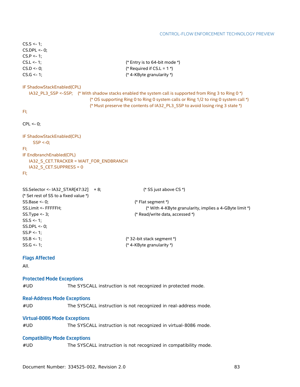$CS.S < -1$ :  $CSDPL \leq -0$ ;  $CS.P < -1;$ CS.L <- 1; (\* Entry is to 64-bit mode \*)  $CS.D \leq 0$ ;  $(*$  Required if  $CS.L = 1^*$ ) CS.G <- 1;  $(* 4-KByte granularity*)$ IF ShadowStackEnabled(CPL) IA32\_PL3\_SSP <-SSP; (\* With shadow stacks enabled the system call is supported from Ring 3 to Ring 0 \*) (\* OS supporting Ring 0 to Ring 0 system calls or Ring 1/2 to ring 0 system call \*) (\* Must preserve the contents of IA32\_PL3\_SSP to avoid losing ring 3 state \*) FI;  $CPL \le -0;$ IF ShadowStackEnabled(CPL)  $SSP < -0$ ; FI; IF EndbranchEnabled(CPL) IA32\_S\_CET.TRACKER = WAIT\_FOR\_ENDBRANCH IA32\_S\_CET.SUPPRESS = 0 FI; SS.Selector <- IA32 STAR[47:32] + 8; (\* SS just above CS \*) (\* Set rest of SS to a fixed value \*) SS.Base <- 0;  $(*$  Flat segment \*) SS.Limit <- FFFFFH; (\* With 4-KByte granularity, implies a 4-GByte limit \*) SS.Type <- 3; (\* Read/write data, accessed \*)  $SS.S < -1$ ; SS.DPL <- 0;  $SS.P < -1$ ; SS.B <- 1;  $(* 32-bit stack segment *)$ SS.G <- 1;  $(* 4-KByte granularity*)$ Flags Affected All. Protected Mode Exceptions #UD The SYSCALL instruction is not recognized in protected mode. Real-Address Mode Exceptions #UD The SYSCALL instruction is not recognized in real-address mode. Virtual-8086 Mode Exceptions #UD The SYSCALL instruction is not recognized in virtual-8086 mode. Compatibility Mode Exceptions #UD The SYSCALL instruction is not recognized in compatibility mode.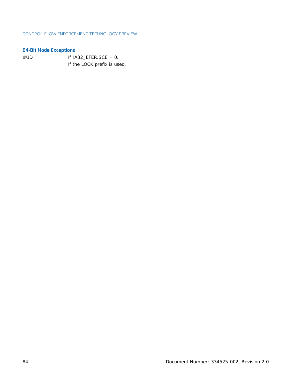# 64-Bit Mode Exceptions

 $\#$ UD If IA32\_EFER.SCE = 0. If the LOCK prefix is used.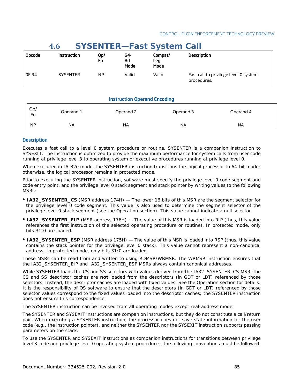|               | 4.O                |           |                    | SYSEIVIER—FASI SYSIEMI GAII |                                                      |
|---------------|--------------------|-----------|--------------------|-----------------------------|------------------------------------------------------|
| <b>Opcode</b> | <b>Instruction</b> | Oo/<br>En | 64-<br>Bit<br>Mode | Compat/<br>Leg<br>Mode      | <b>Description</b>                                   |
| OF 34         | <b>SYSENTER</b>    | <b>NP</b> | Valid              | Valid                       | Fast call to privilege level 0 system<br>procedures. |

# **4.6 SYSENTER—Fast System Call**

#### Instruction Operand Encoding

| Op/<br>En | Operand 1 | Operand 2 | Operand 3 | Operand 4 |  |
|-----------|-----------|-----------|-----------|-----------|--|
| <b>NP</b> | NA        | NA        | <b>NA</b> | ΝA        |  |

#### **Description**

Executes a fast call to a level 0 system procedure or routine. SYSENTER is a companion instruction to SYSEXIT. The instruction is optimized to provide the maximum performance for system calls from user code running at privilege level 3 to operating system or executive procedures running at privilege level 0.

When executed in IA-32e mode, the SYSENTER instruction transitions the logical processor to 64-bit mode; otherwise, the logical processor remains in protected mode.

Prior to executing the SYSENTER instruction, software must specify the privilege level 0 code segment and code entry point, and the privilege level 0 stack segment and stack pointer by writing values to the following MSRs:

- **IA32\_SYSENTER\_CS** (MSR address 174H) The lower 16 bits of this MSR are the segment selector for the privilege level 0 code segment. This value is also used to determine the segment selector of the privilege level 0 stack segment (see the Operation section). This value cannot indicate a null selector.
- **IA32\_SYSENTER\_EIP** (MSR address 176H) The value of this MSR is loaded into RIP (thus, this value references the first instruction of the selected operating procedure or routine). In protected mode, only bits 31:0 are loaded.
- **IA32\_SYSENTER\_ESP** (MSR address 175H) The value of this MSR is loaded into RSP (thus, this value contains the stack pointer for the privilege level 0 stack). This value cannot represent a non-canonical address. In protected mode, only bits 31:0 are loaded.

These MSRs can be read from and written to using RDMSR/WRMSR. The WRMSR instruction ensures that the IA32\_SYSENTER\_EIP and IA32\_SYSENTER\_ESP MSRs always contain canonical addresses.

While SYSENTER loads the CS and SS selectors with values derived from the IA32\_SYSENTER\_CS MSR, the CS and SS descriptor caches are **not** loaded from the descriptors (in GDT or LDT) referenced by those selectors. Instead, the descriptor caches are loaded with fixed values. See the Operation section for details. It is the responsibility of OS software to ensure that the descriptors (in GDT or LDT) referenced by those selector values correspond to the fixed values loaded into the descriptor caches; the SYSENTER instruction does not ensure this correspondence.

The SYSENTER instruction can be invoked from all operating modes except real-address mode.

The SYSENTER and SYSEXIT instructions are companion instructions, but they do not constitute a call/return pair. When executing a SYSENTER instruction, the processor does not save state information for the user code (e.g., the instruction pointer), and neither the SYSENTER nor the SYSEXIT instruction supports passing parameters on the stack.

To use the SYSENTER and SYSEXIT instructions as companion instructions for transitions between privilege level 3 code and privilege level 0 operating system procedures, the following conventions must be followed.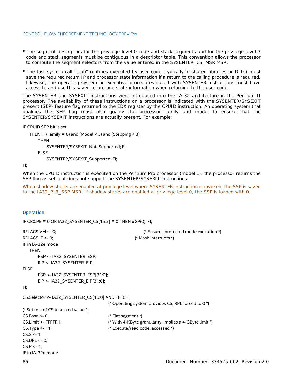- The segment descriptors for the privilege level 0 code and stack segments and for the privilege level 3 code and stack segments must be contiguous in a descriptor table. This convention allows the processor to compute the segment selectors from the value entered in the SYSENTER\_CS\_MSR MSR.
- The fast system call "stub" routines executed by user code (typically in shared libraries or DLLs) must save the required return IP and processor state information if a return to the calling procedure is required. Likewise, the operating system or executive procedures called with SYSENTER instructions must have access to and use this saved return and state information when returning to the user code.

The SYSENTER and SYSEXIT instructions were introduced into the IA-32 architecture in the Pentium II processor. The availability of these instructions on a processor is indicated with the SYSENTER/SYSEXIT present (SEP) feature flag returned to the EDX register by the CPUID instruction. An operating system that qualifies the SEP flag must also qualify the processor family and model to ensure that the SYSENTER/SYSEXIT instructions are actually present. For example:

```
IF CPUID SEP bit is set
```

```
THEN IF (Family = 6) and (Model < 3) and (Stepping < 3)
    THEN
        SYSENTER/SYSEXIT_Not_Supported; FI;
     ELSE 
         SYSENTER/SYSEXIT_Supported; FI;
```
FI;

When the CPUID instruction is executed on the Pentium Pro processor (model 1), the processor returns the SEP flag as set, but does not support the SYSENTER/SYSEXIT instructions.

When shadow stacks are enabled at privilege level where SYSENTER instruction is invoked, the SSP is saved to the IA32\_PL3\_SSP MSR. If shadow stacks are enabled at privilege level 0, the SSP is loaded with 0.

#### **Operation**

IF CR0.PE = 0 OR IA32\_SYSENTER\_CS[15:2] = 0 THEN #GP(0); FI;

```
RFLAGS.VM <- 0; (*) and (*) and (*) are (* Ensures protected mode execution *)RFLAGS.IF <- 0; (* Mask interrupts *) 
IF in IA-32e mode 
   THEN 
       RSP <- IA32_SYSENTER_ESP; 
       RIP <- IA32_SYSENTER_EIP; 
ELSE 
       ESP <- IA32_SYSENTER_ESP[31:0]; 
       EIP <- IA32_SYSENTER_EIP[31:0]; 
FI; 
CS.Selector <- IA32_SYSENTER_CS[15:0] AND FFFCH; 
                                    (* Operating system provides CS; RPL forced to 0 *) 
(* Set rest of CS to a fixed value *) 
CS.Base <- 0; (* Flat segment *) 
CS.Limit <- FFFFFH; (* With 4-KByte granularity, implies a 4-GByte limit *) 
CS.Type <- 11; (* Execute/read code, accessed *) 
CS.S < -1;
CSDPL \leq -0;
CS.P < -1;
IF in IA-32e mode
```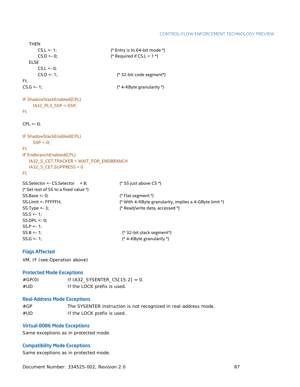```
 THEN 
     CS.L \leq -1; (* Entry is to 64-bit mode *)
     CS.D \le 0; (* Required if CS.L = 1 *) ELSE 
     CS.L < -0; CS.D <- 1; (* 32-bit code segment*) 
FI; 
CS.G <- 1; (* 4-KByte granularity*)IF ShadowStackEnabled(CPL) 
    IA32_PL3_SSP <-SSP; 
FI; 
CPL \le -0;IF ShadowStackEnabled(CPL) 
   SSP < -0;
FI; 
IF EndbranchEnabled(CPL) 
   IA32_S_CET.TRACKER = WAIT_FOR_ENDBRANCH 
  IA32_S_CET.SUPPRESS = 0
FI; 
SS.Selector <- CS.Selector + 8; (* SS just above CS *)
(* Set rest of SS to a fixed value *) 
SS.Base <- 0; (* Flat segment *)
SS.Limit <- FFFFFH; (* With 4-KByte granularity, implies a 4-GByte limit *) 
SS.Type <- 3; (* Read/write data, accessed *)
SS.S < -1;
SS.DPL <- 0; 
SS.P < -1;
SS.B <- 1; (^* 32-bit stack segment*)
SS.G <- 1; (* 4-KByte granularity*)
```
#### Flags Affected

VM, IF (see Operation above)

#### Protected Mode Exceptions

| $\#GP(0)$ | If IA32 SYSENTER $CS[15:2] = 0$ . |
|-----------|-----------------------------------|
| #UD       | If the LOCK prefix is used.       |

#### Real-Address Mode Exceptions

| #GP | The SYSENTER instruction is not recognized in real-address mode. |
|-----|------------------------------------------------------------------|
| #UD | If the LOCK prefix is used.                                      |

#### Virtual-8086 Mode Exceptions

Same exceptions as in protected mode.

#### Compatibility Mode Exceptions

Same exceptions as in protected mode.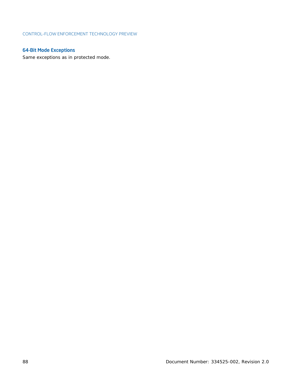# 64-Bit Mode Exceptions

Same exceptions as in protected mode.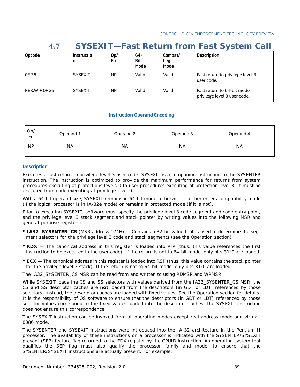| 4.'             |                        |           |                    |                        | SYSEXIT—Fast Return from Fast System Call                  |
|-----------------|------------------------|-----------|--------------------|------------------------|------------------------------------------------------------|
| Opcode          | <b>Instructio</b><br>n | Op/<br>En | 64-<br>Bit<br>Mode | Compat/<br>Leg<br>Mode | <b>Description</b>                                         |
| OF 35           | <b>SYSEXIT</b>         | <b>NP</b> | Valid              | Valid                  | Fast return to privilege level 3<br>user code.             |
| $REX.W + OF 35$ | <b>SYSEXIT</b>         | <b>NP</b> | Valid              | Valid                  | Fast return to 64-bit mode<br>privilege level 3 user code. |

# **4.7 SYSEXIT—Fast Return from Fast System Call**

#### Instruction Operand Encoding

| Op/<br>En | Operand 1 | Operand 2 | Operand 3 | Operand 4 |
|-----------|-----------|-----------|-----------|-----------|
| <b>NP</b> | ΝA        | ΝA        | ΝA        | <b>NA</b> |

#### **Description**

Executes a fast return to privilege level 3 user code. SYSEXIT is a companion instruction to the SYSENTER instruction. The instruction is optimized to provide the maximum performance for returns from system procedures executing at protections levels 0 to user procedures executing at protection level 3. It must be executed from code executing at privilege level 0.

With a 64-bit operand size, SYSEXIT remains in 64-bit mode; otherwise, it either enters compatibility mode (if the logical processor is in IA-32e mode) or remains in protected mode (if it is not).

Prior to executing SYSEXIT, software must specify the privilege level 3 code segment and code entry point, and the privilege level 3 stack segment and stack pointer by writing values into the following MSR and general-purpose registers:

- **IA32\_SYSENTER\_CS** (MSR address 174H) Contains a 32-bit value that is used to determine the segment selectors for the privilege level 3 code and stack segments (see the Operation section)
- **RDX** The canonical address in this register is loaded into RIP (thus, this value references the first instruction to be executed in the user code). If the return is not to 64-bit mode, only bits 31:0 are loaded.
- **ECX** The canonical address in this register is loaded into RSP (thus, this value contains the stack pointer for the privilege level 3 stack). If the return is not to 64-bit mode, only bits 31:0 are loaded.

The IA32\_SYSENTER\_CS MSR can be read from and written to using RDMSR and WRMSR.

While SYSEXIT loads the CS and SS selectors with values derived from the IA32\_SYSENTER\_CS MSR, the CS and SS descriptor caches are **not** loaded from the descriptors (in GDT or LDT) referenced by those selectors. Instead, the descriptor caches are loaded with fixed values. See the Operation section for details. It is the responsibility of OS software to ensure that the descriptors (in GDT or LDT) referenced by those selector values correspond to the fixed values loaded into the descriptor caches; the SYSEXIT instruction does not ensure this correspondence.

The SYSEXIT instruction can be invoked from all operating modes except real-address mode and virtual-8086 mode.

The SYSENTER and SYSEXIT instructions were introduced into the IA-32 architecture in the Pentium II processor. The availability of these instructions on a processor is indicated with the SYSENTER/SYSEXIT present (SEP) feature flag returned to the EDX register by the CPUID instruction. An operating system that qualifies the SEP flag must also qualify the processor family and model to ensure that the SYSENTER/SYSEXIT instructions are actually present. For example: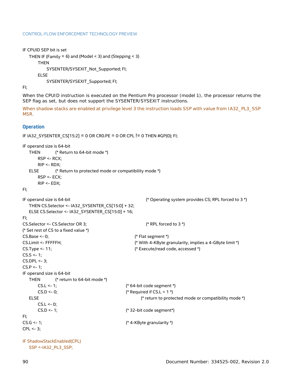```
IF CPUID SEP bit is set
```

```
 THEN IF (Family = 6) and (Model < 3) and (Stepping < 3)
```
 THEN SYSENTER/SYSEXIT\_Not\_Supported; FI;

ELSE

SYSENTER/SYSEXIT\_Supported; FI;

FI;

When the CPUID instruction is executed on the Pentium Pro processor (model 1), the processor returns the SEP flag as set, but does not support the SYSENTER/SYSEXIT instructions.

When shadow stacks are enabled at privilege level 3 the instruction loads SSP with value from IA32\_PL3\_SSP MSR.

#### **Operation**

```
IF IA32_SYSENTER_CS[15:2] = 0 OR CR0.PE = 0 OR CPL != 0 THEN #GP(0); FI;
```

```
IF operand size is 64-bit 
   THEN (* Return to 64-bit mode *) 
      RSP <- RCX; 
     RIP < RDX:
   ELSE (* Return to protected mode or compatibility mode *) 
      RSP <- ECX; 
      RIP <- EDX; 
FI; 
IF operand size is 64-bit (* Operating system provides CS; RPL forced to 3 *) 
   THEN CS.Selector <- IA32_SYSENTER_CS[15:0] + 32; 
   ELSE CS.Selector <- IA32_SYSENTER_CS[15:0] + 16; 
FI; 
CS.Selector <- CS.Selector OR 3; (* RPL forced to 3 *) 
(* Set rest of CS to a fixed value *) 
CS.Base <- 0; (* Flat segment *) 
CS.Limit <- FFFFFH; (* With 4-KByte granularity, implies a 4-GByte limit *) 
CS.Type <- 11; (* Execute/read code, accessed *) 
CS.S \le -1;
CS.DPL <- 3; 
CS.P < -1:
IF operand size is 64-bit 
   THEN (* return to 64-bit mode *) 
      CS.L <- 1; (* 64-bit code segment *) 
     CS.D \leq -0; (* Required if CS.L = 1 *)
   ELSE (* return to protected mode or compatibility mode *) 
     CS.L < -0; CS.D <- 1; (* 32-bit code segment*) 
FI; 
CS.G <- 1; (* 4-KByte granularity*)CPL \le -3;
IF ShadowStackEnabled(CPL) 
   SSP <-IA32_PL3_SSP;
```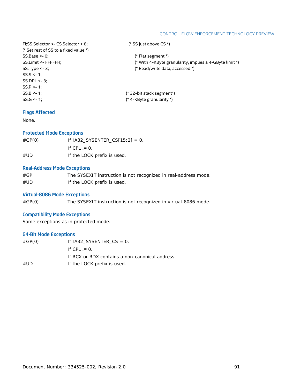FI;SS.Selector <- CS.Selector + 8; (\* SS just above CS \*) (\* Set rest of SS to a fixed value \*) SS.Base <- 0;  $(*$  Flat segment \*) SS.Limit <- FFFFFH; (\* With 4-KByte granularity, implies a 4-GByte limit \*) SS.Type <- 3;  $(*$  Read/write data, accessed \*)  $SS.S < -1;$ SS.DPL <- 3;  $SS.P < -1$ ; SS.B <- 1;  $(* 32-bit stack segment*)$ SS.G <- 1;  $(* 4-KByte granularity*)$ 

#### Flags Affected

None.

#### Protected Mode Exceptions

| $\#GP(0)$ | If $IA32$ _SYSENTER_CS[15:2] = 0. |
|-----------|-----------------------------------|
|           | If CPL $!=$ 0.                    |
| #UD       | If the LOCK prefix is used.       |

#### Real-Address Mode Exceptions

| #GP | The SYSEXIT instruction is not recognized in real-address mode. |
|-----|-----------------------------------------------------------------|
| #UD | If the LOCK prefix is used.                                     |

#### Virtual-8086 Mode Exceptions

#GP(0) The SYSEXIT instruction is not recognized in virtual-8086 mode.

#### Compatibility Mode Exceptions

Same exceptions as in protected mode.

#### 64-Bit Mode Exceptions

| $\#GP(0)$ | If $IA32$ SYSENTER $CS = 0$ .                   |
|-----------|-------------------------------------------------|
|           | If CPL $!= 0$ .                                 |
|           | If RCX or RDX contains a non-canonical address. |
| #UD       | If the LOCK prefix is used.                     |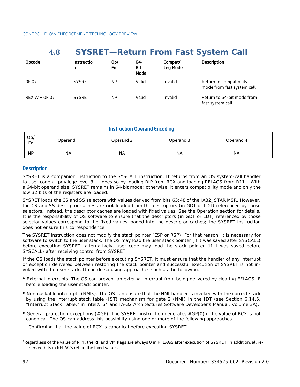| 4.8             |                        |           |                    |                            | <b>SYSRET-Return From Fast System Call</b>             |
|-----------------|------------------------|-----------|--------------------|----------------------------|--------------------------------------------------------|
| <b>Opcode</b>   | <b>Instructio</b><br>n | Op/<br>En | 64-<br>Bit<br>Mode | Compat/<br><b>Leg Mode</b> | <b>Description</b>                                     |
| <b>OF 07</b>    | <b>SYSRET</b>          | <b>NP</b> | Valid              | Invalid                    | Return to compatibility<br>mode from fast system call. |
| $REX.W + OF O7$ | <b>SYSRET</b>          | <b>NP</b> | Valid              | Invalid                    | Return to 64-bit mode from<br>fast system call.        |

|           |           | <b>Instruction Operand Encoding</b> |           |           |  |
|-----------|-----------|-------------------------------------|-----------|-----------|--|
| Op/<br>En | Operand 1 | Operand 2                           | Operand 3 | Operand 4 |  |
| <b>NP</b> | <b>NA</b> | <b>NA</b>                           | <b>NA</b> | <b>NA</b> |  |

#### **Description**

SYSRET is a companion instruction to the SYSCALL instruction. It returns from an OS system-call handler to user code at privilege level 3. It does so by loading RIP from RCX and loading RFLAGS from R11.<sup>1</sup> With a 64-bit operand size, SYSRET remains in 64-bit mode; otherwise, it enters compatibility mode and only the low 32 bits of the registers are loaded.

SYSRET loads the CS and SS selectors with values derived from bits 63:48 of the IA32\_STAR MSR. However, the CS and SS descriptor caches are **not** loaded from the descriptors (in GDT or LDT) referenced by those selectors. Instead, the descriptor caches are loaded with fixed values. See the Operation section for details. It is the responsibility of OS software to ensure that the descriptors (in GDT or LDT) referenced by those selector values correspond to the fixed values loaded into the descriptor caches; the SYSRET instruction does not ensure this correspondence.

The SYSRET instruction does not modify the stack pointer (ESP or RSP). For that reason, it is necessary for software to switch to the user stack. The OS may load the user stack pointer (if it was saved after SYSCALL) before executing SYSRET; alternatively, user code may load the stack pointer (if it was saved before SYSCALL) after receiving control from SYSRET.

If the OS loads the stack pointer before executing SYSRET, it must ensure that the handler of any interrupt or exception delivered between restoring the stack pointer and successful execution of SYSRET is not invoked with the user stack. It can do so using approaches such as the following.

- External interrupts. The OS can prevent an external interrupt from being delivered by clearing EFLAGS.IF before loading the user stack pointer.
- Nonmaskable interrupts (NMIs). The OS can ensure that the NMI handler is invoked with the correct stack by using the interrupt stack table (IST) mechanism for gate 2 (NMI) in the IDT (see Section 6.14.5, "Interrupt Stack Table," in *Intel® 64 and IA-32 Architectures Software Developer's Manual, Volume 3A*).
- General-protection exceptions (#GP). The SYSRET instruction generates #GP(0) if the value of RCX is not canonical. The OS can address this possibility using one or more of the following approaches.
- Confirming that the value of RCX is canonical before executing SYSRET.

**.** 

<sup>1</sup>Regardless of the value of R11, the RF and VM flags are always 0 in RFLAGS after execution of SYSRET. In addition, all reserved bits in RFLAGS retain the fixed values.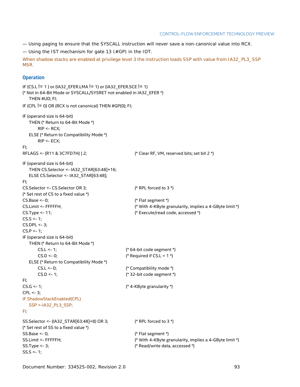- Using paging to ensure that the SYSCALL instruction will never save a non-canonical value into RCX.
- Using the IST mechanism for gate 13 (#GP) in the IDT.

When shadow stacks are enabled at privilege level 3 the instruction loads SSP with value from IA32\_PL3\_SSP MSR.

#### **Operation**

```
IF (CS.L != 1 ) or (IA32_EFER.LMA != 1) or (IA32_EFER.SCE != 1) 
(* Not in 64-Bit Mode or SYSCALL/SYSRET not enabled in IA32_EFER *) 
   THEN #UD; FI; 
IF (CPL != 0) OR (RCX is not canonical) THEN #GP(0); FI; 
IF (operand size is 64-bit) 
   THEN (* Return to 64-Bit Mode *) 
       RIP <- RCX; 
   ELSE (* Return to Compatibility Mode *) 
      RIP < ECK:
FI; 
RFLAGS <- (R11 & 3C7FD7H) | 2; (* Clear RF, VM, reserved bits; set bit 2 *) 
IF (operand size is 64-bit) 
   THEN CS.Selector <- IA32_STAR[63:48]+16; 
   ELSE CS.Selector <- IA32_STAR[63:48]; 
FI; 
CS.Selector <- CS.Selector OR 3; (* RPL forced to 3 *) 
(* Set rest of CS to a fixed value *) 
CS.Base <- 0; (* Flat segment *) 
CS.Limit <- FFFFFH; (* With 4-KByte granularity, implies a 4-GByte limit *) 
CS.Type <- 11; (* Execute/read code, accessed *) 
CS.S < -1;
CS.DPL <- 3; 
CS.P < -1;
IF (operand size is 64-bit) 
   THEN (* Return to 64-Bit Mode *) 
      CS.L <- 1; (* 64-bit code segment *) 
     CS.D \le 0; (* Required if CS.L = 1 *) ELSE (* Return to Compatibility Mode *) 
       CS.L <- 0; (* Compatibility mode *) 
      CS.D <- 1; (* 32-bit code segment *) 
FI; 
CS.G <- 1; (* 4-KByte granularity*)CPL <- 3; 
IF ShadowStackEnabled(CPL) 
   SSP <-IA32_PL3_SSP; 
FI; 
SS.Selector <- (IA32_STAR[63:48]+8) OR 3; (* RPL forced to 3 *) 
(* Set rest of SS to a fixed value *) 
SS.Base <- 0; (*) Flat segment *)
SS.Limit <- FFFFFH; (* With 4-KByte granularity, implies a 4-GByte limit *) 
SS.Type <- 3; (* Read/write data, accessed *) 
SS.S < -1;
```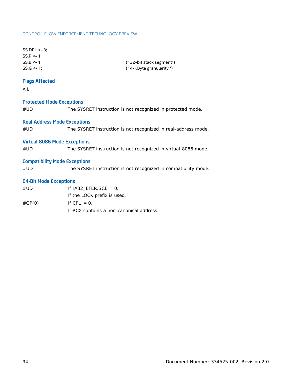| $SS.DPL \le -3$<br>$SS.P < -1$ ;     |                                                                 |  |
|--------------------------------------|-----------------------------------------------------------------|--|
| $SS.B < -1$ ;                        | (* 32-bit stack segment*)                                       |  |
| $SS.G \le -1$                        | (* 4-KByte granularity *)                                       |  |
|                                      |                                                                 |  |
| <b>Flags Affected</b>                |                                                                 |  |
| AII.                                 |                                                                 |  |
| <b>Protected Mode Exceptions</b>     |                                                                 |  |
| #UD                                  | The SYSRET instruction is not recognized in protected mode.     |  |
|                                      |                                                                 |  |
| <b>Real-Address Mode Exceptions</b>  |                                                                 |  |
| #UD                                  | The SYSRET instruction is not recognized in real-address mode.  |  |
| <b>Virtual-8086 Mode Exceptions</b>  |                                                                 |  |
| #UD                                  | The SYSRET instruction is not recognized in virtual-8086 mode.  |  |
|                                      |                                                                 |  |
| <b>Compatibility Mode Exceptions</b> |                                                                 |  |
| #UD                                  | The SYSRET instruction is not recognized in compatibility mode. |  |
| <b>64-Bit Mode Exceptions</b>        |                                                                 |  |
| #UD                                  | If $IA32$ EFER.SCE = 0.                                         |  |
|                                      |                                                                 |  |
|                                      | If the LOCK prefix is used.                                     |  |
| $\#GP(0)$                            | If CPL $!=$ 0.                                                  |  |

If RCX contains a non-canonical address.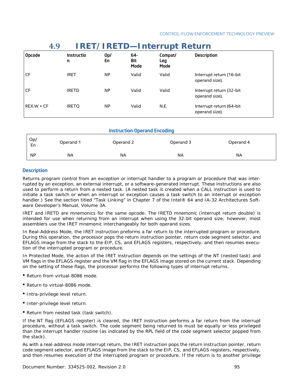| <b>Opcode</b> | <b>Instructio</b><br>n | Op/<br>En | 64-<br>Bit<br>Mode | Compat/<br>Leg<br>Mode | <b>Description</b>                          |
|---------------|------------------------|-----------|--------------------|------------------------|---------------------------------------------|
| CF            | <b>IRET</b>            | <b>NP</b> | Valid              | Valid                  | Interrupt return (16-bit<br>operand size).  |
| CF            | <b>IRETD</b>           | <b>NP</b> | Valid              | Valid                  | Interrupt return (32-bit)<br>operand size). |
| $REX.W + CF$  | <b>IRETQ</b>           | <b>NP</b> | Valid              | N.E.                   | Interrupt return (64-bit<br>operand size).  |

# **4.9 IRET/IRETD—Interrupt Return**

|           |           | <b>Instruction Operand Encoding</b> |           |           |  |
|-----------|-----------|-------------------------------------|-----------|-----------|--|
| Op/<br>En | Operand 1 | Operand 2                           | Operand 3 | Operand 4 |  |
| <b>NP</b> | <b>NA</b> | <b>NA</b>                           | NA        | <b>NA</b> |  |

### **Description**

Returns program control from an exception or interrupt handler to a program or procedure that was interrupted by an exception, an external interrupt, or a software-generated interrupt. These instructions are also used to perform a return from a nested task. (A nested task is created when a CALL instruction is used to initiate a task switch or when an interrupt or exception causes a task switch to an interrupt or exception handler.) See the section titled "Task Linking" in Chapter 7 of the *Intel® 64 and IA-32 Architectures Software Developer's Manual, Volume 3A*.

IRET and IRETD are mnemonics for the same opcode. The IRETD mnemonic (interrupt return double) is intended for use when returning from an interrupt when using the 32-bit operand size; however, most assemblers use the IRET mnemonic interchangeably for both operand sizes.

In Real-Address Mode, the IRET instruction preforms a far return to the interrupted program or procedure. During this operation, the processor pops the return instruction pointer, return code segment selector, and EFLAGS image from the stack to the EIP, CS, and EFLAGS registers, respectively, and then resumes execution of the interrupted program or procedure.

In Protected Mode, the action of the IRET instruction depends on the settings of the NT (nested task) and VM flags in the EFLAGS register and the VM flag in the EFLAGS image stored on the current stack. Depending on the setting of these flags, the processor performs the following types of interrupt returns.

- Return from virtual-8086 mode.
- Return to virtual-8086 mode.
- Intra-privilege level return.
- Inter-privilege level return.
- Return from nested task (task switch).

If the NT flag (EFLAGS register) is cleared, the IRET instruction performs a far return from the interrupt procedure, without a task switch. The code segment being returned to must be equally or less privileged than the interrupt handler routine (as indicated by the RPL field of the code segment selector popped from the stack).

As with a real-address mode interrupt return, the IRET instruction pops the return instruction pointer, return code segment selector, and EFLAGS image from the stack to the EIP, CS, and EFLAGS registers, respectively, and then resumes execution of the interrupted program or procedure. If the return is to another privilege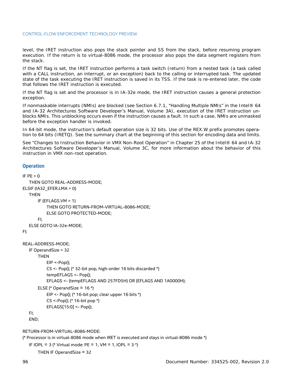level, the IRET instruction also pops the stack pointer and SS from the stack, before resuming program execution. If the return is to virtual-8086 mode, the processor also pops the data segment registers from the stack.

If the NT flag is set, the IRET instruction performs a task switch (return) from a nested task (a task called with a CALL instruction, an interrupt, or an exception) back to the calling or interrupted task. The updated state of the task executing the IRET instruction is saved in its TSS. If the task is re-entered later, the code that follows the IRET instruction is executed.

If the NT flag is set and the processor is in IA-32e mode, the IRET instruction causes a general protection exception.

If nonmaskable interrupts (NMIs) are blocked (see Section 6.7.1, "Handling Multiple NMIs" in the *Intel® 64 and IA-32 Architectures Software Developer's Manual, Volume 3A*), execution of the IRET instruction unblocks NMIs. This unblocking occurs even if the instruction causes a fault. In such a case, NMIs are unmasked before the exception handler is invoked.

In 64-bit mode, the instruction's default operation size is 32 bits. Use of the REX.W prefix promotes operation to 64 bits (IRETQ). See the summary chart at the beginning of this section for encoding data and limits.

See "Changes to Instruction Behavior in VMX Non-Root Operation" in Chapter 25 of the *Intel® 64 and IA-32 Architectures Software Developer's Manual, Volume 3C*, for more information about the behavior of this instruction in VMX non-root operation.

#### **Operation**

```
IF PF = 0 THEN GOTO REAL-ADDRESS-MODE; 
ELSIF (IA32_EFER.LMA = 0) 
   THEN
        IF (EFLAGS.VM = 1) 
            THEN GOTO RETURN-FROM-VIRTUAL-8086-MODE; 
            ELSE GOTO PROTECTED-MODE; 
        FI; 
    ELSE GOTO IA-32e-MODE; 
FI; 
REAL-ADDRESS-MODE; 
    IF OperandSize = 32 
        THEN 
           EIP < -Pop();
            CS <- Pop(); (* 32-bit pop, high-order 16 bits discarded *) 
            tempEFLAGS <- Pop(); 
            EFLAGS <- (tempEFLAGS AND 257FD5H) OR (EFLAGS AND 1A0000H); 
        ELSE (* OperandSize = 16 *) 
            EIP <- Pop(); (* 16-bit pop; clear upper 16 bits *) 
            CS <-Pop(); (* 16-bit pop *) 
            EFLAGS[15:0] <- Pop(); 
    FI; 
    END; 
RETURN-FROM-VIRTUAL-8086-MODE:
```
(\* Processor is in virtual-8086 mode when IRET is executed and stays in virtual-8086 mode \*)

```
IF IOPL = 3 (* Virtual mode: PE = 1, VM = 1, IOPL = 3 *)
```

```
 THEN IF OperandSize = 32
```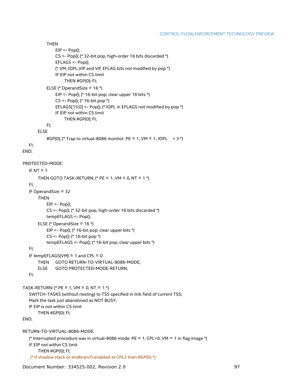```
 THEN 
                EIP < Pop();
                 CS <- Pop(); (* 32-bit pop, high-order 16 bits discarded *) 
                 EFLAGS <- Pop(); 
                 (* VM, IOPL,VIP and VIF EFLAG bits not modified by pop *) 
                 IF EIP not within CS limit 
                      THEN #GP(0); FI; 
             ELSE (* OperandSize = 16 *) 
                 EIP <- Pop(); (* 16-bit pop; clear upper 16 bits *) 
                 CS <- Pop(); (* 16-bit pop *) 
                 EFLAGS[15:0] <- Pop(); (* IOPL in EFLAGS not modified by pop *) 
                 IF EIP not within CS limit 
                      THEN #GP(0); FI; 
             FI; 
        ELSE 
            #GP(0); (* Trap to virtual-8086 monitor: PE = 1, VM = 1, IOPL \leq 3 *)
    FI; 
END; 
PROTECTED-MODE: 
   IF NT = 1THEN GOTO TASK-RETURN; (* PE = 1, VM = 0, NT = 1 *)
    FI; 
    IF OperandSize = 32 
        THEN 
            EIP < Pop();
             CS <- Pop(); (* 32-bit pop, high-order 16 bits discarded *) 
             tempEFLAGS <- Pop(); 
        ELSE (* OperandSize = 16 *) 
             EIP <- Pop(); (* 16-bit pop; clear upper bits *) 
             CS <- Pop(); (* 16-bit pop *) 
             tempEFLAGS <- Pop(); (* 16-bit pop; clear upper bits *) 
    FI; 
   IF tempEFLAGS(VM) = 1 and CPL = 0 THEN GOTO RETURN-TO-VIRTUAL-8086-MODE; 
        ELSE GOTO PROTECTED-MODE-RETURN; 
    FI; 
TASK-RETURN: (* PE = 1, VM = 0, NT = 1 *)
    SWITCH-TASKS (without nesting) to TSS specified in link field of current TSS; 
    Mark the task just abandoned as NOT BUSY; 
    IF EIP is not within CS limit 
        THEN #GP(0); FI; 
END; 
RETURN-TO-VIRTUAL-8086-MODE: 
    (* Interrupted procedure was in virtual-8086 mode: PE = 1, CPL=0, VM = 1 in flag image *) 
    IF EIP not within CS limit 
         THEN #GP(0); FI; 
    (* If shadow stack or endbranch enabled at CPL3 then #GP(0) *)
```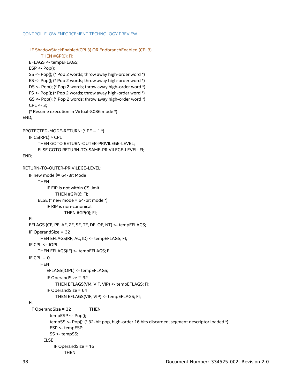```
 IF ShadowStackEnabled(CPL3) OR EndbranchEnabled (CPL3) 
          THEN #GP(0); FI; 
    EFLAGS <- tempEFLAGS; 
   ESP < Pop();
    SS <- Pop(); (* Pop 2 words; throw away high-order word *) 
    ES <- Pop(); (* Pop 2 words; throw away high-order word *) 
    DS <- Pop(); (* Pop 2 words; throw away high-order word *) 
    FS <- Pop(); (* Pop 2 words; throw away high-order word *) 
    GS <- Pop(); (* Pop 2 words; throw away high-order word *) 
    CPL <- 3; 
    (* Resume execution in Virtual-8086 mode *) 
END; 
PROTECTED-MODE-RETURN: (* PE = 1 *) 
    IF CS(RPL) > CPL 
        THEN GOTO RETURN-OUTER-PRIVILEGE-LEVEL; 
        ELSE GOTO RETURN-TO-SAME-PRIVILEGE-LEVEL; FI; 
END; 
RETURN-TO-OUTER-PRIVILEGE-LEVEL: 
    IF new mode != 64-Bit Mode 
        THEN 
            IF EIP is not within CS limit 
                 THEN #GP(0); FI; 
       ELSE (* new mode = 64-bit mode *)
            IF RIP is non-canonical 
                     THEN #GP(0); FI; 
    FI; 
    EFLAGS (CF, PF, AF, ZF, SF, TF, DF, OF, NT) <- tempEFLAGS; 
    IF OperandSize = 32 
        THEN EFLAGS(RF, AC, ID) <- tempEFLAGS; FI; 
    IF CPL <= IOPL 
        THEN EFLAGS(IF) <- tempEFLAGS; FI; 
   IF CPL = 0 THEN 
             EFLAGS(IOPL) <- tempEFLAGS; 
            IF OperandSize = 32 
                 THEN EFLAGS(VM, VIF, VIP) <- tempEFLAGS; FI; 
            IF OperandSize = 64 
                 THEN EFLAGS(VIF, VIP) <- tempEFLAGS; FI; 
    FI; 
    IF OperandSize = 32 THEN 
              tempESP <- Pop(); 
              tempSS <- Pop(); (* 32-bit pop, high-order 16 bits discarded; segment descriptor loaded *) 
              ESP <- tempESP; 
              SS <- tempSS; 
           ELSE 
                IF OperandSize = 16 
                    THEN
```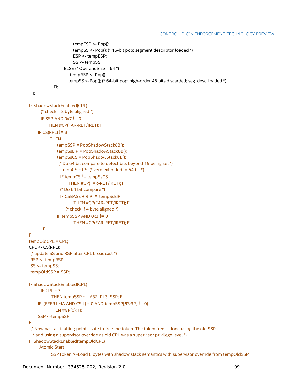```
 tempESP <- Pop(); 
           tempSS <- Pop(); (* 16-bit pop; segment descriptor loaded *) 
           ESP <- tempESP; 
           SS <- tempSS; 
      ELSE (* OperandSize = 64 *) 
          tempRSP <- Pop(); 
         tempSS <-Pop(); (* 64-bit pop; high-order 48 bits discarded; seg. desc. loaded *) 
 FI;
```
FI;

```
 IF ShadowStackEnabled(CPL) 
      (* check if 8 byte aligned *) 
     IF SSP AND 0x7 := 0 THEN #CP(FAR-RET/IRET); FI; 
    IF CS(RPL)!= 3
          THEN
               tempSSP = PopShadowStack8B(); 
               tempSsLIP = PopShadowStack8B(); 
               tempSsCS = PopShadowStack8B(); 
               (* Do 64 bit compare to detect bits beyond 15 being set *) 
                 tempCS = CS; (* zero extended to 64 bit *) 
                IF tempCS != tempSsCS 
                     THEN #CP(FAR-RET/IRET); FI; 
                (* Do 64 bit compare *) 
                IF CSBASE + RIP != tempSsEIP 
                       THEN #CP(FAR-RET/IRET); FI; 
                   (* check if 4 byte aligned *) 
               IF tempSSP AND 0x3 != 0 
                       THEN #CP(FAR-RET/IRET); FI; 
       FI; 
 FI; 
 tempOldCPL = CPL; 
 CPL <- CS(RPL); 
 (* update SS and RSP after CPL broadcast *) 
 RSP <- tempRSP; 
 SS <- tempSS; 
 tempOldSSP = SSP; 
 IF ShadowStackEnabled(CPL) 
      IF CPL = 3 
            THEN tempSSP <- IA32_PL3_SSP; FI; 
     IF ((EFER.LMA AND CS.L) = 0 AND tempSSP[63:32] != 0) 
           THEN #GP(0); FI; 
     SSP <-tempSSP 
 FI; 
 (* Now past all faulting points; safe to free the token. The token free is done using the old SSP 
   * and using a supervisor override as old CPL was a supervisor privilege level *) 
 IF ShadowStackEnabled(tempOldCPL) 
      Atomic Start 
            SSPToken <-Load 8 bytes with shadow stack semantics with supervisor override from tempOldSSP
```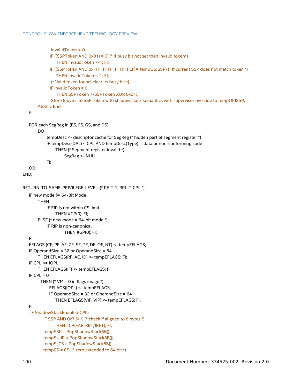```
 invalidToken <-0 
              IF ((SSPToken AND 0x01) = 0) (* If busy bit not set then invalid token*) 
                  THEN invalidToken <-1; FI; 
              IF ((SSPToken AND 0xFFFFFFFFFFFFFFFE) != tempOldSSP) (* If current SSP does not match token *) 
                  THEN invalidToken <-1; FI; 
               (* Valid token found; clear its busy bit *) 
              IF invalidToken = 0 
                  THEN SSPToken <-SSPToken XOR 0x01; 
               Store 8 bytes of SSPToken with shadow stack semantics with supervisor override to tempOldSSP; 
        Atomic End 
    FI; 
    FOR each SegReg in (ES, FS, GS, and DS) 
        DO 
             tempDesc <- descriptor cache for SegReg (* hidden part of segment register *) 
             IF tempDesc(DPL) < CPL AND tempDesc(Type) is data or non-conforming code 
                 THEN (* Segment register invalid *) 
                      SegReg <- NULL; 
             FI; 
    OD; 
END; 
RETURN-TO-SAME-PRIVILEGE-LEVEL: (* PE = 1, RPL = CPL *) 
    IF new mode != 64-Bit Mode 
       THFN
             IF EIP is not within CS limit 
                 THEN #GP(0); FI; 
        ELSE (* new mode = 64-bit mode *) 
             IF RIP is non-canonical 
                      THEN #GP(0); FI; 
    FI; 
    EFLAGS (CF, PF, AF, ZF, SF, TF, DF, OF, NT) <- tempEFLAGS; 
    IF OperandSize = 32 or OperandSize = 64 
        THEN EFLAGS(RF, AC, ID) <- tempEFLAGS; FI; 
    IF CPL <= IOPL 
        THEN EFLAGS(IF) <- tempEFLAGS; FI; 
   IF CPL = 0THEN (* VM = 0 in flags image *)
              EFLAGS(IOPL) <- tempEFLAGS; 
              IF OperandSize = 32 or OperandSize = 64 
                 THEN EFLAGS(VIF, VIP) <- tempEFLAGS; FI; 
    FI; 
    IF ShadowStackEnabled(CPL) 
           IF SSP AND 0x7 != 0 (* check if aligned to 8 bytes *) 
                THEN #CP(FAR-RET/IRET); FI; 
           tempSSP = PopShadowStack8B(); 
           tempSsLIP = PopShadowStack8B(); 
           tempSsCS = PopShadowStack8B(); 
           tempCS = CS; (* zero extended to 64 bit *)
```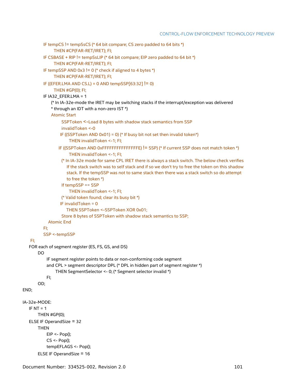```
 IF tempCS != tempSsCS (* 64 bit compare; CS zero padded to 64 bits *) 
                 THEN #CP(FAR-RET/IRET); FI; 
           IF CSBASE + RIP != tempSsLIP (* 64 bit compare; EIP zero padded to 64 bit *) 
                 THEN #CP(FAR-RET/IRET); FI; 
           IF tempSSP AND 0x3 != 0 (* check if aligned to 4 bytes *) 
                 THEN #CP(FAR-RET/IRET); FI; 
          IF ((EFER.LMA AND CS.L) = 0 AND tempSSP[63:32] != 0)
                 THEN #GP(0); FI; 
           IF IA32_EFER.LMA = 1 
                (* In IA-32e-mode the IRET may be switching stacks if the interrupt/exception was delivered 
                * through an IDT with a non-zero IST *) 
                Atomic Start 
                     SSPToken <-Load 8 bytes with shadow stack semantics from SSP 
                     invalidToken <-0 
                    IF ((SSPToken AND 0x01) = 0) (* If busy bit not set then invalid token*) 
                         THEN invalidToken <-1; FI; 
                   IF ((SSPToken AND 0xFFFFFFFFFFFFFFFE) != SSP) (* If current SSP does not match token *) 
                        THEN invalidToken <-1; FI; 
                     (* In IA-32e mode for same CPL IRET there is always a stack switch. The below check verifies 
                       If the stack switch was to self stack and if so we don't try to free the token on this shadow 
                       stack. If the tempSSP was not to same stack then there was a stack switch so do attempt 
                       to free the token *) 
                     If tempSSP == SSP 
                         THEN invalidToken <-1; FI; 
                     (* Valid token found; clear its busy bit *) 
                    IF invalidToken = 0 
                       THEN SSPToken <-SSPToken XOR 0x01; 
                     Store 8 bytes of SSPToken with shadow stack semantics to SSP; 
              Atomic End 
           FI; 
           SSP <-tempSSP 
    FI; 
    FOR each of segment register (ES, FS, GS, and DS) 
        DO 
             IF segment register points to data or non-conforming code segment 
             and CPL > segment descriptor DPL (* DPL in hidden part of segment register *) 
                 THEN SegmentSelector <- 0; (* Segment selector invalid *) 
             FI; 
        OD; 
IA-32e-MODE: 
   IF NT = 1 THEN #GP(0); 
    ELSE IF OperandSize = 32 
        THEN 
            EIP < POD():
            CS <- Pop();
             tempEFLAGS <- Pop(); 
        ELSE IF OperandSize = 16
```
END;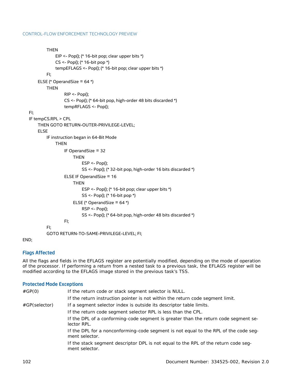```
THEN
              EIP <- Pop(); (* 16-bit pop; clear upper bits *) 
              CS <- Pop(); (* 16-bit pop *) 
              tempEFLAGS <- Pop(); (* 16-bit pop; clear upper bits *) 
          FI; 
    ELSE (* OperandSize = 64 *)
          THEN 
                  RIP < Pop();
                   CS <- Pop(); (* 64-bit pop, high-order 48 bits discarded *) 
                   tempRFLAGS <- Pop(); 
 FI; 
 IF tempCS.RPL > CPL 
     THEN GOTO RETURN-OUTER-PRIVILEGE-LEVEL; 
     ELSE 
          IF instruction began in 64-Bit Mode 
              THEN 
                   IF OperandSize = 32 
                       THEN
                            ESP < Pop();
                             SS <- Pop(); (* 32-bit pop, high-order 16 bits discarded *) 
                   ELSE IF OperandSize = 16 
                        THEN 
                             ESP <- Pop(); (* 16-bit pop; clear upper bits *) 
                            SS <- Pop(); (* 16-bit pop *) 
                        ELSE (* OperandSize = 64 *) 
                             RSP <- Pop(); 
                             SS <- Pop(); (* 64-bit pop, high-order 48 bits discarded *) 
                   FI; 
          FI; 
          GOTO RETURN-TO-SAME-PRIVILEGE-LEVEL; FI;
```
#### END;

#### Flags Affected

All the flags and fields in the EFLAGS register are potentially modified, depending on the mode of operation of the processor. If performing a return from a nested task to a previous task, the EFLAGS register will be modified according to the EFLAGS image stored in the previous task's TSS.

#### Protected Mode Exceptions

| $\#GP(0)$     | If the return code or stack segment selector is NULL.                                                  |
|---------------|--------------------------------------------------------------------------------------------------------|
|               | If the return instruction pointer is not within the return code segment limit.                         |
| #GP(selector) | If a segment selector index is outside its descriptor table limits.                                    |
|               | If the return code segment selector RPL is less than the CPL.                                          |
|               | If the DPL of a conforming-code segment is greater than the return code segment se-<br>lector RPL.     |
|               | If the DPL for a nonconforming-code segment is not equal to the RPL of the code seg-<br>ment selector. |
|               | If the stack segment descriptor DPL is not equal to the RPL of the return code seg-<br>ment selector.  |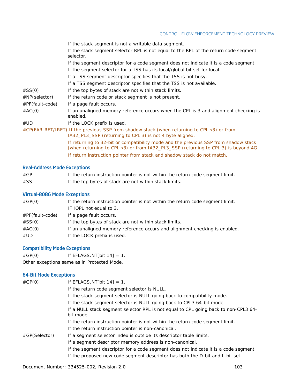|                 | If the stack segment is not a writable data segment.                                                                                                                      |
|-----------------|---------------------------------------------------------------------------------------------------------------------------------------------------------------------------|
|                 | If the stack segment selector RPL is not equal to the RPL of the return code segment<br>selector.                                                                         |
|                 | If the segment descriptor for a code segment does not indicate it is a code segment.                                                                                      |
|                 | If the segment selector for a TSS has its local/global bit set for local.                                                                                                 |
|                 | If a TSS segment descriptor specifies that the TSS is not busy.                                                                                                           |
|                 | If a TSS segment descriptor specifies that the TSS is not available.                                                                                                      |
| $\#SS(0)$       | If the top bytes of stack are not within stack limits.                                                                                                                    |
| #NP(selector)   | If the return code or stack segment is not present.                                                                                                                       |
| #PF(fault-code) | If a page fault occurs.                                                                                                                                                   |
| #AC(0)          | If an unaligned memory reference occurs when the CPL is 3 and alignment checking is<br>enabled.                                                                           |
| #UD             | If the LOCK prefix is used.                                                                                                                                               |
|                 | #CP(FAR-RET/IRET) If the previous SSP from shadow stack (when returning to CPL <3) or from<br>IA32_PL3_SSP (returning to CPL 3) is not 4 byte aligned.                    |
|                 | If returning to 32-bit or compatibility mode and the previous SSP from shadow stack<br>(when returning to CPL <3) or from IA32_PL3_SSP (returning to CPL 3) is beyond 4G. |
|                 | If return instruction pointer from stack and shadow stack do not match.                                                                                                   |
|                 |                                                                                                                                                                           |

# Real-Address Mode Exceptions

| #GP | If the return instruction pointer is not within the return code segment limit. |
|-----|--------------------------------------------------------------------------------|
| #SS | If the top bytes of stack are not within stack limits.                         |

# Virtual-8086 Mode Exceptions

| $\#GP(0)$           | If the return instruction pointer is not within the return code segment limit. |
|---------------------|--------------------------------------------------------------------------------|
|                     | IF IOPL not equal to 3.                                                        |
| $\#PF$ (fault-code) | If a page fault occurs.                                                        |
| $\#SS(0)$           | If the top bytes of stack are not within stack limits.                         |
| $\#AC(0)$           | If an unaligned memory reference occurs and alignment checking is enabled.     |
| #UD                 | If the LOCK prefix is used.                                                    |

# Compatibility Mode Exceptions

 $\#GP(0)$  If EFLAGS.NT[bit 14] = 1. Other exceptions same as in Protected Mode.

# 64-Bit Mode Exceptions

| $\#GP(0)$         | If EFLAGS.NT $[bit 14] = 1$ .                                                                    |
|-------------------|--------------------------------------------------------------------------------------------------|
|                   | If the return code segment selector is NULL.                                                     |
|                   | If the stack segment selector is NULL going back to compatibility mode.                          |
|                   | If the stack segment selector is NULL going back to CPL3 64-bit mode.                            |
|                   | If a NULL stack segment selector RPL is not equal to CPL going back to non-CPL3 64-<br>bit mode. |
|                   | If the return instruction pointer is not within the return code segment limit.                   |
|                   | If the return instruction pointer is non-canonical.                                              |
| $\#GP(Selectron)$ | If a segment selector index is outside its descriptor table limits.                              |
|                   | If a segment descriptor memory address is non-canonical.                                         |
|                   | If the segment descriptor for a code segment does not indicate it is a code segment.             |
|                   | If the proposed new code segment descriptor has both the D-bit and L-bit set.                    |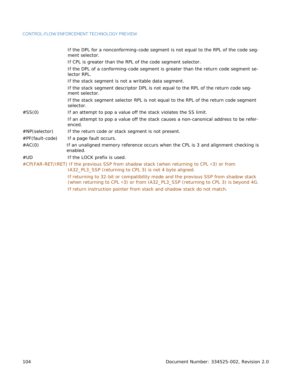|                   | If the DPL for a nonconforming-code segment is not equal to the RPL of the code seg-<br>ment selector.                                                                    |
|-------------------|---------------------------------------------------------------------------------------------------------------------------------------------------------------------------|
|                   | If CPL is greater than the RPL of the code segment selector.                                                                                                              |
|                   | If the DPL of a conforming-code segment is greater than the return code segment se-<br>lector RPL.                                                                        |
|                   | If the stack segment is not a writable data segment.                                                                                                                      |
|                   | If the stack segment descriptor DPL is not equal to the RPL of the return code seg-<br>ment selector.                                                                     |
|                   | If the stack segment selector RPL is not equal to the RPL of the return code segment<br>selector.                                                                         |
| $\#SS(0)$         | If an attempt to pop a value off the stack violates the SS limit.                                                                                                         |
|                   | If an attempt to pop a value off the stack causes a non-canonical address to be refer-<br>enced.                                                                          |
| #NP(selector)     | If the return code or stack segment is not present.                                                                                                                       |
| $#PF(fault-code)$ | If a page fault occurs.                                                                                                                                                   |
| #AC(0)            | If an unaligned memory reference occurs when the CPL is 3 and alignment checking is<br>enabled.                                                                           |
| #UD               | If the LOCK prefix is used.                                                                                                                                               |
|                   | #CP(FAR-RET/IRET) If the previous SSP from shadow stack (when returning to CPL <3) or from<br>IA32_PL3_SSP (returning to CPL 3) is not 4 byte aligned.                    |
|                   | If returning to 32-bit or compatibility mode and the previous SSP from shadow stack<br>(when returning to CPL <3) or from IA32_PL3_SSP (returning to CPL 3) is beyond 4G. |
|                   | If return instruction pointer from stack and shadow stack do not match.                                                                                                   |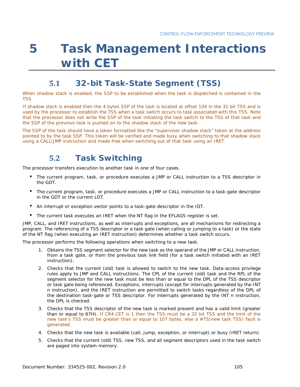# *5 Task Management Interactions with CET*

# **5.1 32-bit Task-State Segment (TSS)**

When shadow stack is enabled, the SSP to be established when the task is dispatched is contained in the TSS.

If shadow stack is enabled then the 4 bytes SSP of the task is located at offset 104 in the 32 bit TSS and is used by the processor to establish the TSS when a task switch occurs to task associated with this TSS. Note that the processor does not write the SSP of the task initiating the task switch to the TSS of that task and the SSP of the previous task is pushed on to the shadow stack of the new task.

The SSP of the task should have a token formatted like the "supervisor shadow stack" token at the address pointed to by the task SSP. This token will be verified and made busy when switching to that shadow stack using a CALL/JMP instruction and made free when switching out of that task using an IRET.

# **5.2 Task Switching**

The processor transfers execution to another task in one of four cases.

- The current program, task, or procedure executes a JMP or CALL instruction to a TSS descriptor in the GDT.
- The current program, task, or procedure executes a JMP or CALL instruction to a task-gate descriptor in the GDT or the current LDT.
- An interrupt or exception vector points to a task-gate descriptor in the IDT.
- The current task executes an IRET when the NT flag in the EFLAGS register is set.

JMP, CALL, and IRET instructions, as well as interrupts and exceptions, are all mechanisms for redirecting a program. The referencing of a TSS descriptor or a task gate (when calling or jumping to a task) or the state of the NT flag (when executing an IRET instruction) determines whether a task switch occurs.

The processor performs the following operations when switching to a new task.

- 1. Obtains the TSS segment selector for the new task as the operand of the JMP or CALL instruction, from a task gate, or from the previous task link field (for a task switch initiated with an IRET instruction).
- 2. Checks that the current (old) task is allowed to switch to the new task. Data-access privilege rules apply to JMP and CALL instructions. The CPL of the current (old) task and the RPL of the segment selector for the new task must be less than or equal to the DPL of the TSS descriptor or task gate being referenced. Exceptions, interrupts (except for interrupts generated by the INT n instruction), and the IRET instruction are permitted to switch tasks regardless of the DPL of the destination task-gate or TSS descriptor. For interrupts generated by the INT n instruction, the DPL is checked.
- 3. Checks that the TSS descriptor of the new task is marked present and has a valid limit (greater than or equal to 67H). If CR4.CET is 1 then the TSS must be a 32 bit TSS and the limit of the new task's TSS must be greater than or equal to 107 bytes, else a #TS(new task TSS) fault is generated.
- 4. Checks that the new task is available (call, jump, exception, or interrupt) or busy (IRET return).
- 5. Checks that the current (old) TSS, new TSS, and all segment descriptors used in the task switch are paged into system memory.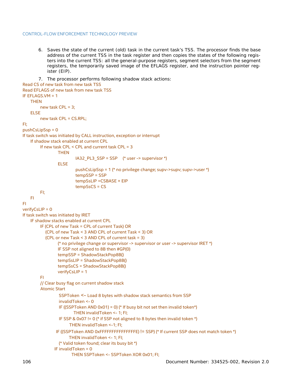- 6. Saves the state of the current (old) task in the current task's TSS. The processor finds the base address of the current TSS in the task register and then copies the states of the following registers into the current TSS: all the general-purpose registers, segment selectors from the segment registers, the temporarily saved image of the EFLAGS register, and the instruction pointer register (EIP).
- 7. The processor performs following shadow stack actions:

```
Read CS of new task from new task TSS 
Read EFLAGS of new task from new task TSS 
IF EFLAGS.VM = 1 
    THEN
          new task CPL = 3; 
     ELSE 
          new task CPL = CS.RPL; 
FI; 
pushCsLipSsp = 0 
If task switch was initiated by CALL instruction, exception or interrupt 
     If shadow stack enabled at current CPL 
          If new task CPL < CPL and current task CPL = 3 
                   THEN 
                            IA32_PL3_SSP = SSP (* user -> supervisor *) 
                   ELSE 
                            pushCsLipSsp = 1 (* no privilege change; supv->supv; supv->user *) 
                            tempSSP = SSP 
                            tempSsLIP =CSBASE + EIP 
                            tempSsCS = CS 
          FI; 
     FI 
FI 
verifyCsLIP = 0 
If task switch was initiated by IRET 
     IF shadow stacks enabled at current CPL 
          IF (CPL of new Task = CPL of current Task) OR 
            (CPL of new Task < 3 AND CPL of current Task < 3) OR 
            (CPL or new Task < 3 AND CPL of current task = 3) 
                   (* no privilege change or supervisor -> supervisor or user -> supervisor IRET *) 
                   IF SSP not aligned to 8B then #GP(0) 
                   tempSSP = ShadowStackPop8B() 
                   tempSsLIP = ShadowStackPop8B() 
                   tempSsCS = ShadowStackPop8B() 
                   verifyCsLIP = 1 
          FI 
          // Clear busy flag on current shadow stack 
          Atomic Start 
                    SSPToken <- Load 8 bytes with shadow stack semantics from SSP 
                    invalidToken <- 0 
                   IF ((SSPToken AND 0x01) = 0) (* If busy bit not set then invalid token*) 
                           THEN invalidToken <- 1; FI; 
                   IF SSP & 0x07 != 0 (* if SSP not aligned to 8 bytes then invalid token *) 
                         THEN invalidToken <-1; FI; 
                  IF ((SSPToken AND 0xFFFFFFFFFFFFFFFE) != SSP) (* If current SSP does not match token *) 
                         THEN invalidToken <- 1; FI; 
                    (* Valid token found; clear its busy bit *) 
                 IF invalidToken = 0 
                          THEN SSPToken <- SSPToken XOR 0x01; FI;
```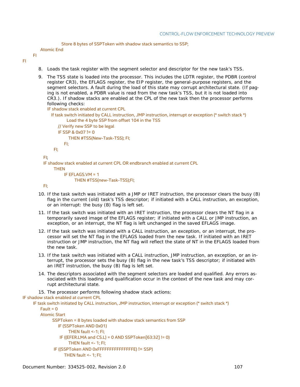```
 Store 8 bytes of SSPToken with shadow stack semantics to SSP;
```

```
 Atomic End
```

```
FI
```
FI

- 8. Loads the task register with the segment selector and descriptor for the new task's TSS.
- 9. The TSS state is loaded into the processor. This includes the LDTR register, the PDBR (control register CR3), the EFLAGS register, the EIP register, the general-purpose registers, and the segment selectors. A fault during the load of this state may corrupt architectural state. (If paging is not enabled, a PDBR value is read from the new task's TSS, but it is not loaded into CR3.). If shadow stacks are enabled at the CPL of the new task then the processor performs following checks:

```
IF shadow stack enabled at current CPL 
   If task switch initiated by CALL instruction, JMP instruction, interrupt or exception (* switch stack *)
```

```
 Load the 4 byte SSP from offset 104 in the TSS 
   // Verify new SSP to be legal 
   IF SSP & 0x07 != 0 
         THEN #TSS(New-Task-TSS); FI; 
      FI; 
 FI;
```
FI;

IF shadow stack enabled at current CPL OR endbranch enabled at current CPL

```
 THEN
```

```
 IF EFLAGS.VM = 1 
     THEN #TSS(new-Task-TSS);FI;
```

```
 FI;
```
- 10. If the task switch was initiated with a JMP or IRET instruction, the processor clears the busy (B) flag in the current (old) task's TSS descriptor; if initiated with a CALL instruction, an exception, or an interrupt: the busy (B) flag is left set.
- 11. If the task switch was initiated with an IRET instruction, the processor clears the NT flag in a temporarily saved image of the EFLAGS register; if initiated with a CALL or JMP instruction, an exception, or an interrupt, the NT flag is left unchanged in the saved EFLAGS image.
- 12. If the task switch was initiated with a CALL instruction, an exception, or an interrupt, the processor will set the NT flag in the EFLAGS loaded from the new task. If initiated with an IRET instruction or JMP instruction, the NT flag will reflect the state of NT in the EFLAGS loaded from the new task.
- 13. If the task switch was initiated with a CALL instruction, JMP instruction, an exception, or an interrupt, the processor sets the busy (B) flag in the new task's TSS descriptor; if initiated with an IRET instruction, the busy (B) flag is left set.
- 14. The descriptors associated with the segment selectors are loaded and qualified. Any errors associated with this loading and qualification occur in the context of the new task and may corrupt architectural state.

15. The processor performs following shadow stack actions:

IF shadow stack enabled at current CPL

```
 IF task switch initiated by CALL instruction, JMP instruction, interrupt or exception (* switch stack *) 
   Fault = 0
```

```
 Atomic Start 
      SSPToken = 8 bytes loaded with shadow stack semantics from SSP
         IF (SSPToken AND 0x01) 
               THEN fault <-1; FI;
          IF ((EFER.LMA and CS.L) = 0 AND SSPToken[63:32] != 0) 
               THEN fault <- 1; FI; 
       IF ((SSPToken AND 0xFFFFFFFFFFFFFFFE) != SSP) 
            THEN fault <- 1; FI;
```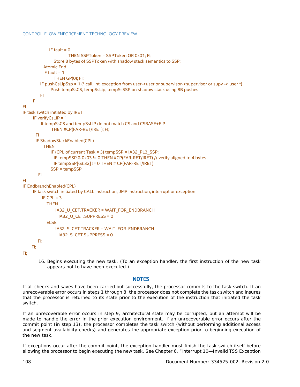```
 IF fault = 0 
                        THEN SSPToken = SSPToken OR 0x01; FI; 
                Store 8 bytes of SSPToken with shadow stack semantics to SSP; 
           Atomic End 
          IF fault = 1 THEN GP(0); FI; 
          IF pushCsLipSsp = 1 (* call, int, exception from user->user or supervisor->supervisor or supv -> user *) 
               Push tempSsCS, tempSsLip, tempSsSSP on shadow stack using 8B pushes 
         FI 
      FI 
FI 
IF task switch initiated by IRET 
      IF verifyCsLIP = 1 
          If tempSsCS and tempSsLIP do not match CS and CSBASE+EIP 
               THEN #CP(FAR-RET/IRET); FI; 
       FI 
       IF ShadowStackEnabled(CPL) 
           THEN 
               IF (CPL of current Task = 3) tempSSP = IA32_PL3_SSP; 
                IF tempSSP & 0x03 != 0 THEN #CP(FAR-RET/IRET) // verify aligned to 4 bytes 
                IF tempSSP[63:32] != 0 THEN # CP(FAR-RET/IRET) 
               SSP = tempSSP 
         FI 
FI 
IF EndbranchEnabled(CPL) 
      IF task switch initiated by CALL instruction, JMP instruction, interrupt or exception 
          IF CPL = 3 
            THEN
                IA32_U_CET.TRACKER = WAIT_FOR_ENDBRANCH
                   IA32_U_CET.SUPPRESS = 0 
             ELSE 
                 IA32_S_CET.TRACKER = WAIT_FOR_ENDBRANCH 
                   IA32_S_CET.SUPPRESS = 0 
         FI; 
     FI; 
FI;
```
16. Begins executing the new task. (To an exception handler, the first instruction of the new task appears not to have been executed.)

#### **NOTES**

If all checks and saves have been carried out successfully, the processor commits to the task switch. If an unrecoverable error occurs in steps 1 through 8, the processor does not complete the task switch and insures that the processor is returned to its state prior to the execution of the instruction that initiated the task switch.

If an unrecoverable error occurs in step 9, architectural state may be corrupted, but an attempt will be made to handle the error in the prior execution environment. If an unrecoverable error occurs after the commit point (in step 13), the processor completes the task switch (without performing additional access and segment availability checks) and generates the appropriate exception prior to beginning execution of the new task.

If exceptions occur after the commit point, the exception handler must finish the task switch itself before allowing the processor to begin executing the new task. See Chapter 6, "Interrupt 10—Invalid TSS Exception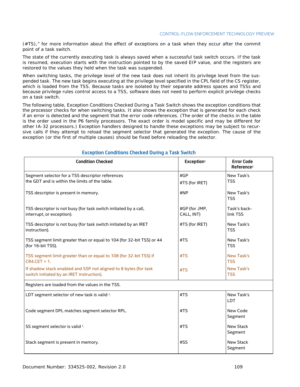(#TS)," for more information about the effect of exceptions on a task when they occur after the commit point of a task switch.

The state of the currently executing task is always saved when a successful task switch occurs. If the task is resumed, execution starts with the instruction pointed to by the saved EIP value, and the registers are restored to the values they held when the task was suspended.

When switching tasks, the privilege level of the new task does not inherit its privilege level from the suspended task. The new task begins executing at the privilege level specified in the CPL field of the CS register, which is loaded from the TSS. Because tasks are isolated by their separate address spaces and TSSs and because privilege rules control access to a TSS, software does not need to perform explicit privilege checks on a task switch.

The following table, Exception Conditions Checked During a Task Switch shows the exception conditions that the processor checks for when switching tasks. It also shows the exception that is generated for each check if an error is detected and the segment that the error code references. (The order of the checks in the table is the order used in the P6 family processors. The exact order is model specific and may be different for other IA-32 processors.) Exception handlers designed to handle these exceptions may be subject to recursive calls if they attempt to reload the segment selector that generated the exception. The cause of the exception (or the first of multiple causes) should be fixed before reloading the selector.

| <b>Condition Checked</b>                                                                                      | <b>Exception</b> <sup>1</sup> | <b>Error Code</b><br>Reference <sup>2</sup> |
|---------------------------------------------------------------------------------------------------------------|-------------------------------|---------------------------------------------|
| Segment selector for a TSS descriptor references<br>the GDT and is within the limits of the table.            | #GP<br>#TS (for IRET)         | New Task's<br><b>TSS</b>                    |
| TSS descriptor is present in memory.                                                                          | #NP                           | New Task's<br><b>TSS</b>                    |
| TSS descriptor is not busy (for task switch initiated by a call,<br>interrupt, or exception).                 | #GP (for JMP,<br>CALL, INT)   | Task's back-<br>link TSS                    |
| TSS descriptor is not busy (for task switch initiated by an IRET<br>instruction).                             | #TS (for IRET)                | New Task's<br><b>TSS</b>                    |
| TSS segment limit greater than or equal to 104 (for 32-bit TSS) or 44<br>(for 16-bit TSS).                    | #TS                           | New Task's<br><b>TSS</b>                    |
| TSS segment limit greater than or equal to 108 (for 32-bit TSS) if<br>$CR4.CET = 1.$                          | #TS                           | <b>New Task's</b><br><b>TSS</b>             |
| If shadow stack enabled and SSP not aligned to 8 bytes (for task<br>switch initiated by an IRET instruction). | #TS                           | <b>New Task's</b><br><b>TSS</b>             |
| Registers are loaded from the values in the TSS.                                                              |                               |                                             |
| LDT segment selector of new task is valid 3.                                                                  | #TS                           | New Task's<br><b>LDT</b>                    |
| Code segment DPL matches segment selector RPL.                                                                | #TS                           | New Code<br>Segment                         |
| SS segment selector is valid <sup>2</sup> .                                                                   | #TS                           | <b>New Stack</b><br>Segment                 |
| Stack segment is present in memory.                                                                           | #SS                           | <b>New Stack</b><br>Segment                 |

#### Exception Conditions Checked During a Task Switch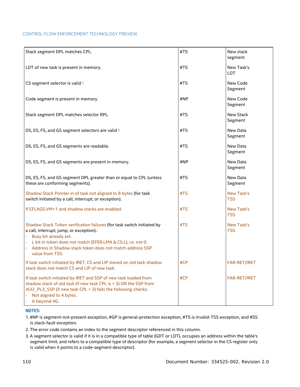| Stack segment DPL matches CPL.                                                                                                                                                                                                                                                             | #TS | New stack<br>segment            |
|--------------------------------------------------------------------------------------------------------------------------------------------------------------------------------------------------------------------------------------------------------------------------------------------|-----|---------------------------------|
| LDT of new task is present in memory.                                                                                                                                                                                                                                                      | #TS | New Task's<br><b>LDT</b>        |
| CS segment selector is valid 3.                                                                                                                                                                                                                                                            | #TS | New Code<br>Segment             |
| Code segment is present in memory.                                                                                                                                                                                                                                                         | #NP | New Code<br>Segment             |
| Stack segment DPL matches selector RPL.                                                                                                                                                                                                                                                    | #TS | <b>New Stack</b><br>Segment     |
| DS, ES, FS, and GS segment selectors are valid 3.                                                                                                                                                                                                                                          | #TS | New Data<br>Segment             |
| DS, ES, FS, and GS segments are readable.                                                                                                                                                                                                                                                  | #TS | New Data<br>Segment             |
| DS, ES, FS, and GS segments are present in memory.                                                                                                                                                                                                                                         | #NP | New Data<br>Segment             |
| DS, ES, FS, and GS segment DPL greater than or equal to CPL (unless<br>these are conforming segments).                                                                                                                                                                                     | #TS | New Data<br>Segment             |
| Shadow Stack Pointer in of task not aligned to 8 bytes (for task<br>switch initiated by a call, interrupt, or exception).                                                                                                                                                                  | #TS | New Task's<br><b>TSS</b>        |
| If EFLAGS. VM=1 and shadow stacks are enabled.                                                                                                                                                                                                                                             | #TS | New Task's<br><b>TSS</b>        |
| Shadow Stack Token verification failures (for task switch initiated by<br>a call, interrupt, jump, or exception).:<br>Busy bit already set.<br>L bit in token does not match (EFER.LMA & CS.L), i.e. not 0.<br>Address in Shadow stack token does not match address SSP<br>value from TSS. | #TS | <b>New Task's</b><br><b>TSS</b> |
| If task switch initiated by IRET, CS and LIP stored on old task shadow<br>stack does not match CS and LIP of new task.                                                                                                                                                                     | #CP | <b>FAR-RET/IRET</b>             |
| If task switch initiated by IRET and SSP of new task loaded from<br>shadow stack of old task (if new task CPL is < 3) OR the SSP from<br>IA32_PL3_SSP (if new task CPL = 3) fails the following checks:<br>Not aligned to 4 bytes.<br>Is beyond 4G.                                        | #CP | <b>FAR-RET/IRET</b>             |

#### NOTES:

- 1. #NP is segment-not-present exception, #GP is general-protection exception, #TS is invalid-TSS exception, and #SS is stack-fault exception.
- 2. The error code contains an index to the segment descriptor referenced in this column.
- 3. A segment selector is valid if it is in a compatible type of table (GDT or LDT), occupies an address within the table's segment limit, and refers to a compatible type of descriptor (for example, a segment selector in the CS register only is valid when it points to a code-segment descriptor).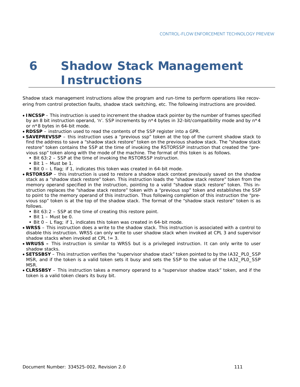# *6 Shadow Stack Management Instructions*

Shadow stack management instructions allow the program and run-time to perform operations like recovering from control protection faults, shadow stack switching, etc. The following instructions are provided.

- **INCSSP** This instruction is used to increment the shadow stack pointer by the number of frames specified by an 8 bit instruction operand, 'n'. SSP increments by  $n*4$  bytes in 32-bit/compatibility mode and by  $n*4$ or n\*8 bytes in 64-bit mode.
- **RDSSP** instruction used to read the contents of the SSP register into a GPR.
- **SAVEPREVSSP** this instruction uses a "previous ssp" token at the top of the current shadow stack to find the address to save a "shadow stack restore" token on the previous shadow stack. The "shadow stack restore" token contains the SSP at the time of invoking the RSTORSSP instruction that created the "previous ssp" token along with the mode of the machine. The format of this token is as follows.
	- Bit 63:2 SSP at the time of invoking the RSTORSSP instruction.
	- $\blacksquare$  Bit 1 Must be 1.
	- Bit  $0 L$  flag; if 1, indicates this token was created in 64-bit mode.
- **RSTORSSP** this instruction is used to restore a shadow stack context previously saved on the shadow stack as a "shadow stack restore" token. This instruction loads the "shadow stack restore" token from the memory operand specified in the instruction, pointing to a valid "shadow stack restore" token. This instruction replaces the "shadow stack restore" token with a "previous ssp" token and establishes the SSP to point to the memory operand of this instruction. Thus following completion of this instruction the "previous ssp" token is at the top of the shadow stack. The format of the "shadow stack restore" token is as follows.
	- Bit 63:2 SSP at the time of creating this restore point.
	- $\blacksquare$  Bit 1 Must be 0.
	- Bit  $0 L$  flag; if 1, indicates this token was created in 64-bit mode.
- **WRSS** This instruction does a write to the shadow stack. This instruction is associated with a control to disable this instruction. WRSS can only write to user shadow stack when invoked at CPL 3 and supervisor shadow stacks when invoked at CPL  $!=$  3.
- **WRUSS –** This instruction is similar to WRSS but is a privileged instruction. It can only write to user shadow stacks.
- **SETSSBSY** This instruction verifies the "supervisor shadow stack" token pointed to by the IA32\_PL0\_SSP MSR, and if the token is a valid token sets it busy and sets the SSP to the value of the IA32\_PL0\_SSP MSR.
- **CLRSSBSY** This instruction takes a memory operand to a "supervisor shadow stack" token, and if the token is a valid token clears its busy bit.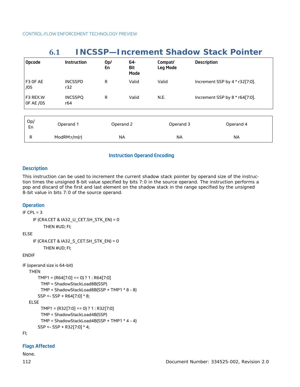### **6.1 INCSSP—Increment Shadow Stack Pointer**

| <b>Opcode</b>         | <b>Instruction</b>    | Op/<br>En | 64-<br>Bit<br>Mode | Compat/<br><b>Leg Mode</b> | <b>Description</b>             |
|-----------------------|-----------------------|-----------|--------------------|----------------------------|--------------------------------|
| F3 OF AE<br>/05       | <b>INCSSPD</b><br>r32 | R         | Valid              | Valid                      | Increment SSP by 4 * r32[7:0]. |
| F3 REX.W<br>OF AE /05 | <b>INCSSPQ</b><br>r64 | R         | Valid              | N.E.                       | Increment SSP by 8 * r64[7:0]. |
|                       |                       |           |                    |                            |                                |
| Op/<br>En             | Operand 1             |           | Operand 2          | Operand 3                  | Operand 4                      |
| $\mathsf{R}$          | ModRM:r/m(r)          |           | NA                 | <b>NA</b>                  | <b>NA</b>                      |

#### Instruction Operand Encoding

#### **Description**

This instruction can be used to increment the current shadow stack pointer by operand size of the instruction times the unsigned 8-bit value specified by bits 7:0 in the source operand. The instruction performs a pop and discard of the first and last element on the shadow stack in the range specified by the unsigned 8-bit value in bits 7:0 of the source operand.

#### **Operation**

```
IF CPL = 3 
     IF (CR4.CET & IA32_U_CET.SH_STK_EN) = 0
           THEN #UD; FI; 
ELSE 
      IF (CR4.CET & IA32_S_CET.SH_STK_EN) = 0 
           THEN #UD; FI; 
ENDIF 
IF (operand size is 64-bit) 
    THEN 
        TMP1 = (R64[7:0] == 0) ? 1 : R64[7:0] 
          TMP = ShadowStackLoad8B(SSP) 
          TMP = ShadowStackLoad8B(SSP + TMP1 * 8 - 8) 
        SSP <- SSP + R64[7:0] * 8; 
    ELSE 
          TMP1 = (R32[7:0] == 0) ? 1 : R32[7:0] 
          TMP = ShadowStackLoad4B(SSP) 
          TMP = ShadowStackLoad4B(SSP + TMP1 * 4 - 4) 
        SSP <- SSP + R32[7:0] * 4;
```
FI;

#### Flags Affected

None.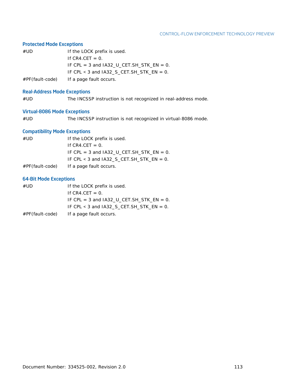#### Protected Mode Exceptions

| #UD             | If the LOCK prefix is used.                  |
|-----------------|----------------------------------------------|
|                 | If $CRA.CET = 0$ .                           |
|                 | IF CPL = 3 and IA32 U CET. SH STK $EN = 0$ . |
|                 | IF CPL < 3 and IA32 S CET. SH STK $EN = 0$ . |
| #PF(fault-code) | If a page fault occurs.                      |

#### Real-Address Mode Exceptions

#UD The INCSSP instruction is not recognized in real-address mode.

#### Virtual-8086 Mode Exceptions

#UD The INCSSP instruction is not recognized in virtual-8086 mode.

#### Compatibility Mode Exceptions

| #UD             | If the LOCK prefix is used.                  |
|-----------------|----------------------------------------------|
|                 | If $CRA.CET = 0$ .                           |
|                 | IF CPL = 3 and IA32 U CET. SH STK $EN = 0$ . |
|                 | IF CPL < 3 and IA32 S CET. SH STK $EN = 0$ . |
| #PF(fault-code) | If a page fault occurs.                      |

#### 64-Bit Mode Exceptions

| #UD             | If the LOCK prefix is used.                  |
|-----------------|----------------------------------------------|
|                 | If $CRA.CET = 0$ .                           |
|                 | IF CPL = 3 and IA32 U CET. SH STK $EN = 0$ . |
|                 | IF CPL < 3 and IA32 S CET. SH STK $EN = 0$ . |
| #PF(fault-code) | If a page fault occurs.                      |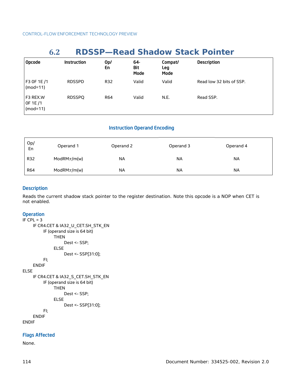# **6.2 RDSSP—Read Shadow Stack Pointer**

| <b>Opcode</b>                     | <b>Instruction</b> | Op/<br>En  | 64-<br>Bit<br>Mode | Compat/<br>Leg<br>Mode | <b>Description</b>       |
|-----------------------------------|--------------------|------------|--------------------|------------------------|--------------------------|
| F3 OF 1E/1<br>$(mod=11)$          | <b>RDSSPD</b>      | <b>R32</b> | Valid              | Valid                  | Read low 32 bits of SSP. |
| F3 REX.W<br>OF 1E/1<br>$(mod=11)$ | <b>RDSSPQ</b>      | <b>R64</b> | Valid              | N.E.                   | Read SSP.                |

#### Instruction Operand Encoding

| Op/<br>En  | Operand 1    | Operand 2 | Operand 3 | Operand 4 |
|------------|--------------|-----------|-----------|-----------|
| <b>R32</b> | ModRM:r/m(w) | NA        | <b>NA</b> | <b>NA</b> |
| <b>R64</b> | ModRM:r/m(w) | <b>NA</b> | <b>NA</b> | <b>NA</b> |

#### **Description**

Reads the current shadow stack pointer to the register destination. Note this opcode is a NOP when CET is not enabled.

#### **Operation**

```
IF CPL = 3
      IF CR4.CET & IA32_U_CET.SH_STK_EN 
            IF (operand size is 64 bit) 
                 THEN 
                       Dest <- SSP; 
                 ELSE 
                       Dest <- SSP[31:0]; 
            FI; 
      ENDIF 
ELSE 
      IF CR4.CET & IA32_S_CET.SH_STK_EN 
            IF (operand size is 64 bit) 
                THEN
                       Dest <- SSP; 
                 ELSE 
                       Dest <- SSP[31:0]; 
            FI; 
      ENDIF 
ENDIF
```
#### Flags Affected

None.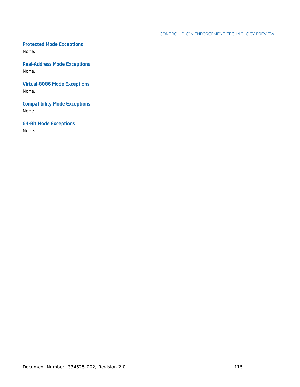#### Protected Mode Exceptions None.

Real-Address Mode Exceptions None.

#### Virtual-8086 Mode Exceptions None.

Compatibility Mode Exceptions None.

64-Bit Mode Exceptions None.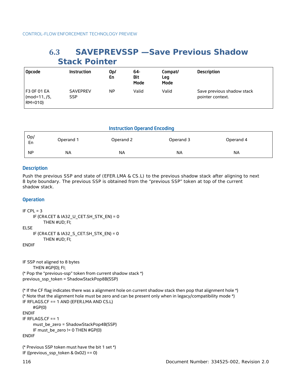# **6.3 SAVEPREVSSP —Save Previous Shadow Stack Pointer**

| <b>Opcode</b>                          | <b>Instruction</b>            | Op/<br>En | 64-<br>Bit<br>Mode | Compat/<br>Leg<br>Mode | <b>Description</b>                             |
|----------------------------------------|-------------------------------|-----------|--------------------|------------------------|------------------------------------------------|
| F3 OF 01 EA<br>(mod=11, /5,<br>RM=010) | <b>SAVEPREV</b><br><b>SSP</b> | ΝP        | Valid              | Valid                  | Save previous shadow stack<br>pointer context. |

|           |           | <b>Instruction Operand Encoding</b> |           |           |  |
|-----------|-----------|-------------------------------------|-----------|-----------|--|
| Op/<br>En | Operand 1 | Operand 2                           | Operand 3 | Operand 4 |  |
| <b>NP</b> | <b>NA</b> | <b>NA</b>                           | <b>NA</b> | <b>NA</b> |  |

#### **Description**

Push the previous SSP and state of (EFER.LMA & CS.L) to the previous shadow stack after aligning to next 8 byte boundary. The previous SSP is obtained from the "previous SSP" token at top of the current shadow stack.

#### **Operation**

```
IF CPL = 3IF (CR4.CET & IA32_U_CET.SH_STK_EN) = 0
           THEN #UD; FI; 
ELSE 
      IF (CR4.CET & IA32_S_CET.SH_STK_EN) = 0 
           THEN #UD; FI; 
ENDIF 
IF SSP not aligned to 8 bytes 
      THEN #GP(0); FI; 
(* Pop the "previous-ssp" token from current shadow stack *) 
previous_ssp_token = ShadowStackPop8B(SSP) 
(* If the CF flag indicates there was a alignment hole on current shadow stack then pop that alignment hole *) 
(* Note that the alignment hole must be zero and can be present only when in legacy/compatibility mode *) 
IF RFLAGS.CF == 1 AND (EFER.LMA AND CS.L) 
      #GP(0) 
ENDIF 
IF RFLAGS.CF == 1 
     must be zero = ShadowStackPop4B(SSP)
      IF must_be_zero != 0 THEN #GP(0) 
ENDIF 
(* Previous SSP token must have the bit 1 set *) 
IF ((previous_ssp_token & 0x02) == 0)
```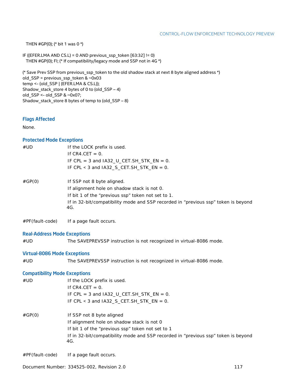THEN #GP(0); (\* bit 1 was 0 \*)

IF ((EFER.LMA AND CS.L) = 0 AND previous\_ssp\_token [63:32] != 0) THEN #GP(0); FI; (\* If compatibility/legacy mode and SSP not in 4G \*)

(\* Save Prev SSP from previous\_ssp\_token to the old shadow stack at next 8 byte aligned address \*) old\_SSP = previous\_ssp\_token & ~0x03  $temp \leq (old$  SSP | (EFER.LMA & CS.L)); Shadow\_stack\_store 4 bytes of 0 to (old\_SSP – 4) old  $SSP \leftarrow old$  SSP & ~0x07; Shadow\_stack\_store 8 bytes of temp to (old\_SSP – 8)

#### Flags Affected

None.

| <b>Protected Mode Exceptions</b>     |                                                                                           |
|--------------------------------------|-------------------------------------------------------------------------------------------|
| #UD                                  | If the LOCK prefix is used.                                                               |
|                                      | If $CR4.CET = 0$ .                                                                        |
|                                      | IF CPL = 3 and IA32_U_CET.SH_STK_EN = 0.                                                  |
|                                      | IF CPL < 3 and IA32_S_CET.SH_STK_EN = 0.                                                  |
| $\#GP(0)$                            | If SSP not 8 byte aligned.                                                                |
|                                      | If alignment hole on shadow stack is not 0.                                               |
|                                      | If bit 1 of the "previous ssp" token not set to 1.                                        |
|                                      | If in 32-bit/compatibility mode and SSP recorded in "previous ssp" token is beyond<br>4G. |
| #PF(fault-code)                      | If a page fault occurs.                                                                   |
| <b>Real-Address Mode Exceptions</b>  |                                                                                           |
| #UD                                  | The SAVEPREVSSP instruction is not recognized in virtual-8086 mode.                       |
| <b>Virtual-8086 Mode Exceptions</b>  |                                                                                           |
| #UD                                  | The SAVEPREVSSP instruction is not recognized in virtual-8086 mode.                       |
| <b>Compatibility Mode Exceptions</b> |                                                                                           |
| #UD                                  | If the LOCK prefix is used.                                                               |
|                                      | If $CR4.CET = 0$ .                                                                        |
|                                      | IF CPL = 3 and IA32_U_CET.SH_STK_EN = 0.                                                  |
|                                      | IF CPL < 3 and IA32_S_CET.SH_STK_EN = 0.                                                  |
| $\#GP(0)$                            | If SSP not 8 byte aligned                                                                 |
|                                      | If alignment hole on shadow stack is not 0                                                |
|                                      | If bit 1 of the "previous ssp" token not set to 1                                         |
|                                      | If in 32-bit/compatibility mode and SSP recorded in "previous ssp" token is beyond<br>4G. |
| $#PF(fault-code)$                    | If a page fault occurs.                                                                   |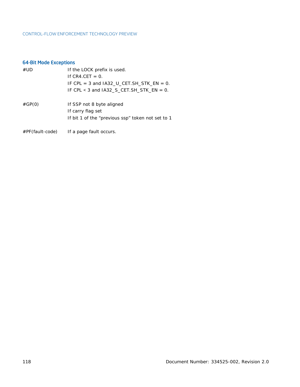#### 64-Bit Mode Exceptions

| #UD             | If the LOCK prefix is used.                       |
|-----------------|---------------------------------------------------|
|                 | If CR4 CFT $= 0$ .                                |
|                 | IF CPL = 3 and IA32 U CET.SH STK $EN = 0$ .       |
|                 | IF CPL < 3 and IA32 S CET. SH STK $EN = 0$ .      |
| $\#GP(0)$       | If SSP not 8 byte aligned                         |
|                 | If carry flag set                                 |
|                 | If bit 1 of the "previous ssp" token not set to 1 |
| #PF(fault-code) | If a page fault occurs.                           |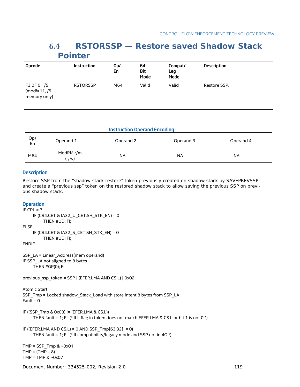# **6.4 RSTORSSP — Restore saved Shadow Stack Pointer**

| <b>Opcode</b>                               | Instruction     | Op/<br>En | 64-<br>Bit<br>Mode | Compat/<br>Leg<br>Mode | <b>Description</b> |
|---------------------------------------------|-----------------|-----------|--------------------|------------------------|--------------------|
| F3 OF 01/5<br>(mod!=11, /5,<br>memory only) | <b>RSTORSSP</b> | M64       | Valid              | Valid                  | Restore SSP.       |

|           | <b>Instruction Operand Encoding</b> |           |           |           |  |  |  |
|-----------|-------------------------------------|-----------|-----------|-----------|--|--|--|
| Op/<br>En | Operand 1                           | Operand 2 | Operand 3 | Operand 4 |  |  |  |
| M64       | ModRM:r/m<br>(r, w)                 | <b>NA</b> | NA        | NA        |  |  |  |

#### **Description**

Restore SSP from the "shadow stack restore" token previously created on shadow stack by SAVEPREVSSP and create a "previous ssp" token on the restored shadow stack to allow saving the previous SSP on previous shadow stack.

#### **Operation**

```
IF CPL = 3
     IF (CR4.CET & IA32_U_CET.SH_STK_EN) = 0
           THEN #UD; FI; 
ELSE 
      IF (CR4.CET & IA32_S_CET.SH_STK_EN) = 0 
           THEN #UD; FI; 
ENDIF 
SSP_LA = Linear_Address(mem operand) 
IF SSP_LA not aligned to 8 bytes 
      THEN #GP(0); FI; 
previous_ssp_token = SSP | (EFER.LMA AND CS.L) | 0x02 
Atomic Start 
SSP_Tmp = Locked shadow_Stack_Load with store intent 8 bytes from SSP_LA 
Fault = 0IF ((SSP_Tmp & 0x03) != (EFER.LMA & CS.L)) 
      THEN fault = 1; FI; (* If L flag in token does not match EFER.LMA & CS.L or bit 1 is not 0 *) 
IF ((EFER.LMA AND CS.L) = 0 AND SSP Tmp[63:32] != 0)
      THEN fault = 1; FI; (* If compatibility/legacy mode and SSP not in 4G *) 
TMP = SSP Tmp & ~0x01
TMP = (TMP - 8)TMP = TMP < -0 \times 07
```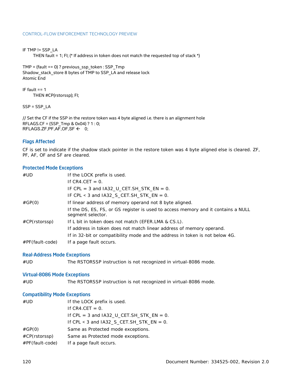```
IF TMP != SSP_LA
```
THEN fault = 1; FI; (\* If address in token does not match the requested top of stack  $*$ )

TMP = (fault == 0) ? previous\_ssp\_token : SSP\_Tmp Shadow\_stack\_store 8 bytes of TMP to SSP\_LA and release lock Atomic End

IF fault == 1 THEN #CP(rstorssp); FI;

SSP = SSP\_LA

// Set the CF if the SSP in the restore token was 4 byte aligned i.e. there is an alignment hole RFLAGS.CF = (SSP\_Tmp & 0x04) ? 1 : 0;  $RFLAGS.ZF, PF, AF, OF, SF < 0;$ 

#### Flags Affected

CF is set to indicate if the shadow stack pointer in the restore token was 4 byte aligned else is cleared. ZF, PF, AF, OF and SF are cleared.

#### Protected Mode Exceptions

| #UD             | If the LOCK prefix is used.                                                                            |
|-----------------|--------------------------------------------------------------------------------------------------------|
|                 | If $CR4.CET = 0$ .                                                                                     |
|                 | IF CPL = $3$ and $IA32_UCET.SH_STK_FN = 0$ .                                                           |
|                 | IF CPL < 3 and $IA32_S_CET.SH_STK_FN = 0$ .                                                            |
| $\#GP(0)$       | If linear address of memory operand not 8 byte aligned.                                                |
|                 | If the DS, ES, FS, or GS register is used to access memory and it contains a NULL<br>segment selector. |
| #CP(rstorssp)   | If L bit in token does not match (EFER.LMA & CS.L).                                                    |
|                 | If address in token does not match linear address of memory operand.                                   |
|                 | If in 32-bit or compatibility mode and the address in token is not below 4G.                           |
| #PF(fault-code) | If a page fault occurs.                                                                                |

#### Real-Address Mode Exceptions

#UD The RSTORSSP instruction is not recognized in virtual-8086 mode.

#### Virtual-8086 Mode Exceptions

#UD The RSTORSSP instruction is not recognized in virtual-8086 mode.

#### Compatibility Mode Exceptions

| #UD             | If the LOCK prefix is used.                   |
|-----------------|-----------------------------------------------|
|                 | If $CR4.CET = 0$ .                            |
|                 | If $CPL = 3$ and $IA32_UCET.SH_STK_FN = 0$ .  |
|                 | If CPL $\leq$ 3 and IA32_S_CET.SH_STK_EN = 0. |
| $\#GP(0)$       | Same as Protected mode exceptions.            |
| #CP(rstorssp)   | Same as Protected mode exceptions.            |
| #PF(fault-code) | If a page fault occurs.                       |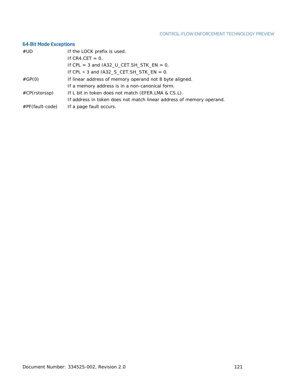### 64-Bit Mode Exceptions

| #UD                                | If the LOCK prefix is used.                                          |
|------------------------------------|----------------------------------------------------------------------|
|                                    | If $CR4.CET = 0$ .                                                   |
|                                    | If $CPL = 3$ and IA32 U CET. SH STK $EN = 0$ .                       |
|                                    | If CPL < 3 and IA32 S CET. SH STK $EN = 0$ .                         |
| $\#GP(0)$                          | If linear address of memory operand not 8 byte aligned.              |
|                                    | If a memory address is in a non-canonical form.                      |
| $\#\mathsf{CP}(\mathsf{rstorssp})$ | If L bit in token does not match (EFER.LMA & CS.L).                  |
|                                    | If address in token does not match linear address of memory operand. |
| $\#PF$ (fault-code)                | If a page fault occurs.                                              |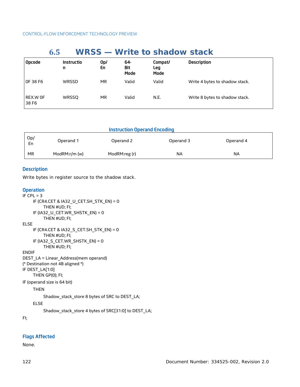# **6.5 WRSS — Write to shadow stack**

| <b>Opcode</b>     | Instructio<br>n | Op/<br>En | 64-<br>Bit<br>Mode | Compat/<br>Leg<br>Mode | <b>Description</b>             |
|-------------------|-----------------|-----------|--------------------|------------------------|--------------------------------|
| OF 38 F6          | <b>WRSSD</b>    | MR        | Valid              | Valid                  | Write 4 bytes to shadow stack. |
| REX.W OF<br>38 F6 | <b>WRSSQ</b>    | MR        | Valid              | N.E.                   | Write 8 bytes to shadow stack. |

| <b>Instruction Operand Encoding</b> |  |  |
|-------------------------------------|--|--|
|                                     |  |  |

| Op/<br>En | Operand 1     | Operand 2     | Operand 3 | Operand 4 |
|-----------|---------------|---------------|-----------|-----------|
| <b>MR</b> | ModRM:r/m (w) | ModRM:reg (r) | ΝA        | ΝA        |

#### **Description**

Write bytes in register source to the shadow stack.

#### **Operation**

```
IF CPL = 3 IF (CR4.CET & IA32_U_CET.SH_STK_EN) = 0 
           THEN #UD; FI; 
      IF (IA32_U_CET.WR_SHSTK_EN) = 0 
           THEN #UD; FI; 
ELSE 
      IF (CR4.CET & IA32_S_CET.SH_STK_EN) = 0 
           THEN #UD; FI; 
      IF (IA32_S_CET.WR_SHSTK_EN) = 0 
           THEN #UD; FI; 
ENDIF 
DEST_LA = Linear_Address(mem operand)
(* Destination not 4B aligned *) 
IF DEST_LA[1:0] 
      THEN GP(0); FI; 
IF (operand size is 64 bit) 
      THEN
```
Shadow stack store 8 bytes of SRC to DEST LA;

ELSE

Shadow\_stack\_store 4 bytes of SRC[31:0] to DEST\_LA;

FI;

#### Flags Affected

None.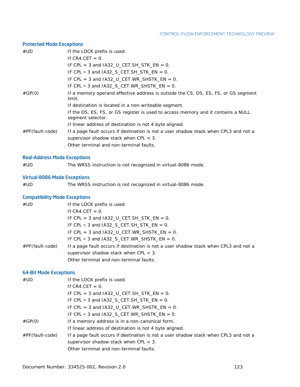### Protected Mode Exceptions

| #UD                                  | If the LOCK prefix is used.<br>If $CR4.CET = 0$ .                                                      |
|--------------------------------------|--------------------------------------------------------------------------------------------------------|
|                                      | IF CPL = 3 and IA32_U_CET.SH_STK_EN = 0.                                                               |
|                                      | IF CPL < 3 and IA32_S_CET.SH_STK_EN = 0.                                                               |
|                                      | IF CPL = 3 and IA32_U_CET.WR_SHSTK_EN = 0.                                                             |
|                                      | IF CPL < 3 and IA32_S_CET.WR_SHSTK_EN = 0.                                                             |
| $\#GP(0)$                            | If a memory operand effective address is outside the CS, DS, ES, FS, or GS segment<br>limit.           |
|                                      | If destination is located in a non-writeable segment.                                                  |
|                                      | If the DS, ES, FS, or GS register is used to access memory and it contains a NULL<br>segment selector. |
|                                      | If linear address of destination is not 4 byte aligned.                                                |
| #PF(fault-code)                      | If a page fault occurs if destination is not a user shadow stack when CPL3 and not a                   |
|                                      | supervisor shadow stack when CPL $<$ 3.<br>Other terminal and non-terminal faults.                     |
|                                      |                                                                                                        |
| <b>Real-Address Mode Exceptions</b>  |                                                                                                        |
| #UD                                  | The WRSS instruction is not recognized in virtual-8086 mode.                                           |
|                                      |                                                                                                        |
| <b>Virtual-8086 Mode Exceptions</b>  |                                                                                                        |
| #UD                                  | The WRSS instruction is not recognized in virtual-8086 mode.                                           |
| <b>Compatibility Mode Exceptions</b> |                                                                                                        |
| #UD                                  | If the LOCK prefix is used.                                                                            |
|                                      | If $CR4.CET = 0$ .                                                                                     |
|                                      | IF CPL = $3$ and $IA32_U_CET.SH_STK_EN = 0$ .                                                          |
|                                      | IF CPL < 3 and IA32_S_CET.SH_STK_EN = 0.                                                               |
|                                      | IF CPL = 3 and IA32_U_CET.WR_SHSTK_EN = 0.                                                             |
|                                      | IF CPL < 3 and IA32_S_CET.WR_SHSTK_EN = 0.                                                             |
| #PF(fault-code)                      | If a page fault occurs if destination is not a user shadow stack when CPL3 and not a                   |
|                                      | supervisor shadow stack when CPL $<$ 3.                                                                |
|                                      | Other terminal and non-terminal faults.                                                                |
| <b>64-Bit Mode Exceptions</b>        |                                                                                                        |
| #UD                                  | If the LOCK prefix is used.                                                                            |
|                                      | If $CR4.CET = 0$ .                                                                                     |
|                                      | IF CPL = 3 and IA32_U_CET.SH_STK_EN = 0.                                                               |
|                                      | IF CPL < 3 and $IA32_S_CET.SH_STK_FN = 0$ .                                                            |
|                                      | IF CPL = 3 and IA32_U_CET.WR_SHSTK_EN = 0.                                                             |
|                                      | IF CPL < 3 and IA32_S_CET.WR_SHSTK_EN = 0.                                                             |
| $\#GP(0)$                            | If a memory address is in a non-canonical form.                                                        |
|                                      | If linear address of destination is not 4 byte aligned.                                                |
| #PF(fault-code)                      | If a page fault occurs if destination is not a user shadow stack when CPL3 and not a                   |
|                                      | supervisor shadow stack when $CPL < 3$ .                                                               |
|                                      | Other terminal and non-terminal faults.                                                                |
|                                      |                                                                                                        |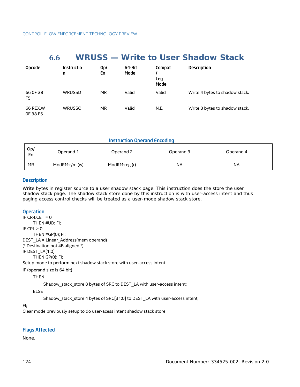|                            | 6.6             |           |                |                       | WRUSS — Write to User Shadow Stack |
|----------------------------|-----------------|-----------|----------------|-----------------------|------------------------------------|
| <b>Opcode</b>              | Instructio<br>n | Op/<br>En | 64-Bit<br>Mode | Compat<br>Leg<br>Mode | <b>Description</b>                 |
| 66 OF 38<br>F <sub>5</sub> | <b>WRUSSD</b>   | <b>MR</b> | Valid          | Valid                 | Write 4 bytes to shadow stack.     |
| 66 REX.W<br>OF 38 F5       | <b>WRUSSO</b>   | MR        | Valid          | N.E.                  | Write 8 bytes to shadow stack.     |

|           | <b>Instruction Operand Encoding</b> |               |           |           |  |  |  |
|-----------|-------------------------------------|---------------|-----------|-----------|--|--|--|
| Op/<br>En | Operand 1                           | Operand 2     | Operand 3 | Operand 4 |  |  |  |
| MR        | ModRM:r/m (w)                       | ModRM:reg (r) | <b>NA</b> | <b>NA</b> |  |  |  |

#### **Description**

Write bytes in register source to a user shadow stack page. This instruction does the store the user shadow stack page. The shadow stack store done by this instruction is with user-access intent and thus paging access control checks will be treated as a user-mode shadow stack store.

#### **Operation**

IF  $CRA.CET = 0$  THEN #UD; FI; IF  $CPL > 0$  THEN #GP(0); FI; DEST\_LA = Linear\_Address(mem operand) (\* Destination not 4B aligned \*) IF DEST\_LA[1:0] THEN GP(0); FI; Setup mode to perform next shadow stack store with user-access intent IF (operand size is 64 bit) THEN

Shadow\_stack\_store 8 bytes of SRC to DEST\_LA with user-access intent;

ELSE

Shadow\_stack\_store 4 bytes of SRC[31:0] to DEST\_LA with user-access intent;

#### FI;

Clear mode previously setup to do user-acess intent shadow stack store

#### Flags Affected

None.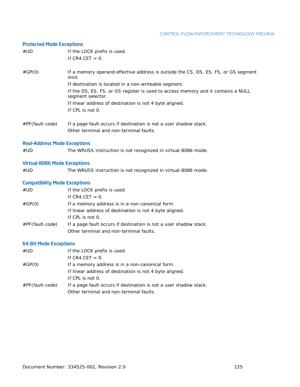#### Protected Mode Exceptions

- #UD If the LOCK prefix is used. If  $CRA.CET = 0$ .
- #GP(0) If a memory operand effective address is outside the CS, DS, ES, FS, or GS segment limit. If destination is located in a non-writeable segment. If the DS, ES, FS, or GS register is used to access memory and it contains a NULL segment selector.
	- If linear address of destination is not 4 byte aligned. If CPL is not 0.
- #PF(fault-code) If a page fault occurs if destination is not a user shadow stack. Other terminal and non-terminal faults.

#### Real-Address Mode Exceptions

#UD The WRUSS instruction is not recognized in virtual-8086 mode.

#### Virtual-8086 Mode Exceptions

#UD The WRUSS instruction is not recognized in virtual-8086 mode.

#### Compatibility Mode Exceptions

| #UD               | If the LOCK prefix is used.                                       |  |  |
|-------------------|-------------------------------------------------------------------|--|--|
|                   | If $CR4.CET = 0$ .                                                |  |  |
| $\#GP(0)$         | If a memory address is in a non-canonical form.                   |  |  |
|                   | If linear address of destination is not 4 byte aligned.           |  |  |
|                   | If CPL is not $0$ .                                               |  |  |
| $#PF(fault-code)$ | If a page fault occurs if destination is not a user shadow stack. |  |  |
|                   | Other terminal and non-terminal faults.                           |  |  |

#### 64-Bit Mode Exceptions

| #UD               | If the LOCK prefix is used.                                       |  |  |  |
|-------------------|-------------------------------------------------------------------|--|--|--|
|                   | If $CRA.CET = 0$ .                                                |  |  |  |
| $\#GP(0)$         | If a memory address is in a non-canonical form.                   |  |  |  |
|                   | If linear address of destination is not 4 byte aligned.           |  |  |  |
|                   | If CPL is not $0$ .                                               |  |  |  |
| $#PF(fault-code)$ | If a page fault occurs if destination is not a user shadow stack. |  |  |  |
|                   | Other terminal and non-terminal faults.                           |  |  |  |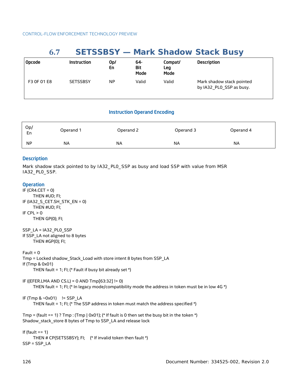# **6.7 SETSSBSY — Mark Shadow Stack Busy**

| <b>Opcode</b> | <b>Instruction</b> | Op/<br>En | 64-<br>Bit<br>Mode | Compat/<br>Leg<br>Mode | <b>Description</b>                                    |
|---------------|--------------------|-----------|--------------------|------------------------|-------------------------------------------------------|
| F3 OF 01 E8   | <b>SETSSBSY</b>    | <b>NP</b> | Valid              | Valid                  | Mark shadow stack pointed<br>by IA32_PLO_SSP as busy. |

#### Instruction Operand Encoding

| Op/<br>En | Operand 1 | Operand 2 | Operand 3 | Operand 4 |
|-----------|-----------|-----------|-----------|-----------|
| <b>NP</b> | <b>NA</b> | <b>NA</b> | <b>NA</b> | <b>NA</b> |

#### **Description**

Mark shadow stack pointed to by IA32\_PL0\_SSP as busy and load SSP with value from MSR IA32\_PL0\_SSP.

#### **Operation**

```
IF (CR4.CET = 0) 
      THEN #UD; FI; 
IF (IA32_S_CET.SH_STK_EN = 0) 
      THEN #UD; FI; 
IF CPL > 0 THEN GP(0); FI; 
SSP_LA = IA32_PL0_SSP 
If SSP LA not aligned to 8 bytes
      THEN #GP(0); FI; 
Fault = 0Tmp = Locked shadow_Stack_Load with store intent 8 bytes from SSP_LA 
If (Tmp & 0x01) 
      THEN fault = 1; FI; (* Fault if busy bit already set *) 
IF ((EFER.LMA AND CS.L) = 0 AND Tmp[63:32] != 0) 
      THEN fault = 1; FI; (* In legacy mode/compatibility mode the address in token must be in low 4G *) 
IF (Tmp & \sim 0 \times 01) != SSP LA
      THEN fault = 1; FI; (* The SSP address in token must match the address specified *) 
Tmp = (fault == 1) ? Tmp : (Tmp | 0x01); (* If fault is 0 then set the busy bit in the token *)
Shadow stack store 8 bytes of Tmp to SSP_LA and release lock
If (fault == 1)
      THEN # CP(SETSSBSY); FI; (* If invalid token then fault *) 
SSP = SSP_LA
```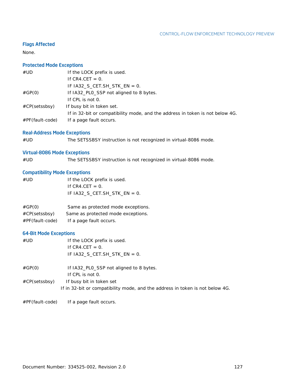#### Flags Affected

None.

#### Protected Mode Exceptions

| #UD               | If the LOCK prefix is used.                                                   |  |  |  |
|-------------------|-------------------------------------------------------------------------------|--|--|--|
|                   | If $CR4.CET = 0$ .                                                            |  |  |  |
|                   | IF IA32 S CET.SH STK $EN = 0$ .                                               |  |  |  |
| $\#GP(0)$         | If IA32_PLO_SSP not aligned to 8 bytes.                                       |  |  |  |
|                   | If CPL is not 0.                                                              |  |  |  |
| $\#CP$ (setssbsy) | If busy bit in token set.                                                     |  |  |  |
|                   | If in 32-bit or compatibility mode, and the address in token is not below 4G. |  |  |  |
| $#PF(fault-code)$ | If a page fault occurs.                                                       |  |  |  |

#### Real-Address Mode Exceptions

| #UD | The SETSSBSY instruction is not recognized in virtual-8086 mode. |
|-----|------------------------------------------------------------------|
|     |                                                                  |
|     |                                                                  |

#### Virtual-8086 Mode Exceptions

| #UD |                                                                  |  |  |  |
|-----|------------------------------------------------------------------|--|--|--|
|     | The SETSSBSY instruction is not recognized in virtual-8086 mode. |  |  |  |

#### Compatibility Mode Exceptions

| #UD | If the LOCK prefix is used.     |
|-----|---------------------------------|
|     | If CR4.CET $= 0$ .              |
|     | IF $IA32$ S CET. SH STK EN = 0. |

| $\#GP(0)$         | Same as protected mode exceptions. |
|-------------------|------------------------------------|
| $\#CP$ (setssbsy) | Same as protected mode exceptions. |
| #PF(fault-code)   | If a page fault occurs.            |

#### 64-Bit Mode Exceptions

| #UD                 | If the LOCK prefix is used.<br>If $CRA.CET = 0$ .<br>IF $IA32_S_CET.SH_STK_FN = 0$ .                      |
|---------------------|-----------------------------------------------------------------------------------------------------------|
| $\#GP(0)$           | If IA32_PLO_SSP not aligned to 8 bytes.<br>If CPL is not $0$ .                                            |
| $\#CP$ (setssbsy)   | If busy bit in token set<br>If in 32-bit or compatibility mode, and the address in token is not below 4G. |
| $\#PF$ (fault-code) | If a page fault occurs.                                                                                   |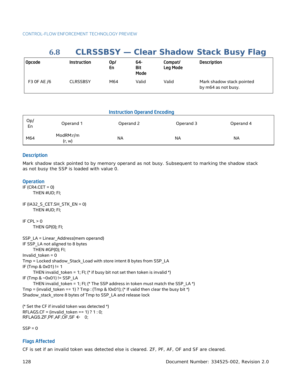| 6.8           |                    |           |                    |                     | <b>CLRSSBSY</b> - Clear Shadow Stack Busy Flag   |
|---------------|--------------------|-----------|--------------------|---------------------|--------------------------------------------------|
| <b>Opcode</b> | <b>Instruction</b> | Op/<br>En | 64-<br>Bit<br>Mode | Compat/<br>Leg Mode | <b>Description</b>                               |
| F3 OF AE /6   | <b>CLRSSBSY</b>    | M64       | Valid              | Valid               | Mark shadow stack pointed<br>by m64 as not busy. |

#### Instruction Operand Encoding

| Op/<br>En | Operand 1           | Operand 2 | Operand 3 | Operand 4 |
|-----------|---------------------|-----------|-----------|-----------|
| M64       | ModRM:r/m<br>(r, w) | ΝA        | ΝA        | NA        |

#### **Description**

Mark shadow stack pointed to by memory operand as not busy. Subsequent to marking the shadow stack as not busy the SSP is loaded with value 0.

#### **Operation**

```
IF (CR4.CET = 0)
      THEN #UD; FI; 
IF (IA32_S_CET.SH_STK_EN = 0) 
      THEN #UD; FI; 
IF CPL > 0 THEN GP(0); FI; 
SSP_LA = Linear_Address(mem operand) 
IF SSP_LA not aligned to 8 bytes
      THEN #GP(0); FI; 
Invalid token = 0Tmp = Locked shadow_Stack_Load with store intent 8 bytes from SSP_LA 
IF (Tmp & 0x01) != 1 
     THEN invalid_token = 1; FI; (* if busy bit not set then token is invalid *)
IF (Tmp & ~0x01) != SSP_LA 
      THEN invalid_token = 1; FI; (* The SSP address in token must match the SSP_LA *) 
Tmp = (invalid_token == 1) ? Tmp : (Tmp & !0x01); (* If valid then clear the busy bit *)
Shadow_stack_store 8 bytes of Tmp to SSP_LA and release lock
```

```
(* Set the CF if invalid token was detected *) 
RFLAGS.CF = (invalid_token == 1) ? 1 : 0;
RFLAGS.ZF, PF, AF, OF, SF < 0;
```
 $SSP = 0$ 

#### Flags Affected

CF is set if an invalid token was detected else is cleared. ZF, PF, AF, OF and SF are cleared.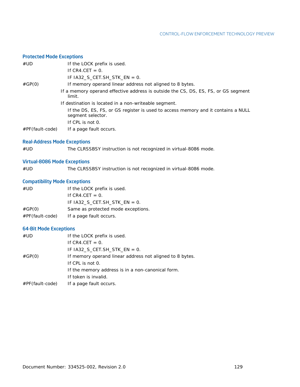#### Protected Mode Exceptions

| #UD                 | If the LOCK prefix is used.                                                                            |
|---------------------|--------------------------------------------------------------------------------------------------------|
|                     | If $CRA.CET = 0$ .                                                                                     |
|                     | IF $IA32_S_CET.SH_STK_FN = 0$ .                                                                        |
| $\#GP(0)$           | If memory operand linear address not aligned to 8 bytes.                                               |
|                     | If a memory operand effective address is outside the CS, DS, ES, FS, or GS segment<br>limit.           |
|                     | If destination is located in a non-writeable segment.                                                  |
|                     | If the DS, ES, FS, or GS register is used to access memory and it contains a NULL<br>segment selector. |
|                     | If CPL is not $0$ .                                                                                    |
| $\#PF$ (fault-code) | If a page fault occurs.                                                                                |

#### Real-Address Mode Exceptions

#UD The CLRSSBSY instruction is not recognized in virtual-8086 mode.

#### Virtual-8086 Mode Exceptions

#UD The CLRSSBSY instruction is not recognized in virtual-8086 mode.

#### Compatibility Mode Exceptions

| #UD               | If the LOCK prefix is used.        |  |  |  |  |  |
|-------------------|------------------------------------|--|--|--|--|--|
|                   | If $CRA.CET = 0$ .                 |  |  |  |  |  |
|                   | IF IA32 S CET.SH STK $EN = 0$ .    |  |  |  |  |  |
| $\#GP(0)$         | Same as protected mode exceptions. |  |  |  |  |  |
| $#PF(fault-code)$ | If a page fault occurs.            |  |  |  |  |  |

#### 64-Bit Mode Exceptions

| #UD               | If the LOCK prefix is used.                              |
|-------------------|----------------------------------------------------------|
|                   | If $CR4.CET = 0$ .                                       |
|                   | IF $IA32_S_CET.SH_STK_FN = 0$ .                          |
| $\#GP(0)$         | If memory operand linear address not aligned to 8 bytes. |
|                   | If CPL is not 0.                                         |
|                   | If the memory address is in a non-canonical form.        |
|                   | If token is invalid.                                     |
| $#PF(fault-code)$ | If a page fault occurs.                                  |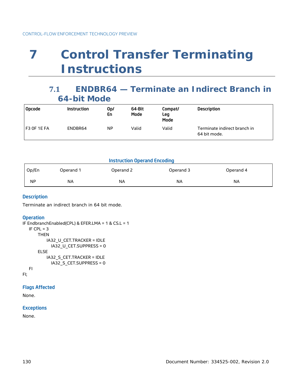# *7 Control Transfer Terminating Instructions*

# **7.1 ENDBR64 — Terminate an Indirect Branch in 64-bit Mode**

| <b>Opcode</b> | Instruction | Op/<br>En | 64-Bit<br>Mode | Compat/<br>Leg<br>Mode | <b>Description</b>                           |
|---------------|-------------|-----------|----------------|------------------------|----------------------------------------------|
| F3 OF 1E FA   | ENDBR64     | <b>NP</b> | Valid          | Valid                  | Terminate indirect branch in<br>64 bit mode. |

#### Instruction Operand Encoding

| Op/En     | Operand 1 | Operand 2 | Operand 3 | Operand 4 |  |
|-----------|-----------|-----------|-----------|-----------|--|
| <b>NP</b> | <b>NA</b> | NA.       | <b>NA</b> | ΝA        |  |

#### **Description**

Terminate an indirect branch in 64 bit mode.

#### **Operation**

```
IF EndbranchEnabled(CPL) & EFER.LMA = 1 & CS.L = 1 
  IF CPL = 3 THEN 
            IA32_U_CET.TRACKER = IDLE 
             IA32_U_CET.SUPPRESS = 0
        ELSE 
            IA32_S_CET.TRACKER = IDLE 
              IA32_S_CET.SUPPRESS = 0 
    FI
```
FI;

#### Flags Affected

None.

#### **Exceptions**

None.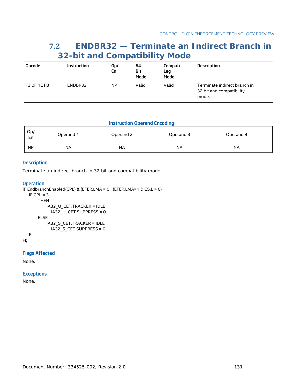# **7.2 ENDBR32 — Terminate an Indirect Branch in 32-bit and Compatibility Mode**

| <b>Opcode</b> | <b>Instruction</b> | Op/<br>En | 64-<br><b>Bit</b><br>Mode | Compat/<br>ceg<br>Mode | Description                                                       |
|---------------|--------------------|-----------|---------------------------|------------------------|-------------------------------------------------------------------|
| F3 OF 1E FB   | ENDBR32            | <b>NP</b> | Valid                     | Valid                  | Terminate indirect branch in<br>32 bit and compatibility<br>mode. |

|           | <b>Instruction Operand Encoding</b> |           |           |           |  |  |  |  |  |
|-----------|-------------------------------------|-----------|-----------|-----------|--|--|--|--|--|
| Op/<br>En | Operand 1                           | Operand 2 | Operand 3 | Operand 4 |  |  |  |  |  |
| <b>NP</b> | <b>NA</b>                           | <b>NA</b> | <b>NA</b> | NA        |  |  |  |  |  |

#### **Description**

Terminate an indirect branch in 32 bit and compatibility mode.

#### **Operation**

```
IF EndbranchEnabled(CPL) & (EFER.LMA = 0 | (EFER.LMA=1 & CS.L = 0) 
  IF CPL = 3 THEN 
            IA32_U_CET.TRACKER = IDLE 
              IA32_U_CET.SUPPRESS = 0 
       ELSE 
            IA32_S_CET.TRACKER = IDLE 
              IA32_S_CET.SUPPRESS = 0
```
 FI FI;

#### Flags Affected

None.

#### **Exceptions**

None.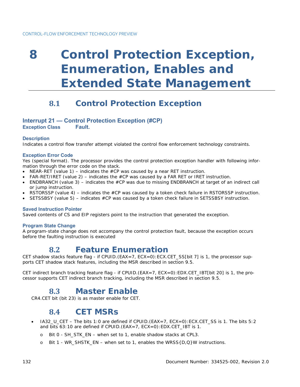# *8 Control Protection Exception, Enumeration, Enables and Extended State Management*

## **8.1 Control Protection Exception**

### **Interrupt 21 — Control Protection Exception (#CP)**

**Exception Class Fault.** 

#### **Description**

Indicates a control flow transfer attempt violated the control flow enforcement technology constraints.

#### **Exception Error Code**

Yes (special format). The processor provides the control protection exception handler with following information through the error code on the stack.

- NEAR-RET (value 1) indicates the  $#CP$  was caused by a near RET instruction.
- FAR-RET/IRET (value 2) indicates the  $\#$ CP was caused by a FAR RET or IRET instruction.
- ENDBRANCH (value 3) indicates the  $\#$ CP was due to missing ENDBRANCH at target of an indirect call or jump instruction.
- RSTORSSP (value 4) indicates the #CP was caused by a token check failure in RSTORSSP instruction.
- SETSSBSY (value 5) indicates #CP was caused by a token check failure in SETSSBSY instruction.

#### **Saved Instruction Pointer**

Saved contents of CS and EIP registers point to the instruction that generated the exception.

#### **Program State Change**

A program-state change does not accompany the control protection fault, because the exception occurs before the faulting instruction is executed

### **8.2 Feature Enumeration**

CET shadow stacks feature flag - if CPUID.(EAX=7, ECX=0):ECX.CET\_SS[bit 7] is 1, the processor supports CET shadow stack features, including the MSR described in section 9.5.

CET indirect branch tracking feature flag - if CPUID.(EAX=7, ECX=0):EDX.CET\_IBT[bit 20] is 1, the processor supports CET indirect branch tracking, including the MSR described in section 9.5.

### **8.3 Master Enable**

CR4.CET bit (bit 23) is as master enable for CET.

### **8.4 CET MSRs**

- IA32\_U\_CET The bits 1:0 are defined if CPUID.(EAX=7, ECX=0):ECX.CET\_SS is 1. The bits 5:2 and bits 63:10 are defined if CPUID.(EAX=7, ECX=0):EDX.CET\_IBT is 1.
	- o Bit 0 SH\_STK\_EN when set to 1, enable shadow stacks at CPL3.
	- o Bit 1 WR\_SHSTK\_EN when set to 1, enables the WRSS $\{D,Q\}$ W instructions.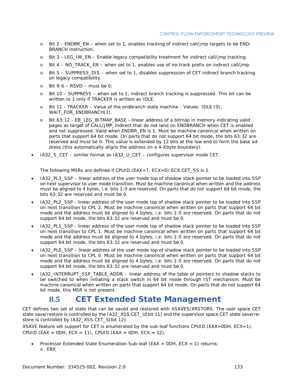- o Bit 2 ENDBR\_EN when set to 1, enables tracking of indirect call/jmp targets to be END-BRANCH instruction.
- o Bit 3 LEG\_IW\_EN Enable legacy compatibility treatment for indirect call/jmp tracking.
- $\circ$  Bit 4 NO\_TRACK\_EN when set to 1, enables use of no-track prefix on indirect call/imp.
- o Bit 5 SUPPRESS\_DIS when set to 1, disables suppression of CET indirect branch tracking on legacy compatibility.
- $\circ$  Bit 9:6 RSVD must be 0.
- o Bit 10 SUPPRESS when set to 1, indirect branch tracking is suppressed. This bit can be written to 1 only if TRACKER is written as IDLE.
- o Bit 11 TRACKER Value of the endbranch state machine Values: IDLE (0), WAIT\_FOR\_ENDBRANCH(1).
- o Bit 63:12 EB\_LEG\_BITMAP\_BASE linear address of a bitmap in memory indicating valid pages as target of CALL/JMP\_indirect that do not land on ENDBRANCH when CET is enabled and not suppressed. Valid when ENDBR\_EN is 1. Must be machine canonical when written on parts that support 64 bit mode. On parts that do not support 64 bit mode, the bits 63:32 are reserved and must be 0. This value is extended by 12 bits at the low end to form the base address (this automatically aligns the address on a 4-Kbyte boundary).
- IA32\_S\_CET similar format as IA32\_U\_CET configures supervisor mode CET.

The following MSRs are defined if CPUID.(EAX=7, ECX=0): ECX.CET SS is 1.

- IA32\_PL3\_SSP linear address of the user mode top of shadow stack pointer to be loaded into SSP on next supervisor to user mode transition. Must be machine canonical when written and the address must be aligned to 4 bytes, i.e. bits 1:0 are reserved. On parts that do not support 64 bit mode, the bits 63:32 are reserved and must be 0.
- IA32\_PL2\_SSP linear address of the user mode top of shadow stack pointer to be loaded into SSP on next transition to CPL 2. Must be machine canonical when written on parts that support 64 bit mode and the address must be aligned to 4 bytes, i.e. bits 1:0 are reserved. On parts that do not support 64 bit mode, the bits 63:32 are reserved and must be 0.
- IA32\_PL1\_SSP linear address of the user mode top of shadow stack pointer to be loaded into SSP on next transition to CPL 1. Must be machine canonical when written on parts that support 64 bit mode and the address must be aligned to 4 bytes, i.e. bits 1:0 are reserved. On parts that do not support 64 bit mode, the bits 63:32 are reserved and must be 0.
- IA32\_PL0\_SSP linear address of the user mode top of shadow stack pointer to be loaded into SSP on next transition to CPL 0. Must be machine canonical when written on parts that support 64 bit mode and the address must be aligned to 4 bytes, i.e. bits 1:0 are reserved. On parts that do not support 64 bit mode, the bits 63:32 are reserved and must be 0.
- IA32\_INTERRUPT\_SSP\_TABLE\_ADDR linear address of the table of pointers to shadow stacks to be switched to when initiating a stack switch in 64 bit mode through IST mechanism. Must be machine canonical when written on parts that support 64 bit mode. On parts that do not support 64 bit mode, this MSR is not present.

### **8.5 CET Extended State Management**

CET defines two set of state that can be saved and restored with XSAVES/XRSTORS. The user space CET state save/restore is controlled by the IA32\_XSS.CET\_U[bit 11] and the supervisor space CET state save/restore is controlled by IA32\_XSS.CET\_S[bit 12].

XSAVE feature set support for CET is enumerated by the sub-leaf functions CPUID.(EAX=0DH, ECX=1), CPUID.(EAX = ODH, ECX = 11), CPUID.(EAX = ODH, ECX = 12).

 Processor Extended State Enumeration Sub-leaf (EAX = 0DH, ECX = 1) returns: o EBX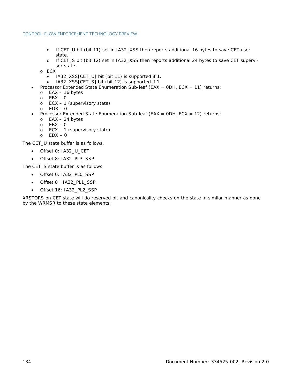- o If CET\_U bit (bit 11) set in IA32\_XSS then reports additional 16 bytes to save CET user state.
- o If CET S bit (bit 12) set in IA32 XSS then reports additional 24 bytes to save CET supervisor state.
- o ECX
	- IA32\_XSS[CET\_U] bit (bit 11) is supported if 1.
	- IA32\_XSS[CET\_S] bit (bit 12) is supported if 1.
- Processor Extended State Enumeration Sub-leaf (EAX = 0DH, ECX = 11) returns:
	- o EAX 16 bytes
	- o EBX 0
	- o ECX 1 (supervisory state)
	- o EDX 0
- Processor Extended State Enumeration Sub-leaf (EAX = 0DH, ECX = 12) returns:
	- $o$  EAX 24 bytes
	- o EBX 0
	- o ECX 1 (supervisory state)
	- $o$   $EDX 0$

The CET\_U state buffer is as follows.

- Offset 0: IA32\_U\_CET
- Offset 8: IA32\_PL3\_SSP

The CET\_S state buffer is as follows.

- Offset 0: IA32\_PL0\_SSP
- Offset 8 : IA32\_PL1\_SSP
- Offset 16: IA32\_PL2\_SSP

XRSTORS on CET state will do reserved bit and canonicality checks on the state in similar manner as done by the WRMSR to these state elements.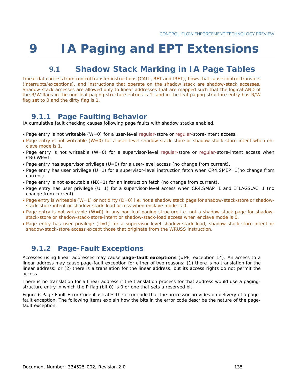# *9 IA Paging and EPT Extensions*

# **9.1 Shadow Stack Marking in IA Page Tables**

Linear data access from control transfer instructions (CALL, RET and IRET), flows that cause control transfers (interrupts/exceptions), and instructions that operate on the shadow stack are shadow-stack accesses. Shadow-stack accesses are allowed only to linear addresses that are mapped such that the logical-AND of the R/W flags in the non-leaf paging structure entries is 1, and in the leaf paging structure entry has R/W flag set to 0 and the dirty flag is 1.

### **9.1.1 Page Faulting Behavior**

IA cumulative fault checking causes following page faults with shadow stacks enabled.

- Page entry is not writeable (W=0) for a user-level regular-store or regular-store-intent access.
- Page entry is not writeable (W=0) for a user-level shadow-stack-store or shadow-stack-store-intent when enclave mode is 1.
- Page entry is not writeable (W=0) for a supervisor-level regular-store or regular-store-intent access when  $CRO.WP = 1.$
- Page entry has supervisor privilege (U=0) for a user-level access (no change from current).
- Page entry has user privilege (U=1) for a supervisor-level instruction fetch when CR4.SMEP=1(no change from current).
- Page entry is not executable (NX=1) for an instruction fetch (no change from current).
- Page entry has user privilege (U=1) for a supervisor-level access when CR4.SMAP=1 and EFLAGS.AC=1 (no change from current).
- Page entry is writeable (W=1) or not dirty (D=0) i.e. not a shadow stack page for shadow-stack-store or shadowstack-store-intent or shadow-stack-load access when enclave mode is 0.
- Page entry is not writeable (W=0) in any non-leaf paging structure i.e. not a shadow stack page for shadowstack-store or shadow-stack-store-intent or shadow-stack-load access when enclave mode is 0.
- Page entry has user privilege (U=1) for a supervisor-level shadow-stack-load, shadow-stack-store-intent or shadow-stack-store access except those that originate from the WRUSS instruction.

### **9.1.2 Page-Fault Exceptions**

Accesses using linear addresses may cause **page-fault exceptions** (#PF; exception 14). An access to a linear address may cause page-fault exception for either of two reasons: (1) there is no translation for the linear address; or (2) there is a translation for the linear address, but its access rights do not permit the access.

There is no translation for a linear address if the translation process for that address would use a pagingstructure entry in which the P flag (bit 0) is 0 or one that sets a reserved bit.

Figure 6 Page-Fault Error Code illustrates the error code that the processor provides on delivery of a pagefault exception. The following items explain how the bits in the error code describe the nature of the pagefault exception.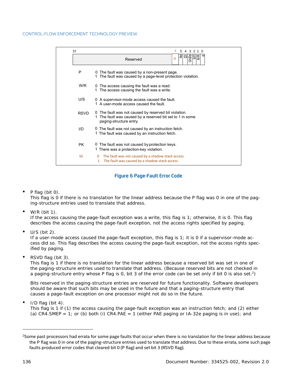| 31          | 6<br>5<br>3<br>$\mathfrak{D}$                                                                                                                   |  |  |  |  |  |  |  |
|-------------|-------------------------------------------------------------------------------------------------------------------------------------------------|--|--|--|--|--|--|--|
|             | 치의<br>RSVD<br>W/R<br>S<br>ပ္တ<br>Reserved                                                                                                       |  |  |  |  |  |  |  |
| P           | 0 The fault was caused by a non-present page.<br>1 The fault was caused by a page-level protection violation.                                   |  |  |  |  |  |  |  |
| W/R         | 0 The access causing the fault was a read.<br>The access causing the fault was a write.<br>1                                                    |  |  |  |  |  |  |  |
| U/S         | 0 A supervisor-mode access caused the fault.<br>1 A user-mode access caused the fault                                                           |  |  |  |  |  |  |  |
| <b>RSVD</b> | 0 The fault was not caused by reserved bit violation.<br>The fault was caused by a reserved bit set to 1 in some<br>1<br>paging-structure entry |  |  |  |  |  |  |  |
| I/D         | 0 The fault was not caused by an instruction fetch.<br>1 The fault was caused by an instruction fetch.                                          |  |  |  |  |  |  |  |
| <b>PK</b>   | 0 The fault was not caused by protection keys.<br>1 There was a protection-key violation.                                                       |  |  |  |  |  |  |  |
| <b>SS</b>   | The fault was not caused by a shadow stack access<br>0<br>The fault was caused by a shadow stack access<br>1                                    |  |  |  |  |  |  |  |

#### Figure 6 Page-Fault Error Code

P flag (bit 0).

This flag is 0 if there is no translation for the linear address because the P flag was 0 in one of the paging-structure entries used to translate that address.

• W/R (bit 1).

If the access causing the page-fault exception was a write, this flag is 1; otherwise, it is 0. This flag describes the access causing the page-fault exception, not the access rights specified by paging.

 $\bullet$  U/S (bit 2).

If a user-mode access caused the page-fault exception, this flag is 1; it is 0 if a supervisor-mode access did so. This flag describes the access causing the page-fault exception, not the access rights specified by paging.

RSVD flag (bit 3).

This flag is 1 if there is no translation for the linear address because a reserved bit was set in one of the paging-structure entries used to translate that address. (Because reserved bits are not checked in a paging-structure entry whose P flag is 0, bit 3 of the error code can be set only if bit 0 is also set.2)

Bits reserved in the paging-structure entries are reserved for future functionality. Software developers should be aware that such bits may be used in the future and that a paging-structure entry that causes a page-fault exception on one processor might not do so in the future.

 $I/D$  flag (bit 4).

This flag is 1 if (1) the access causing the page-fault exception was an instruction fetch; and (2) either (a) CR4.SMEP = 1; or (b) both (i) CR4.PAE = 1 (either PAE paging or IA-32e paging is in use); and

**.** 

<sup>&</sup>lt;sup>2</sup>Some past processors had errata for some page faults that occur when there is no translation for the linear address because the P flag was 0 in one of the paging-structure entries used to translate that address. Due to these errata, some such page faults produced error codes that cleared bit 0 (P flag) and set bit 3 (RSVD flag).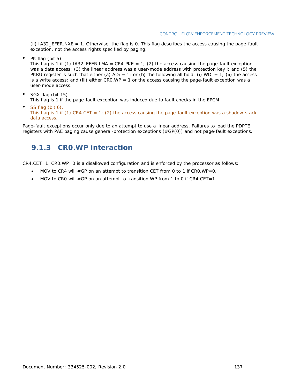(ii)  $IA32$  EFER.NXE = 1. Otherwise, the flag is 0. This flag describes the access causing the page-fault exception, not the access rights specified by paging.

• PK flag (bit 5).

This flag is 1 if (1) IA32\_EFER.LMA =  $CR4.PKE = 1$ ; (2) the access causing the page-fault exception was a data access; (3) the linear address was a user-mode address with protection key *i*; and (5) the PKRU register is such that either (a)  $ADi = 1$ ; or (b) the following all hold: (i) WD*i* = 1; (ii) the access is a write access; and (iii) either CR0.WP = 1 or the access causing the page-fault exception was a user-mode access.

- SGX flag (bit 15). This flag is 1 if the page-fault exception was induced due to fault checks in the EPCM
	- SS flag (bit 6). This flag is 1 if (1)  $CRA.CET = 1$ ; (2) the access causing the page-fault exception was a shadow-stack data access.

Page-fault exceptions occur only due to an attempt to use a linear address. Failures to load the PDPTE registers with PAE paging cause general-protection exceptions (#GP(0)) and not page-fault exceptions.

### **9.1.3 CR0.WP interaction**

CR4.CET=1, CR0.WP=0 is a disallowed configuration and is enforced by the processor as follows:

- $\bullet$  MOV to CR4 will  $\#GP$  on an attempt to transition CET from 0 to 1 if CR0.WP=0.
- $\bullet$  MOV to CR0 will #GP on an attempt to transition WP from 1 to 0 if CR4.CET=1.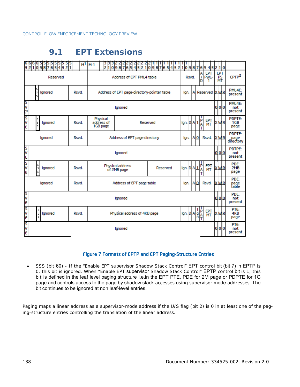|             |                     | 6666555555555<br>321098765432 | ь     | M, | $M-1$ |                                                                                       |                                                                       |  |  |                                 |     |                               |          |                                             |                        |                                  |                   |             |                  |            |                |                             |  |
|-------------|---------------------|-------------------------------|-------|----|-------|---------------------------------------------------------------------------------------|-----------------------------------------------------------------------|--|--|---------------------------------|-----|-------------------------------|----------|---------------------------------------------|------------------------|----------------------------------|-------------------|-------------|------------------|------------|----------------|-----------------------------|--|
|             | Reserved            |                               |       |    |       |                                                                                       | <b>EPT</b><br>Α<br>Rsvd.<br>$PWL -$<br>Address of EPT PML4 table<br>D |  |  |                                 |     |                               |          |                                             | <b>EPT</b><br>PS<br>MT |                                  | EPTP <sup>2</sup> |             |                  |            |                |                             |  |
|             | $\frac{S}{S}$<br>S  | lgnored                       | Rsvd. |    |       |                                                                                       |                                                                       |  |  |                                 |     |                               |          | Address of EPT page-directory-pointer table |                        | lgn.                             | A                 |             | Reserved         | <b>XMR</b> |                | <b>PML4E:</b><br>present    |  |
| s<br>ς      |                     |                               |       |    |       |                                                                                       |                                                                       |  |  | lanored                         |     |                               |          |                                             |                        |                                  |                   |             |                  |            | 000            | PML4E:<br>not<br>present    |  |
| S<br>v<br>Ë | S<br>$\sf S$<br>S   | Ignored                       | Rsvd. |    |       |                                                                                       | Physical<br>address of<br>1GB page                                    |  |  |                                 |     |                               | Reserved |                                             |                        | $\lg n$ , $D$ A 1                |                   | P<br>A<br>т | <b>EPT</b><br>MT |            | <b>XWR</b>     | PDPTF-<br>1GB<br>page       |  |
|             |                     | Ignored                       | Rsvd. |    |       |                                                                                       |                                                                       |  |  |                                 |     | Address of EPT page directory |          |                                             |                        | lgn.                             | A<br>0            |             | Rsvd.            |            | <b>XWR</b>     | PDPTE:<br>page<br>directory |  |
| s<br>V<br>E |                     |                               |       |    |       |                                                                                       |                                                                       |  |  | lgnored                         |     |                               |          |                                             |                        |                                  |                   |             |                  | 0          | 0 <sub>0</sub> | PDTPE:<br>not<br>present    |  |
| S<br>V<br>Ë | S<br>$\vert$ s<br>S | Ignored                       | Rsvd. |    |       |                                                                                       |                                                                       |  |  | Physical address<br>of 2MB page |     |                               |          | Reserved                                    |                        | lgn. D A 1                       |                   | P<br>Ä      | <b>EPT</b><br>MT |            | <b>XWR</b>     | PDE:<br>2MB<br>page         |  |
|             |                     | lanored                       | Rsvd. |    |       | A O<br>Rsvd.<br>Address of EPT page table<br>lgn.                                     |                                                                       |  |  |                                 |     |                               |          |                                             | <b>XWR</b>             | PD <sub>E</sub><br>page<br>table |                   |             |                  |            |                |                             |  |
| s<br>S<br>E | lgnored             |                               |       |    |       |                                                                                       |                                                                       |  |  |                                 | 000 | PDE:<br>not<br>present        |          |                                             |                        |                                  |                   |             |                  |            |                |                             |  |
| S<br>V<br>E | s<br>S<br>S         | Ignored                       | Rsvd. |    |       | P<br>A<br>T<br><b>EPT</b><br>Ign. D A<br>g<br>n<br>Physical address of 4KB page<br>MT |                                                                       |  |  |                                 |     |                               |          |                                             | <b>XWR</b>             | PTE:<br>4KB<br>page              |                   |             |                  |            |                |                             |  |
| s<br>V<br>Ë | lgnored             |                               |       |    |       |                                                                                       |                                                                       |  |  |                                 | 000 | PTE:<br>not<br>present        |          |                                             |                        |                                  |                   |             |                  |            |                |                             |  |

#### Figure 7 Formats of EPTP and EPT Paging-Structure Entries

SSS (bit 60) - If the "Enable EPT supervisor Shadow Stack Control" EPT control bit (bit 7) in EPTP is 0, this bit is ignored. When "Enable EPT supervisor Shadow Stack Control" EPTP control bit is 1, this bit is defined in the leaf level paging structure i.e.in the EPT PTE, PDE for 2M page or PDPTE for 1G page and controls access to the page by shadow stack accesses using supervisor mode addresses. The bit continues to be ignored at non leaf-level entries.

Paging maps a linear address as a supervisor-mode address if the U/S flag (bit 2) is 0 in at least one of the paging-structure entries controlling the translation of the linear address.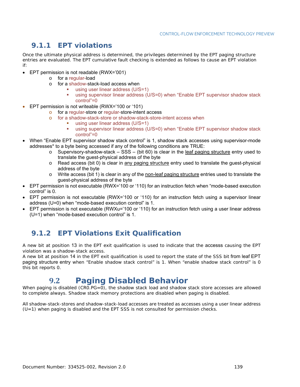### **9.1.1 EPT violations**

Once the ultimate physical address is determined, the privileges determined by the EPT paging structure entries are evaluated. The EPT cumulative fault checking is extended as follows to cause an EPT violation if:

- EPT permission is not readable (RWX='001)
	- o for a regular-load
	- o for a shadow-stack-load access when
		- using user linear address (U/S=1)
			- using supervisor linear address (U/S=0) when "Enable EPT supervisor shadow stack control"=0
- EPT permission is not writeable (RWX='100 or '101)
	- o for a regular-store or regular-store-intent access
	- o for a shadow-stack-store or shadow-stack-store-intent access when
		- using user linear address (U/S=1)
			- using supervisor linear address (U/S=0) when "Enable EPT supervisor shadow stack control"=0
- When "Enable EPT supervisor shadow stack control" is 1, shadow stack accesses using supervisor-mode addresses\* to a byte being accessed if any of the following conditions are TRUE:
	- $\circ$  Supervisory-shadow-stack SSS (bit 60) is clear in the leaf paging structure entry used to translate the guest-physical address of the byte
	- $\circ$  Read access (bit 0) is clear in any paging structure entry used to translate the guest-physical address of the byte
	- o Write access (bit 1) is clear in any of the non-leaf paging structure entries used to translate the guest-physical address of the byte
- EPT permission is not executable (RWX='100 or '110) for an instruction fetch when "mode-based execution control" is 0.
- EPT permission is not executable (RWX='100 or '110) for an instruction fetch using a supervisor linear address (U=0) when "mode-based execution control" is 1.
- EPT permission is not executable (RWXu='100 or '110) for an instruction fetch using a user linear address (U=1) when "mode-based execution control" is 1.

### **9.1.2 EPT Violations Exit Qualification**

A new bit at position 13 in the EPT exit qualification is used to indicate that the accesss causing the EPT violation was a shadow-stack access.

A new bit at position 14 in the EPT exit qualification is used to report the state of the SSS bit from leaf EPT paging structure entry when "Enable shadow stack control" is 1. When "enable shadow stack control" is 0 this bit reports 0.

## **9.2 Paging Disabled Behavior**

When paging is disabled  $(CRO.PG=0)$ , the shadow stack load and shadow stack store accesses are allowed to complete always. Shadow stack memory protections are disabled when paging is disabled.

All shadow-stack-stores and shadow-stack-load accesses are treated as accesses using a user linear address (U=1) when paging is disabled and the EPT SSS is not consulted for permission checks.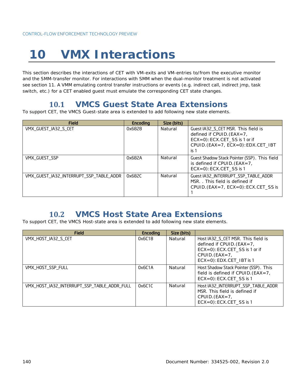# *10 VMX Interactions*

This section describes the interactions of CET with VM-exits and VM-entries to/from the executive monitor and the SMM-transfer monitor. For interactions with SMM when the dual-monitor treatment is not activated see section 11. A VMM emulating control transfer instructions or events (e.g. indirect call, indirect jmp, task switch, etc.) for a CET enabled guest must emulate the corresponding CET state changes.

# **10.1 VMCS Guest State Area Extensions**

To support CET, the VMCS Guest-state area is extended to add following new state elements.

| <b>Field</b>                            | <b>Encoding</b> | Size (bits) |                                                                                                                                                      |
|-----------------------------------------|-----------------|-------------|------------------------------------------------------------------------------------------------------------------------------------------------------|
| VMX GUEST IA32 S CET                    | 0x6828          | Natural     | Guest IA32 S CET MSR. This field is<br>defined if CPUID. $(EAX = 7)$<br>ECX=0): ECX.CET_SS is 1 or if<br>CPUID. (EAX=7, ECX=0): EDX. CET_IBT<br>is 1 |
| VMX_GUEST_SSP                           | 0x682A          | Natural     | Guest Shadow Stack Pointer (SSP). This field<br>is defined if CPUID. (EAX=7,<br>$ECX=0$ : $ECX.CET\_SS$ is 1                                         |
| VMX GUEST IA32 INTERRUPT SSP TABLE ADDR | 0x682C          | Natural     | Guest IA32_INTERRUPT_SSP_TABLE_ADDR<br>MSR. This field is defined if<br>$CPUID. (EAX = 7, ECX = 0): ECX.CET_S S is$                                  |

# **10.2 VMCS Host State Area Extensions**

To support CET, the VMCS Host-state area is extended to add following new state elements.

| <b>Field</b>                                | <b>Encoding</b> | Size (bits) |                                                                                                                                                         |
|---------------------------------------------|-----------------|-------------|---------------------------------------------------------------------------------------------------------------------------------------------------------|
| VMX HOST IA32 S CET                         | 0x6C18          | Natural     | Host IA32 S CET MSR. This field is<br>defined if CPUID. $(EAX = 7)$<br>ECX=0): ECX.CET_SS is 1 or if<br>$CPUID.(EAX=7)$<br>$ECX=0$ : $EDX.CET$ IBT is 1 |
| VMX HOST SSP FULL                           | 0x6C1A          | Natural     | Host Shadow Stack Pointer (SSP). This<br>field is defined if CPUID. $(EAX = 7)$ ,<br>$ECX=0$ : $ECX.CET\_SS$ is 1                                       |
| VMX_HOST_IA32_INTERRUPT_SSP_TABLE_ADDR_FULL | 0x6C1C          | Natural     | Host IA32_INTERRUPT_SSP_TABLE_ADDR<br>MSR. This field is defined if<br>$CPUID.(EAX = 7)$<br>$ECX=0$ : $ECX.CET\_SS$ is 1                                |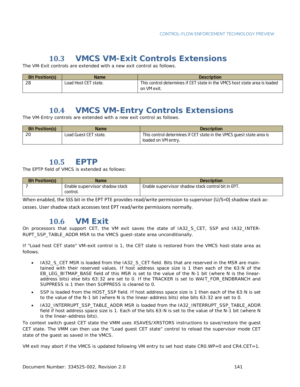# **10.3 VMCS VM-Exit Controls Extensions**

The VM-Exit controls are extended with a new exit control as follows.

| <b>Bit Position(s)</b> | Name                 | <b>Description</b>                                                         |  |
|------------------------|----------------------|----------------------------------------------------------------------------|--|
| 28                     | Load Host CET state. | This control determines if CET state in the VMCS host state area is loaded |  |
|                        |                      | on VM exit.                                                                |  |

# **10.4 VMCS VM-Entry Controls Extensions**

The VM-Entry controls are extended with a new exit control as follows.

| <b>Bit Position(s)</b> | Name                  | <b>Description</b>                                                   |  |
|------------------------|-----------------------|----------------------------------------------------------------------|--|
| -20                    | Load Guest CET state. | This control determines if CET state in the VMCS guest state area is |  |
|                        |                       | loaded on VM entry.                                                  |  |

### **10.5 EPTP**

The EPTP field of VMCS is extended as follows:

| <b>Bit Position(s)</b> | <b>Name</b>                                | <b>Description</b>                                 |  |
|------------------------|--------------------------------------------|----------------------------------------------------|--|
|                        | Enable supervisor shadow stack<br>control. | Enable supervisor shadow stack control bit in EPT. |  |

When enabled, the SSS bit in the EPT PTE provides read/write permission to supervisor (U/S=0) shadow stack accesses. User shadow stack accesses test EPT read/write permissions normally.

## **10.6 VM Exit**

On processors that support CET, the VM exit saves the state of IA32\_S\_CET, SSP and IA32\_INTER-RUPT\_SSP\_TABLE\_ADDR MSR to the VMCS guest-state area unconditionally.

If "Load host CET state" VM-exit control is 1, the CET state is restored from the VMCS host-state area as follows.

- IA32\_S\_CET MSR is loaded from the IA32\_S\_CET field. Bits that are reserved in the MSR are maintained with their reserved values. If host address space size is 1 then each of the 63:N of the EB\_LEG\_BITMAP\_BASE field of this MSR is set to the value of the N-1 bit (where N is the linearaddress bits) else bits 63:32 are set to 0. If the TRACKER is set to WAIT\_FOR\_ENDBRANCH and SUPPRESS is 1 then then SUPPRESS is cleared to 0.
- SSP is loaded from the HOST\_SSP field. If host address space size is 1 then each of the 63:N is set to the value of the N-1 bit (where N is the linear-address bits) else bits 63:32 are set to 0.
- IA32\_INTERRUPT\_SSP\_TABLE\_ADDR MSR is loaded from the IA32\_INTERRUPT\_SSP\_TABLE\_ADDR field if host address space size is 1. Each of the bits 63:N is set to the value of the N-1 bit (where N is the linear-address bits).

To context switch guest CET state the VMM uses XSAVES/XRSTORS instructions to save/restore the guest CET state. The VMM can then use the "Load guest CET state" control to reload the supervisor mode CET state of the guest as saved in the VMCS.

VM exit may abort if the VMCS is updated following VM entry to set host state CR0.WP=0 and CR4.CET=1.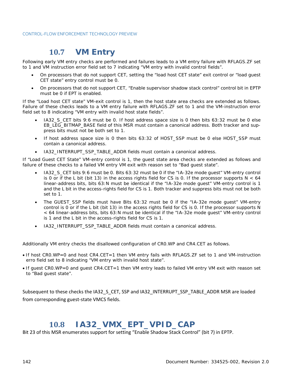# **10.7 VM Entry**

Following early VM entry checks are performed and failures leads to a VM entry failure with RFLAGS.ZF set to 1 and VM instruction error field set to 7 indicating "VM entry with invalid control fields".

- On processors that do not support CET, setting the "load host CET state" exit control or "load guest CET state" entry control must be 0.
- On processors that do not support CET, "Enable supervisor shadow stack control" control bit in EPTP must be 0 if EPT is enabled.

If the "Load host CET state" VM-exit control is 1, then the host state area checks are extended as follows. Failure of these checks leads to a VM entry failure with RFLAGS.ZF set to 1 and the VM-instruction error field set to 8 indicating "VM entry with invalid host state fields".

- IA32 S CET bits 9:6 must be 0. If host address space size is 0 then bits 63:32 must be 0 else EB\_LEG\_BITMAP\_BASE field of this MSR must contain a canonical address. Both tracker and suppress bits must not be both set to 1.
- If host address space size is 0 then bits 63:32 of HOST\_SSP must be 0 else HOST\_SSP must contain a canonical address.
- IA32\_INTERRUPT\_SSP\_TABLE\_ADDR fields must contain a canonical address.

If "Load Guest CET State" VM-entry control is 1, the guest state area checks are extended as follows and failure of these checks to a failed VM entry VM exit with reason set to "Bad guest state".

- IA32\_S\_CET bits 9:6 must be 0. Bits 63:32 must be 0 if the "IA-32e mode guest" VM-entry control is 0 or if the L bit (bit 13) in the access rights field for CS is 0. If the processor supports  $N < 64$ linear-address bits, bits 63:N must be identical if the "IA-32e mode guest" VM-entry control is 1 and the L bit in the access-rights field for CS is 1. Both tracker and suppress bits must not be both set to 1.
- The GUEST\_SSP fields must have Bits 63:32 must be 0 if the "IA-32e mode guest" VM-entry control is 0 or if the L bit (bit 13) in the access rights field for CS is 0. If the processor supports N < 64 linear-address bits, bits 63:N must be identical if the "IA-32e mode guest" VM-entry control is 1 and the L bit in the access-rights field for CS is 1.
- IA32\_INTERRUPT\_SSP\_TABLE\_ADDR fields must contain a canonical address.

Additionally VM entry checks the disallowed configuration of CR0.WP and CR4.CET as follows.

- If host CR0.WP=0 and host CR4.CET=1 then VM entry fails with RFLAGS.ZF set to 1 and VM-instruction erro field set to 8 indicating "VM entry with invalid host state".
- If guest CR0.WP=0 and guest CR4.CET=1 then VM entry leads to failed VM entry VM exit with reason set to "Bad guest state".

Subsequent to these checks the IA32\_S\_CET, SSP and IA32\_INTERRUPT\_SSP\_TABLE\_ADDR MSR are loaded from corresponding guest-state VMCS fields.

## **10.8 IA32\_VMX\_EPT\_VPID\_CAP**

Bit 23 of this MSR enumerates support for setting "Enable Shadow Stack Control" (bit 7) in EPTP.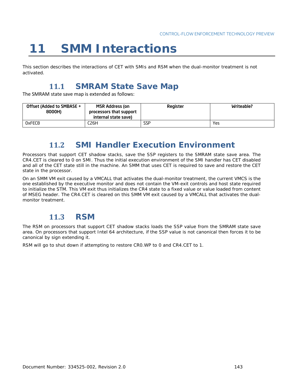# *11 SMM Interactions*

This section describes the interactions of CET with SMIs and RSM when the dual-monitor treatment is not activated.

# **11.1 SMRAM State Save Map**

The SMRAM state save map is extended as follows:

| Offset (Added to SMBASE +<br>8000H) | <b>MSR Address (on</b><br>processors that support<br>internal state save) | <b>Register</b> | Writeable? |
|-------------------------------------|---------------------------------------------------------------------------|-----------------|------------|
| 0xFEC8                              | C26H                                                                      | SSP             | Yes        |

# **11.2 SMI Handler Execution Environment**

Processors that support CET shadow stacks, save the SSP registers to the SMRAM state save area. The CR4.CET is cleared to 0 on SMI. Thus the initial execution environment of the SMI handler has CET disabled and all of the CET state still in the machine. An SMM that uses CET is required to save and restore the CET state in the processor.

On an SMM VM exit caused by a VMCALL that activates the dual-monitor treatment, the current VMCS is the one established by the executive monitor and does not contain the VM-exit controls and host state required to initialize the STM. This VM exit thus initializes the CR4 state to a fixed value or value loaded from content of MSEG header. The CR4.CET is cleared on this SMM VM exit caused by a VMCALL that activates the dualmonitor treatment.

## **11.3 RSM**

The RSM on processors that support CET shadow stacks loads the SSP value from the SMRAM state save area. On processors that support Intel 64 architecture, if the SSP value is not canonical then forces it to be canonical by sign extending it.

RSM will go to shut down if attempting to restore CR0.WP to 0 and CR4.CET to 1.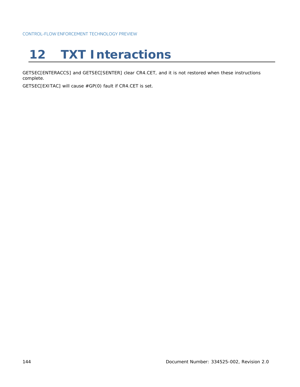

GETSEC[ENTERACCS] and GETSEC[SENTER] clear CR4.CET, and it is not restored when these instructions complete.

GETSEC[EXITAC] will cause #GP(0) fault if CR4.CET is set.